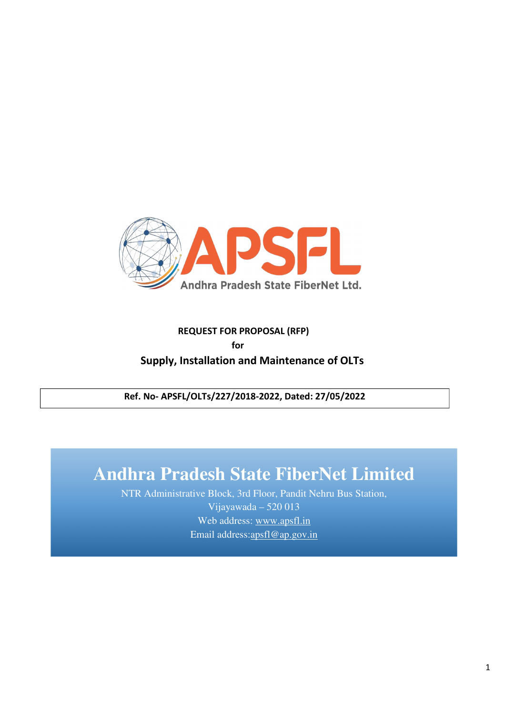

# **REQUEST FOR PROPOSAL (RFP) for Supply, Installation and Maintenance of OLTs**

**Ref. No- APSFL/OLTs/227/2018-2022, Dated: 27/05/2022**

# **Andhra Pradesh State FiberNet Limited**

NTR Administrative Block, 3rd Floor, Pandit Nehru Bus Station, Vijayawada – 520 013 Web address: www.apsfl.in Email address:apsfl@ap.gov.in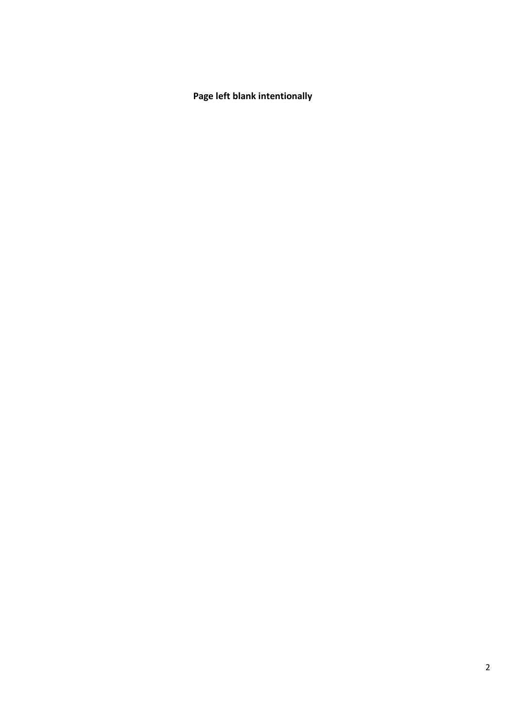**Page left blank intentionally**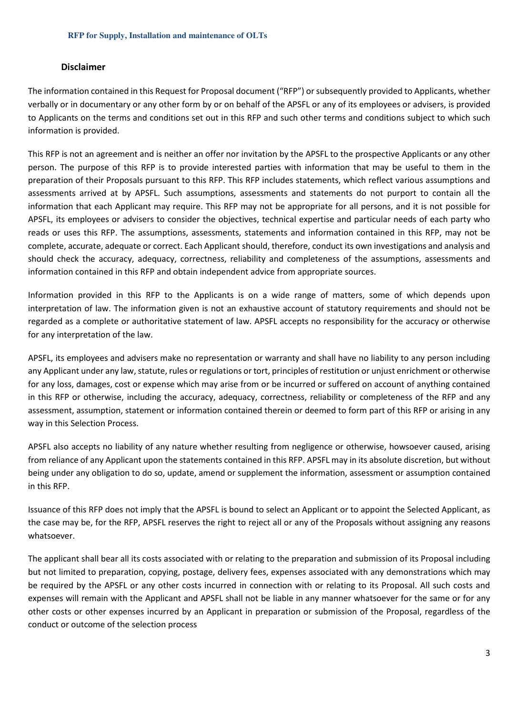#### **Disclaimer**

The information contained in this Request for Proposal document ("RFP") or subsequently provided to Applicants, whether verbally or in documentary or any other form by or on behalf of the APSFL or any of its employees or advisers, is provided to Applicants on the terms and conditions set out in this RFP and such other terms and conditions subject to which such information is provided.

This RFP is not an agreement and is neither an offer nor invitation by the APSFL to the prospective Applicants or any other person. The purpose of this RFP is to provide interested parties with information that may be useful to them in the preparation of their Proposals pursuant to this RFP. This RFP includes statements, which reflect various assumptions and assessments arrived at by APSFL. Such assumptions, assessments and statements do not purport to contain all the information that each Applicant may require. This RFP may not be appropriate for all persons, and it is not possible for APSFL, its employees or advisers to consider the objectives, technical expertise and particular needs of each party who reads or uses this RFP. The assumptions, assessments, statements and information contained in this RFP, may not be complete, accurate, adequate or correct. Each Applicant should, therefore, conduct its own investigations and analysis and should check the accuracy, adequacy, correctness, reliability and completeness of the assumptions, assessments and information contained in this RFP and obtain independent advice from appropriate sources.

Information provided in this RFP to the Applicants is on a wide range of matters, some of which depends upon interpretation of law. The information given is not an exhaustive account of statutory requirements and should not be regarded as a complete or authoritative statement of law. APSFL accepts no responsibility for the accuracy or otherwise for any interpretation of the law.

APSFL, its employees and advisers make no representation or warranty and shall have no liability to any person including any Applicant under any law, statute, rules or regulations or tort, principles of restitution or unjust enrichment or otherwise for any loss, damages, cost or expense which may arise from or be incurred or suffered on account of anything contained in this RFP or otherwise, including the accuracy, adequacy, correctness, reliability or completeness of the RFP and any assessment, assumption, statement or information contained therein or deemed to form part of this RFP or arising in any way in this Selection Process.

APSFL also accepts no liability of any nature whether resulting from negligence or otherwise, howsoever caused, arising from reliance of any Applicant upon the statements contained in this RFP. APSFL may in its absolute discretion, but without being under any obligation to do so, update, amend or supplement the information, assessment or assumption contained in this RFP.

Issuance of this RFP does not imply that the APSFL is bound to select an Applicant or to appoint the Selected Applicant, as the case may be, for the RFP, APSFL reserves the right to reject all or any of the Proposals without assigning any reasons whatsoever.

The applicant shall bear all its costs associated with or relating to the preparation and submission of its Proposal including but not limited to preparation, copying, postage, delivery fees, expenses associated with any demonstrations which may be required by the APSFL or any other costs incurred in connection with or relating to its Proposal. All such costs and expenses will remain with the Applicant and APSFL shall not be liable in any manner whatsoever for the same or for any other costs or other expenses incurred by an Applicant in preparation or submission of the Proposal, regardless of the conduct or outcome of the selection process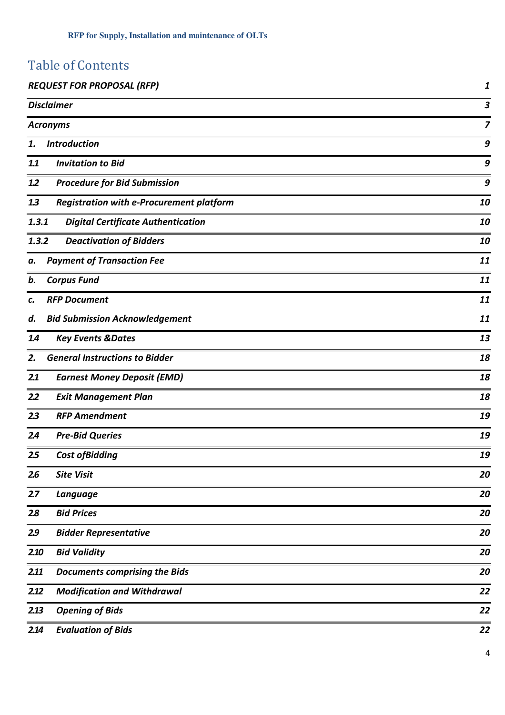# Table of Contents

# *REQUEST FOR PROPOSAL (RFP) 1 Disclaimer 3 Acronyms 7 1. Introduction 9 1.1 Invitation to Bid 9 1.2 Procedure for Bid Submission 9 1.3 Registration with e-Procurement platform 10 1.3.1 Digital Certificate Authentication 10* **1.3.2 Deactivation of Bidders** 10 *a.* Payment of Transaction Fee 11 *b. Corpus Fund 11 c. RFP Document 11* d. Bid Submission Acknowledgement 11 *1.4 Key Events &Dates 13* **2.** *General Instructions to Bidder* 18 *2.1 Earnest Money Deposit (EMD) 18 2.2 Exit Management Plan 18 2.3 RFP Amendment 19 2.4 Pre-Bid Queries 19 2.5 Cost ofBidding 19 2.6 Site Visit 20 2.7 Language 20 2.8 Bid Prices 20 2.9 Bidder Representative 20 2.10 Bid Validity 20 2.11 Documents comprising the Bids 20 2.12 Modification and Withdrawal 22 2.13 Opening of Bids 22 2.14 Evaluation of Bids 22*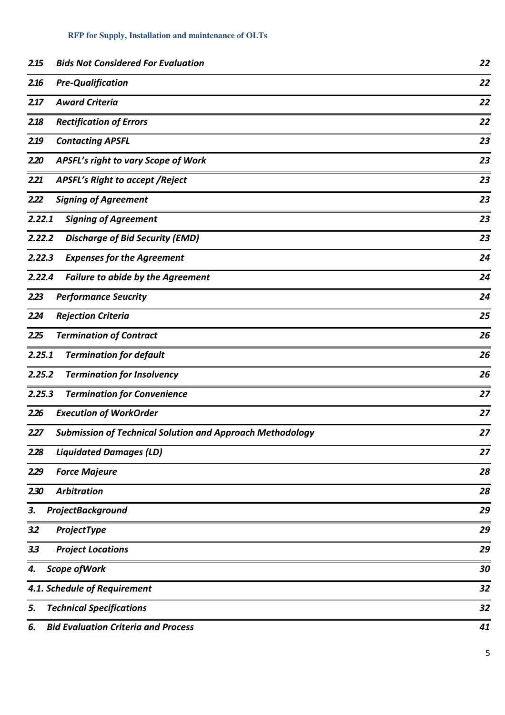| 2.15<br><b>Bids Not Considered For Evaluation</b>                        | 22 |
|--------------------------------------------------------------------------|----|
| <b>Pre-Qualification</b><br>2.16                                         | 22 |
| 2.17<br><b>Award Criteria</b>                                            | 22 |
| <b>Rectification of Errors</b><br>2.18                                   | 22 |
| 2.19<br><b>Contacting APSFL</b>                                          | 23 |
| 2.20<br>APSFL's right to vary Scope of Work                              | 23 |
| 2.21<br><b>APSFL's Right to accept / Reject</b>                          | 23 |
| 2.22<br><b>Signing of Agreement</b>                                      | 23 |
| <b>Signing of Agreement</b><br>2.22.1                                    | 23 |
| 2.22.2<br><b>Discharge of Bid Security (EMD)</b>                         | 23 |
| <b>Expenses for the Agreement</b><br>2.22.3                              | 24 |
| 2.22.4<br><b>Failure to abide by the Agreement</b>                       | 24 |
| 2.23<br><b>Performance Seucrity</b>                                      | 24 |
| 2.24<br><b>Rejection Criteria</b>                                        | 25 |
| <b>Termination of Contract</b><br>2.25                                   | 26 |
| 2.25.1<br><b>Termination for default</b>                                 | 26 |
| 2.25.2<br><b>Termination for Insolvency</b>                              | 26 |
| 2.25.3<br><b>Termination for Convenience</b>                             | 27 |
| 2.26<br><b>Execution of WorkOrder</b>                                    | 27 |
| <b>Submission of Technical Solution and Approach Methodology</b><br>2.27 | 27 |
| <b>Liquidated Damages (LD)</b><br>2.28                                   | 27 |
| <b>Force Majeure</b><br>2.29                                             | 28 |
| <b>Arbitration</b><br>2.30                                               | 28 |
| ProjectBackground<br>3.                                                  | 29 |
| 3.2<br>ProjectType                                                       | 29 |
| 3.3<br><b>Project Locations</b>                                          | 29 |
| <b>Scope of Work</b><br>4.                                               | 30 |
| 4.1. Schedule of Requirement                                             | 32 |
| <b>Technical Specifications</b><br>5.                                    | 32 |
| <b>Bid Evaluation Criteria and Process</b><br>6.                         | 41 |
|                                                                          |    |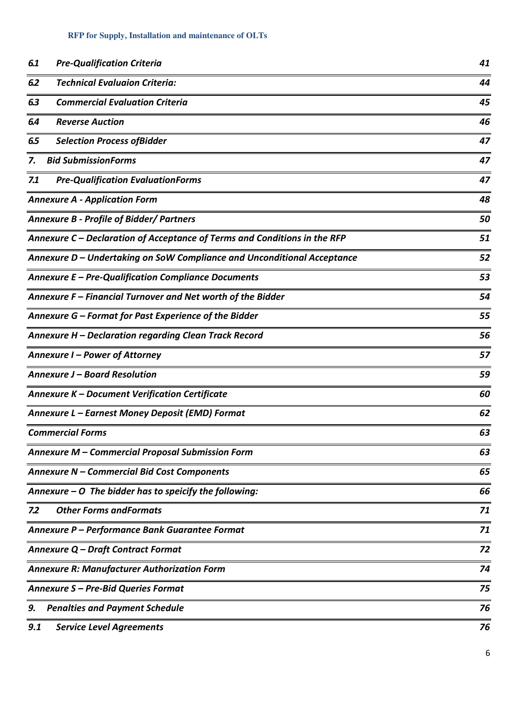| 6.1<br><b>Pre-Qualification Criteria</b>                                  | 41 |
|---------------------------------------------------------------------------|----|
| 6.2<br><b>Technical Evaluaion Criteria:</b>                               | 44 |
| 6.3<br><b>Commercial Evaluation Criteria</b>                              | 45 |
| 6.4<br><b>Reverse Auction</b>                                             | 46 |
| 6.5<br><b>Selection Process of Bidder</b>                                 | 47 |
| <b>Bid SubmissionForms</b><br>7.                                          | 47 |
| <b>Pre-Qualification EvaluationForms</b><br>7.1                           | 47 |
| <b>Annexure A - Application Form</b>                                      | 48 |
| <b>Annexure B - Profile of Bidder/ Partners</b>                           | 50 |
| Annexure C – Declaration of Acceptance of Terms and Conditions in the RFP | 51 |
| Annexure D – Undertaking on SoW Compliance and Unconditional Acceptance   | 52 |
| Annexure E - Pre-Qualification Compliance Documents                       | 53 |
| Annexure $F$ – Financial Turnover and Net worth of the Bidder             | 54 |
| Annexure G – Format for Past Experience of the Bidder                     | 55 |
| Annexure H - Declaration regarding Clean Track Record                     | 56 |
| Annexure I - Power of Attorney                                            | 57 |
| <b>Annexure J - Board Resolution</b>                                      | 59 |
| Annexure K - Document Verification Certificate                            | 60 |
| Annexure L - Earnest Money Deposit (EMD) Format                           | 62 |
| <b>Commercial Forms</b>                                                   | 63 |
| Annexure M - Commercial Proposal Submission Form                          | 63 |
| Annexure N - Commercial Bid Cost Components                               | 65 |
| Annexure $-$ O The bidder has to speicify the following:                  | 66 |
| <b>Other Forms and Formats</b><br>7.2                                     | 71 |
| Annexure P - Performance Bank Guarantee Format                            | 71 |
| Annexure Q - Draft Contract Format                                        | 72 |
| <b>Annexure R: Manufacturer Authorization Form</b>                        | 74 |
| Annexure S - Pre-Bid Queries Format                                       | 75 |
| <b>Penalties and Payment Schedule</b><br>9.                               | 76 |
| 9.1<br><b>Service Level Agreements</b>                                    | 76 |
|                                                                           |    |

6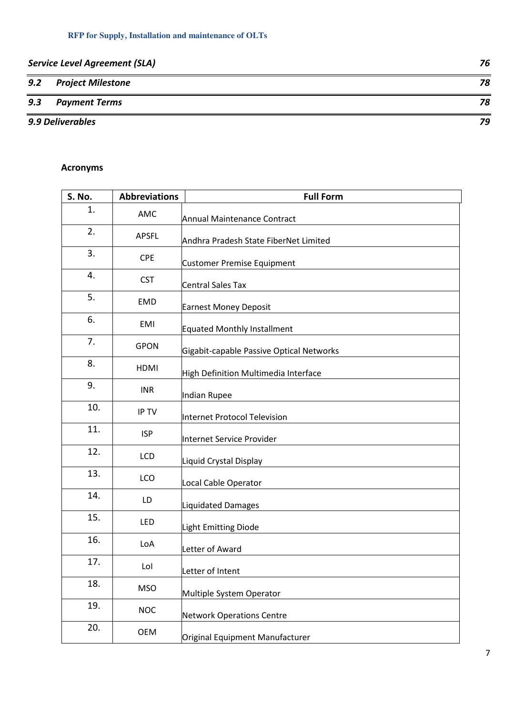| <b>Service Level Agreement (SLA)</b> |                          | 76 |
|--------------------------------------|--------------------------|----|
| 9.2                                  | <b>Project Milestone</b> | 78 |
| 9.3                                  | <b>Payment Terms</b>     | 78 |
| 9.9 Deliverables                     |                          | 79 |

# **Acronyms**

| S. No. | <b>Abbreviations</b> | <b>Full Form</b>                         |
|--------|----------------------|------------------------------------------|
| 1.     | AMC                  | <b>Annual Maintenance Contract</b>       |
| 2.     | <b>APSFL</b>         | Andhra Pradesh State FiberNet Limited    |
| 3.     | <b>CPE</b>           | <b>Customer Premise Equipment</b>        |
| 4.     | <b>CST</b>           | <b>Central Sales Tax</b>                 |
| 5.     | <b>EMD</b>           | <b>Earnest Money Deposit</b>             |
| 6.     | EMI                  | <b>Equated Monthly Installment</b>       |
| 7.     | <b>GPON</b>          | Gigabit-capable Passive Optical Networks |
| 8.     | <b>HDMI</b>          | High Definition Multimedia Interface     |
| 9.     | <b>INR</b>           | Indian Rupee                             |
| 10.    | IP TV                | <b>Internet Protocol Television</b>      |
| 11.    | <b>ISP</b>           | Internet Service Provider                |
| 12.    | LCD                  | Liquid Crystal Display                   |
| 13.    | LCO                  | Local Cable Operator                     |
| 14.    | LD                   | <b>Liquidated Damages</b>                |
| 15.    | LED                  | <b>Light Emitting Diode</b>              |
| 16.    | LoA                  | Letter of Award                          |
| 17.    | Lol                  | Letter of Intent                         |
| 18.    | <b>MSO</b>           | Multiple System Operator                 |
| 19.    | <b>NOC</b>           | <b>Network Operations Centre</b>         |
| 20.    | <b>OEM</b>           | Original Equipment Manufacturer          |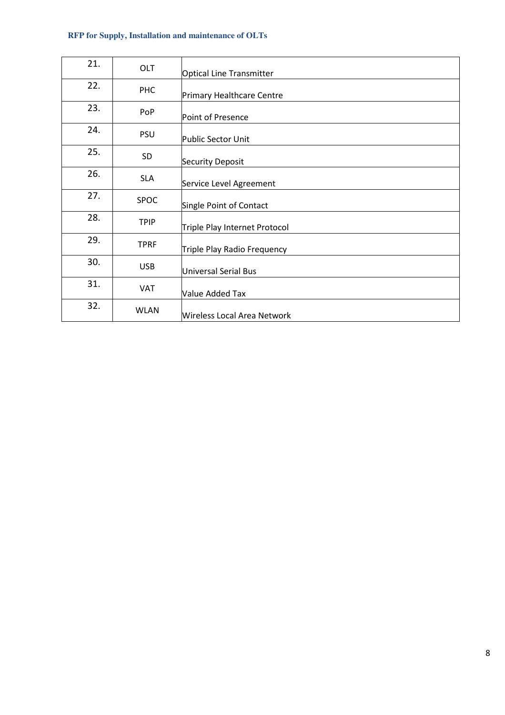| 21. | <b>OLT</b>  | <b>Optical Line Transmitter</b>    |
|-----|-------------|------------------------------------|
| 22. | <b>PHC</b>  | Primary Healthcare Centre          |
| 23. | PoP         | Point of Presence                  |
| 24. | <b>PSU</b>  | Public Sector Unit                 |
| 25. | SD          | <b>Security Deposit</b>            |
| 26. | <b>SLA</b>  | Service Level Agreement            |
| 27. | <b>SPOC</b> | Single Point of Contact            |
| 28. | <b>TPIP</b> | Triple Play Internet Protocol      |
| 29. | <b>TPRF</b> | Triple Play Radio Frequency        |
| 30. | <b>USB</b>  | <b>Universal Serial Bus</b>        |
| 31. | <b>VAT</b>  | Value Added Tax                    |
| 32. | <b>WLAN</b> | <b>Wireless Local Area Network</b> |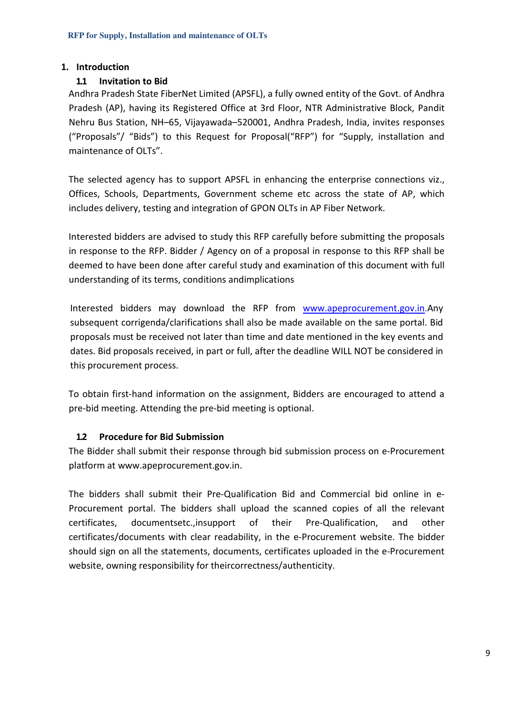# **1. Introduction**

# **1.1 Invitation to Bid**

Andhra Pradesh State FiberNet Limited (APSFL), a fully owned entity of the Govt. of Andhra Pradesh (AP), having its Registered Office at 3rd Floor, NTR Administrative Block, Pandit Nehru Bus Station, NH–65, Vijayawada–520001, Andhra Pradesh, India, invites responses ("Proposals"/ "Bids") to this Request for Proposal("RFP") for "Supply, installation and maintenance of OLTs".

The selected agency has to support APSFL in enhancing the enterprise connections viz., Offices, Schools, Departments, Government scheme etc across the state of AP, which includes delivery, testing and integration of GPON OLTs in AP Fiber Network.

Interested bidders are advised to study this RFP carefully before submitting the proposals in response to the RFP. Bidder / Agency on of a proposal in response to this RFP shall be deemed to have been done after careful study and examination of this document with full understanding of its terms, conditions andimplications

Interested bidders may download the RFP from www.apeprocurement.gov.in.Any subsequent corrigenda/clarifications shall also be made available on the same portal. Bid proposals must be received not later than time and date mentioned in the key events and dates. Bid proposals received, in part or full, after the deadline WILL NOT be considered in this procurement process.

To obtain first-hand information on the assignment, Bidders are encouraged to attend a pre-bid meeting. Attending the pre-bid meeting is optional.

# **1.2 Procedure for Bid Submission**

The Bidder shall submit their response through bid submission process on e-Procurement platform at www.apeprocurement.gov.in.

The bidders shall submit their Pre-Qualification Bid and Commercial bid online in e-Procurement portal. The bidders shall upload the scanned copies of all the relevant certificates, documentsetc.,insupport of their Pre-Qualification, and other certificates/documents with clear readability, in the e-Procurement website. The bidder should sign on all the statements, documents, certificates uploaded in the e-Procurement website, owning responsibility for theircorrectness/authenticity.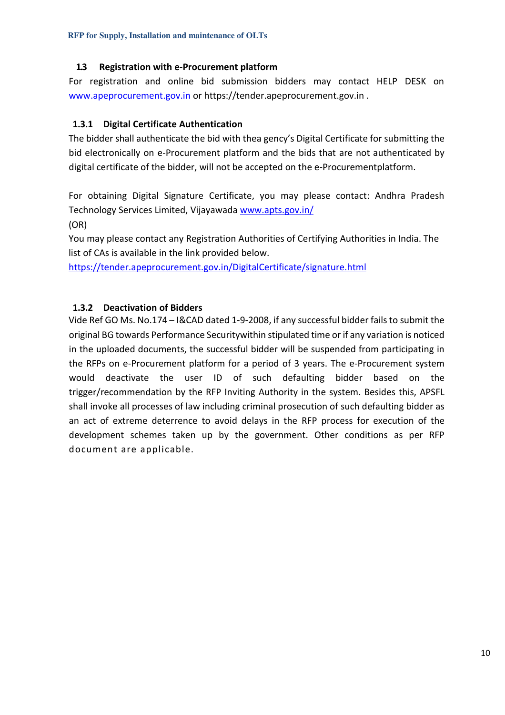# **1.3 Registration with e-Procurement platform**

For registration and online bid submission bidders may contact HELP DESK on www.apeprocurement.gov.in or https://tender.apeprocurement.gov.in .

# **1.3.1 Digital Certificate Authentication**

The bidder shall authenticate the bid with thea gency's Digital Certificate for submitting the bid electronically on e-Procurement platform and the bids that are not authenticated by digital certificate of the bidder, will not be accepted on the e-Procurementplatform.

For obtaining Digital Signature Certificate, you may please contact: Andhra Pradesh Technology Services Limited, Vijayawada www.apts.gov.in/

(OR)

You may please contact any Registration Authorities of Certifying Authorities in India. The list of CAs is available in the link provided below.

https://tender.apeprocurement.gov.in/DigitalCertificate/signature.html

# **1.3.2 Deactivation of Bidders**

Vide Ref GO Ms. No.174 – I&CAD dated 1-9-2008, if any successful bidder fails to submit the original BG towards Performance Securitywithin stipulated time or if any variation is noticed in the uploaded documents, the successful bidder will be suspended from participating in the RFPs on e-Procurement platform for a period of 3 years. The e-Procurement system would deactivate the user ID of such defaulting bidder based on the trigger/recommendation by the RFP Inviting Authority in the system. Besides this, APSFL shall invoke all processes of law including criminal prosecution of such defaulting bidder as an act of extreme deterrence to avoid delays in the RFP process for execution of the development schemes taken up by the government. Other conditions as per RFP document are applicable.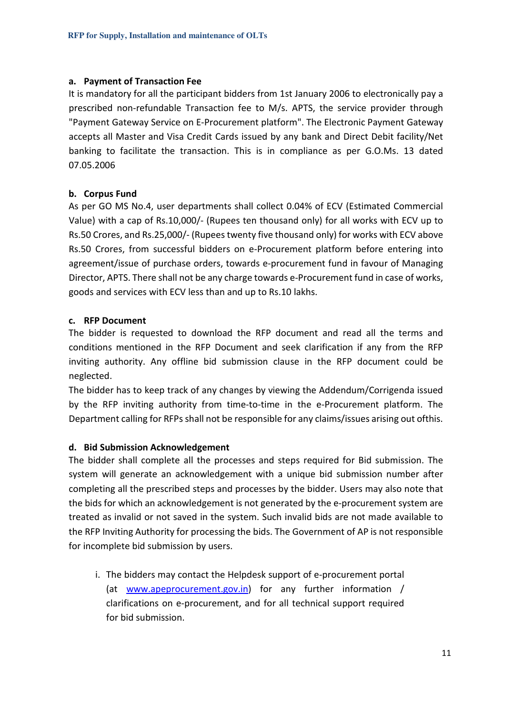#### **a. Payment of Transaction Fee**

It is mandatory for all the participant bidders from 1st January 2006 to electronically pay a prescribed non-refundable Transaction fee to M/s. APTS, the service provider through "Payment Gateway Service on E-Procurement platform". The Electronic Payment Gateway accepts all Master and Visa Credit Cards issued by any bank and Direct Debit facility/Net banking to facilitate the transaction. This is in compliance as per G.O.Ms. 13 dated 07.05.2006

# **b. Corpus Fund**

As per GO MS No.4, user departments shall collect 0.04% of ECV (Estimated Commercial Value) with a cap of Rs.10,000/- (Rupees ten thousand only) for all works with ECV up to Rs.50 Crores, and Rs.25,000/- (Rupees twenty five thousand only) for works with ECV above Rs.50 Crores, from successful bidders on e-Procurement platform before entering into agreement/issue of purchase orders, towards e-procurement fund in favour of Managing Director, APTS. There shall not be any charge towards e-Procurement fund in case of works, goods and services with ECV less than and up to Rs.10 lakhs.

# **c. RFP Document**

The bidder is requested to download the RFP document and read all the terms and conditions mentioned in the RFP Document and seek clarification if any from the RFP inviting authority. Any offline bid submission clause in the RFP document could be neglected.

The bidder has to keep track of any changes by viewing the Addendum/Corrigenda issued by the RFP inviting authority from time-to-time in the e-Procurement platform. The Department calling for RFPs shall not be responsible for any claims/issues arising out ofthis.

# **d. Bid Submission Acknowledgement**

The bidder shall complete all the processes and steps required for Bid submission. The system will generate an acknowledgement with a unique bid submission number after completing all the prescribed steps and processes by the bidder. Users may also note that the bids for which an acknowledgement is not generated by the e-procurement system are treated as invalid or not saved in the system. Such invalid bids are not made available to the RFP Inviting Authority for processing the bids. The Government of AP is not responsible for incomplete bid submission by users.

i. The bidders may contact the Helpdesk support of e-procurement portal (at www.apeprocurement.gov.in) for any further information / clarifications on e-procurement, and for all technical support required for bid submission.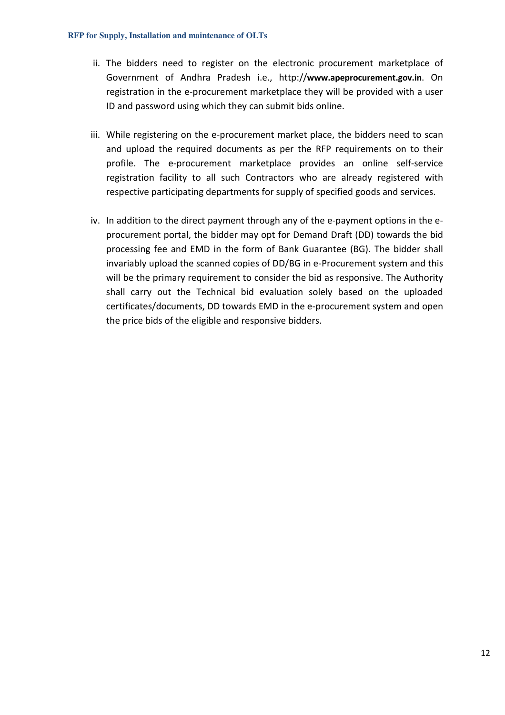- ii. The bidders need to register on the electronic procurement marketplace of Government of Andhra Pradesh i.e., http://**www.apeprocurement.gov.in**. On registration in the e-procurement marketplace they will be provided with a user ID and password using which they can submit bids online.
- iii. While registering on the e-procurement market place, the bidders need to scan and upload the required documents as per the RFP requirements on to their profile. The e-procurement marketplace provides an online self-service registration facility to all such Contractors who are already registered with respective participating departments for supply of specified goods and services.
- iv. In addition to the direct payment through any of the e-payment options in the eprocurement portal, the bidder may opt for Demand Draft (DD) towards the bid processing fee and EMD in the form of Bank Guarantee (BG). The bidder shall invariably upload the scanned copies of DD/BG in e-Procurement system and this will be the primary requirement to consider the bid as responsive. The Authority shall carry out the Technical bid evaluation solely based on the uploaded certificates/documents, DD towards EMD in the e-procurement system and open the price bids of the eligible and responsive bidders.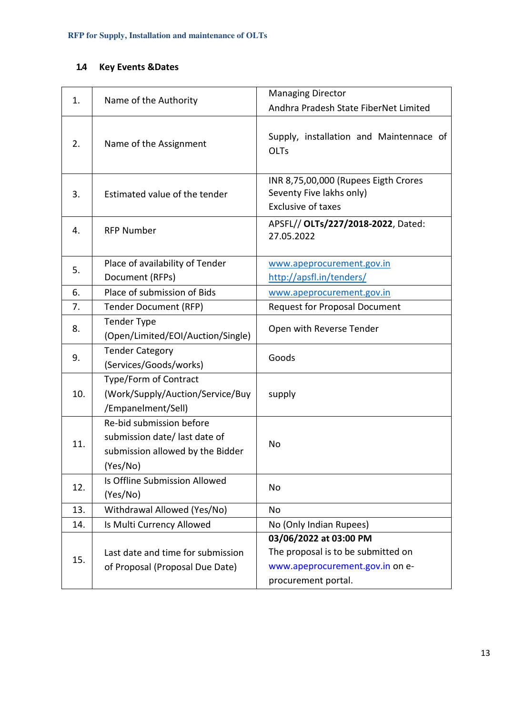# **1.4 Key Events &Dates**

| 1.  | Name of the Authority                                                                                     | <b>Managing Director</b><br>Andhra Pradesh State FiberNet Limited                                                      |
|-----|-----------------------------------------------------------------------------------------------------------|------------------------------------------------------------------------------------------------------------------------|
| 2.  | Name of the Assignment                                                                                    | Supply, installation and Maintennace of<br><b>OLTs</b>                                                                 |
| 3.  | Estimated value of the tender                                                                             | INR 8,75,00,000 (Rupees Eigth Crores<br>Seventy Five lakhs only)<br><b>Exclusive of taxes</b>                          |
| 4.  | <b>RFP Number</b>                                                                                         | APSFL// OLTs/227/2018-2022, Dated:<br>27.05.2022                                                                       |
| 5.  | Place of availability of Tender<br>Document (RFPs)                                                        | www.apeprocurement.gov.in<br>http://apsfl.in/tenders/                                                                  |
| 6.  | Place of submission of Bids                                                                               | www.apeprocurement.gov.in                                                                                              |
| 7.  | <b>Tender Document (RFP)</b>                                                                              | <b>Request for Proposal Document</b>                                                                                   |
| 8.  | <b>Tender Type</b><br>(Open/Limited/EOI/Auction/Single)                                                   | Open with Reverse Tender                                                                                               |
| 9.  | <b>Tender Category</b><br>Goods<br>(Services/Goods/works)                                                 |                                                                                                                        |
| 10. | Type/Form of Contract<br>(Work/Supply/Auction/Service/Buy<br>/Empanelment/Sell)                           | supply                                                                                                                 |
| 11. | Re-bid submission before<br>submission date/ last date of<br>submission allowed by the Bidder<br>(Yes/No) | <b>No</b>                                                                                                              |
| 12. | Is Offline Submission Allowed<br>(Yes/No)                                                                 | No                                                                                                                     |
| 13. | Withdrawal Allowed (Yes/No)                                                                               | <b>No</b>                                                                                                              |
| 14. | Is Multi Currency Allowed                                                                                 | No (Only Indian Rupees)                                                                                                |
| 15. | Last date and time for submission<br>of Proposal (Proposal Due Date)                                      | 03/06/2022 at 03:00 PM<br>The proposal is to be submitted on<br>www.apeprocurement.gov.in on e-<br>procurement portal. |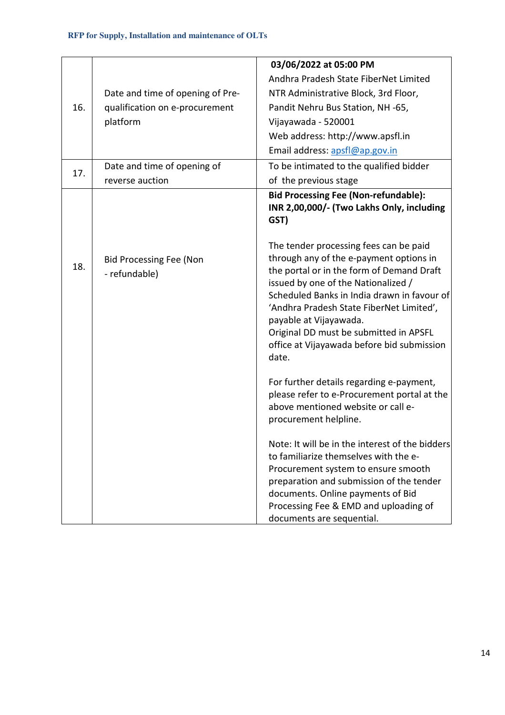|     |                                                 | 03/06/2022 at 05:00 PM                                                                                                                                                                                                                                                                                                                                                                      |
|-----|-------------------------------------------------|---------------------------------------------------------------------------------------------------------------------------------------------------------------------------------------------------------------------------------------------------------------------------------------------------------------------------------------------------------------------------------------------|
|     |                                                 | Andhra Pradesh State FiberNet Limited                                                                                                                                                                                                                                                                                                                                                       |
|     | Date and time of opening of Pre-                | NTR Administrative Block, 3rd Floor,                                                                                                                                                                                                                                                                                                                                                        |
| 16. | qualification on e-procurement                  | Pandit Nehru Bus Station, NH-65,                                                                                                                                                                                                                                                                                                                                                            |
|     | platform                                        | Vijayawada - 520001                                                                                                                                                                                                                                                                                                                                                                         |
|     |                                                 | Web address: http://www.apsfl.in                                                                                                                                                                                                                                                                                                                                                            |
|     |                                                 | Email address: apsfl@ap.gov.in                                                                                                                                                                                                                                                                                                                                                              |
| 17. | Date and time of opening of                     | To be intimated to the qualified bidder                                                                                                                                                                                                                                                                                                                                                     |
|     | reverse auction                                 | of the previous stage                                                                                                                                                                                                                                                                                                                                                                       |
|     |                                                 | <b>Bid Processing Fee (Non-refundable):</b><br>INR 2,00,000/- (Two Lakhs Only, including<br>GST)                                                                                                                                                                                                                                                                                            |
| 18. | <b>Bid Processing Fee (Non</b><br>- refundable) | The tender processing fees can be paid<br>through any of the e-payment options in<br>the portal or in the form of Demand Draft<br>issued by one of the Nationalized /<br>Scheduled Banks in India drawn in favour of<br>'Andhra Pradesh State FiberNet Limited',<br>payable at Vijayawada.<br>Original DD must be submitted in APSFL<br>office at Vijayawada before bid submission<br>date. |
|     |                                                 | For further details regarding e-payment,<br>please refer to e-Procurement portal at the<br>above mentioned website or call e-<br>procurement helpline.                                                                                                                                                                                                                                      |
|     |                                                 | Note: It will be in the interest of the bidders<br>to familiarize themselves with the e-<br>Procurement system to ensure smooth<br>preparation and submission of the tender<br>documents. Online payments of Bid<br>Processing Fee & EMD and uploading of<br>documents are sequential.                                                                                                      |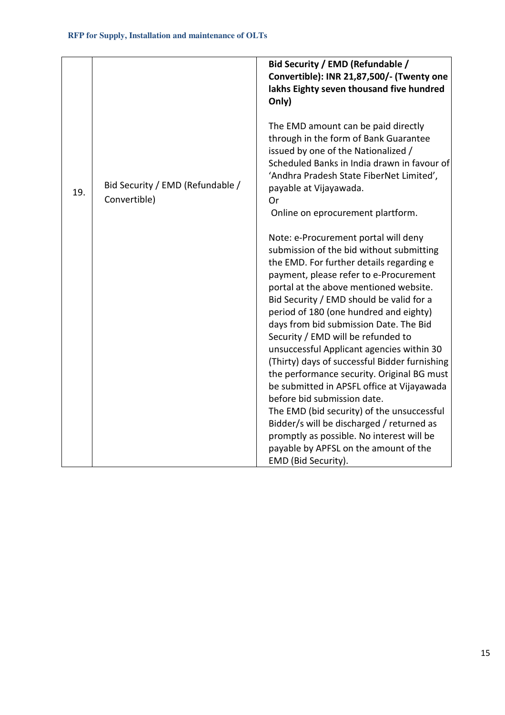|     |                                                  | Bid Security / EMD (Refundable /<br>Convertible): INR 21,87,500/- (Twenty one<br>lakhs Eighty seven thousand five hundred<br>Only)                                                                                                                                                                                                                                                                                                                                                                                                                                                                                                                                                                                                                                                                                      |
|-----|--------------------------------------------------|-------------------------------------------------------------------------------------------------------------------------------------------------------------------------------------------------------------------------------------------------------------------------------------------------------------------------------------------------------------------------------------------------------------------------------------------------------------------------------------------------------------------------------------------------------------------------------------------------------------------------------------------------------------------------------------------------------------------------------------------------------------------------------------------------------------------------|
| 19. | Bid Security / EMD (Refundable /<br>Convertible) | The EMD amount can be paid directly<br>through in the form of Bank Guarantee<br>issued by one of the Nationalized /<br>Scheduled Banks in India drawn in favour of<br>'Andhra Pradesh State FiberNet Limited',<br>payable at Vijayawada.<br>Or<br>Online on eprocurement plartform.                                                                                                                                                                                                                                                                                                                                                                                                                                                                                                                                     |
|     |                                                  | Note: e-Procurement portal will deny<br>submission of the bid without submitting<br>the EMD. For further details regarding e<br>payment, please refer to e-Procurement<br>portal at the above mentioned website.<br>Bid Security / EMD should be valid for a<br>period of 180 (one hundred and eighty)<br>days from bid submission Date. The Bid<br>Security / EMD will be refunded to<br>unsuccessful Applicant agencies within 30<br>(Thirty) days of successful Bidder furnishing<br>the performance security. Original BG must<br>be submitted in APSFL office at Vijayawada<br>before bid submission date.<br>The EMD (bid security) of the unsuccessful<br>Bidder/s will be discharged / returned as<br>promptly as possible. No interest will be<br>payable by APFSL on the amount of the<br>EMD (Bid Security). |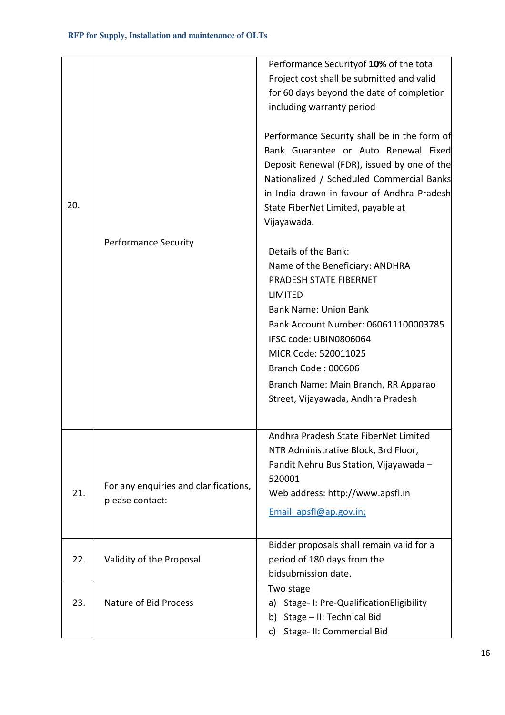| 20. | <b>Performance Security</b>                              | Performance Security of 10% of the total<br>Project cost shall be submitted and valid<br>for 60 days beyond the date of completion<br>including warranty period<br>Performance Security shall be in the form of<br>Bank Guarantee or Auto Renewal Fixed<br>Deposit Renewal (FDR), issued by one of the<br>Nationalized / Scheduled Commercial Banks<br>in India drawn in favour of Andhra Pradesh<br>State FiberNet Limited, payable at<br>Vijayawada.<br>Details of the Bank:<br>Name of the Beneficiary: ANDHRA<br>PRADESH STATE FIBERNET<br>LIMITED<br><b>Bank Name: Union Bank</b><br>Bank Account Number: 060611100003785<br>IFSC code: UBIN0806064<br>MICR Code: 520011025<br>Branch Code: 000606<br>Branch Name: Main Branch, RR Apparao<br>Street, Vijayawada, Andhra Pradesh |
|-----|----------------------------------------------------------|---------------------------------------------------------------------------------------------------------------------------------------------------------------------------------------------------------------------------------------------------------------------------------------------------------------------------------------------------------------------------------------------------------------------------------------------------------------------------------------------------------------------------------------------------------------------------------------------------------------------------------------------------------------------------------------------------------------------------------------------------------------------------------------|
| 21. | For any enquiries and clarifications,<br>please contact: | Andhra Pradesh State FiberNet Limited<br>NTR Administrative Block, 3rd Floor,<br>Pandit Nehru Bus Station, Vijayawada -<br>520001<br>Web address: http://www.apsfl.in<br>Email: apsfl@ap.gov.in;                                                                                                                                                                                                                                                                                                                                                                                                                                                                                                                                                                                      |
| 22. | Validity of the Proposal                                 | Bidder proposals shall remain valid for a<br>period of 180 days from the<br>bidsubmission date.                                                                                                                                                                                                                                                                                                                                                                                                                                                                                                                                                                                                                                                                                       |
| 23. | Nature of Bid Process                                    | Two stage<br>Stage-I: Pre-QualificationEligibility<br>a)<br>Stage - II: Technical Bid<br>b)<br>Stage- II: Commercial Bid<br>C)                                                                                                                                                                                                                                                                                                                                                                                                                                                                                                                                                                                                                                                        |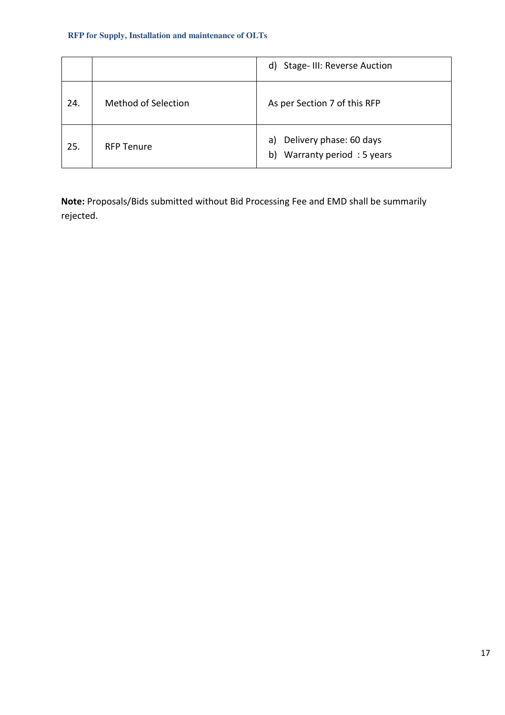|     |                     | d) Stage- III: Reverse Auction                                  |
|-----|---------------------|-----------------------------------------------------------------|
| 24. | Method of Selection | As per Section 7 of this RFP                                    |
| 25. | <b>RFP Tenure</b>   | Delivery phase: 60 days<br>a)<br>Warranty period: 5 years<br>b) |

**Note:** Proposals/Bids submitted without Bid Processing Fee and EMD shall be summarily rejected.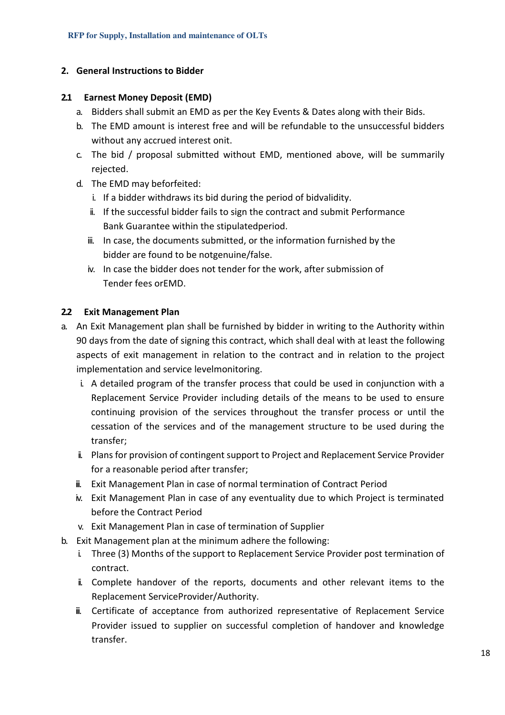# **2. General Instructions to Bidder**

# **2.1 Earnest Money Deposit (EMD)**

- a. Bidders shall submit an EMD as per the Key Events & Dates along with their Bids.
- b. The EMD amount is interest free and will be refundable to the unsuccessful bidders without any accrued interest onit.
- c. The bid / proposal submitted without EMD, mentioned above, will be summarily rejected.
- d. The EMD may beforfeited:
	- i. If a bidder withdraws its bid during the period of bidvalidity.
	- ii. If the successful bidder fails to sign the contract and submit Performance Bank Guarantee within the stipulatedperiod.
	- iii. In case, the documents submitted, or the information furnished by the bidder are found to be notgenuine/false.
	- iv. In case the bidder does not tender for the work, after submission of Tender fees orEMD.

# **2.2 Exit Management Plan**

- a. An Exit Management plan shall be furnished by bidder in writing to the Authority within 90 days from the date of signing this contract, which shall deal with at least the following aspects of exit management in relation to the contract and in relation to the project implementation and service levelmonitoring.
	- i. A detailed program of the transfer process that could be used in conjunction with a Replacement Service Provider including details of the means to be used to ensure continuing provision of the services throughout the transfer process or until the cessation of the services and of the management structure to be used during the transfer;
	- ii. Plans for provision of contingent support to Project and Replacement Service Provider for a reasonable period after transfer;
	- ii. Exit Management Plan in case of normal termination of Contract Period
	- iv. Exit Management Plan in case of any eventuality due to which Project is terminated before the Contract Period
	- v. Exit Management Plan in case of termination of Supplier
- b. Exit Management plan at the minimum adhere the following:
	- i. Three (3) Months of the support to Replacement Service Provider post termination of contract.
	- ii. Complete handover of the reports, documents and other relevant items to the Replacement ServiceProvider/Authority.
	- iii. Certificate of acceptance from authorized representative of Replacement Service Provider issued to supplier on successful completion of handover and knowledge transfer.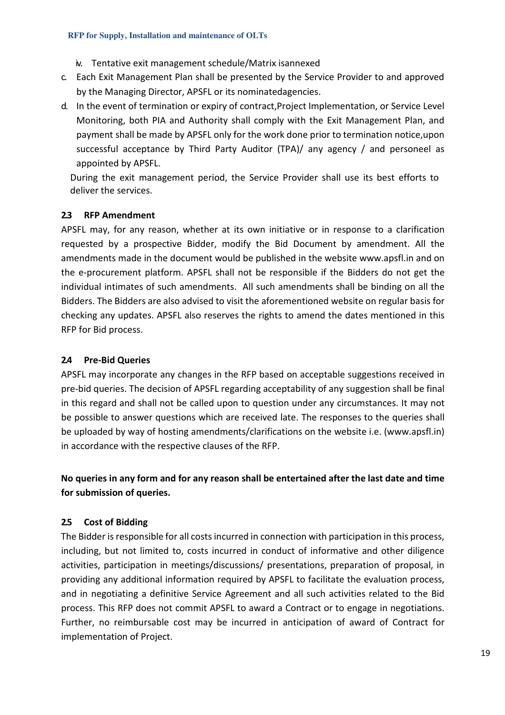- iv. Tentative exit management schedule/Matrix isannexed
- c. Each Exit Management Plan shall be presented by the Service Provider to and approved by the Managing Director, APSFL or its nominatedagencies.
- d. In the event of termination or expiry of contract,Project Implementation, or Service Level Monitoring, both PIA and Authority shall comply with the Exit Management Plan, and payment shall be made by APSFL only for the work done prior to termination notice,upon successful acceptance by Third Party Auditor (TPA)/ any agency / and personeel as appointed by APSFL.

During the exit management period, the Service Provider shall use its best efforts to deliver the services.

# **2.3 RFP Amendment**

 APSFL may, for any reason, whether at its own initiative or in response to a clarification requested by a prospective Bidder, modify the Bid Document by amendment. All the amendments made in the document would be published in the website www.apsfl.in and on the e-procurement platform. APSFL shall not be responsible if the Bidders do not get the individual intimates of such amendments. All such amendments shall be binding on all the Bidders. The Bidders are also advised to visit the aforementioned website on regular basis for checking any updates. APSFL also reserves the rights to amend the dates mentioned in this RFP for Bid process.

# **2.4 Pre-Bid Queries**

APSFL may incorporate any changes in the RFP based on acceptable suggestions received in pre-bid queries. The decision of APSFL regarding acceptability of any suggestion shall be final in this regard and shall not be called upon to question under any circumstances. It may not be possible to answer questions which are received late. The responses to the queries shall be uploaded by way of hosting amendments/clarifications on the website i.e. (www.apsfl.in) in accordance with the respective clauses of the RFP.

# **No queries in any form and for any reason shall be entertained after the last date and time for submission of queries.**

# **2.5 Cost of Bidding**

The Bidder is responsible for all costs incurred in connection with participation in this process, including, but not limited to, costs incurred in conduct of informative and other diligence activities, participation in meetings/discussions/ presentations, preparation of proposal, in providing any additional information required by APSFL to facilitate the evaluation process, and in negotiating a definitive Service Agreement and all such activities related to the Bid process. This RFP does not commit APSFL to award a Contract or to engage in negotiations. Further, no reimbursable cost may be incurred in anticipation of award of Contract for implementation of Project.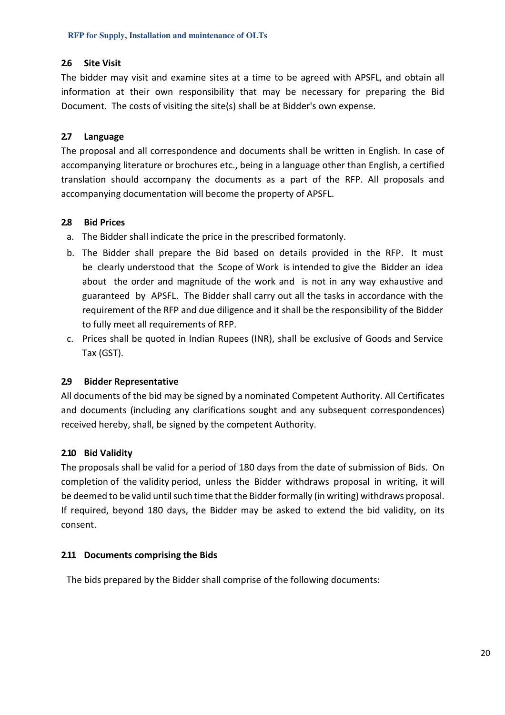#### **2.6 Site Visit**

The bidder may visit and examine sites at a time to be agreed with APSFL, and obtain all information at their own responsibility that may be necessary for preparing the Bid Document. The costs of visiting the site(s) shall be at Bidder's own expense.

#### **2.7 Language**

The proposal and all correspondence and documents shall be written in English. In case of accompanying literature or brochures etc., being in a language other than English, a certified translation should accompany the documents as a part of the RFP. All proposals and accompanying documentation will become the property of APSFL.

#### **2.8 Bid Prices**

- a. The Bidder shall indicate the price in the prescribed formatonly.
- b. The Bidder shall prepare the Bid based on details provided in the RFP. It must be clearly understood that the Scope of Work is intended to give the Bidder an idea about the order and magnitude of the work and is not in any way exhaustive and guaranteed by APSFL. The Bidder shall carry out all the tasks in accordance with the requirement of the RFP and due diligence and it shall be the responsibility of the Bidder to fully meet all requirements of RFP.
- c. Prices shall be quoted in Indian Rupees (INR), shall be exclusive of Goods and Service Tax (GST).

#### **2.9 Bidder Representative**

All documents of the bid may be signed by a nominated Competent Authority. All Certificates and documents (including any clarifications sought and any subsequent correspondences) received hereby, shall, be signed by the competent Authority.

#### **2.10 Bid Validity**

The proposals shall be valid for a period of 180 days from the date of submission of Bids. On completion of the validity period, unless the Bidder withdraws proposal in writing, it will be deemed to be valid until such time that the Bidder formally (in writing) withdraws proposal. If required, beyond 180 days, the Bidder may be asked to extend the bid validity, on its consent.

#### **2.11 Documents comprising the Bids**

The bids prepared by the Bidder shall comprise of the following documents: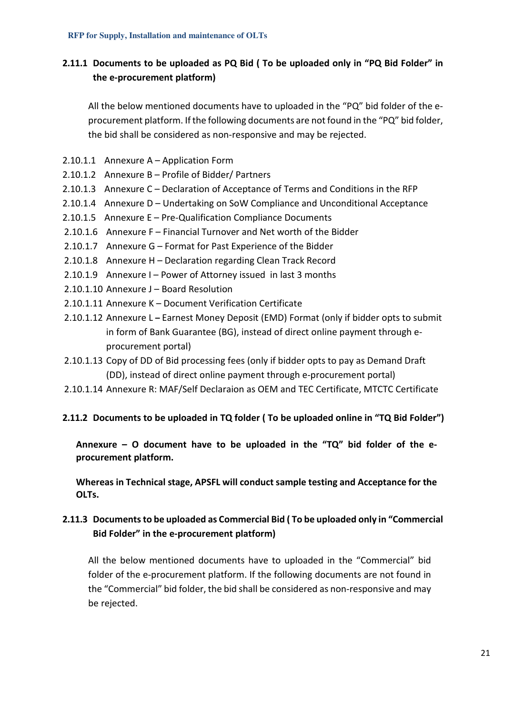# **2.11.1 Documents to be uploaded as PQ Bid ( To be uploaded only in "PQ Bid Folder" in the e-procurement platform)**

All the below mentioned documents have to uploaded in the "PQ" bid folder of the eprocurement platform. If the following documents are not found in the "PQ" bid folder, the bid shall be considered as non-responsive and may be rejected.

- 2.10.1.1 Annexure A Application Form
- 2.10.1.2 Annexure B Profile of Bidder/ Partners
- 2.10.1.3 Annexure C Declaration of Acceptance of Terms and Conditions in the RFP
- 2.10.1.4 Annexure D Undertaking on SoW Compliance and Unconditional Acceptance
- 2.10.1.5 Annexure E Pre-Qualification Compliance Documents
- 2.10.1.6 Annexure F Financial Turnover and Net worth of the Bidder
- 2.10.1.7 Annexure G Format for Past Experience of the Bidder
- 2.10.1.8 Annexure H Declaration regarding Clean Track Record
- 2.10.1.9 Annexure I Power of Attorney issued in last 3 months
- 2.10.1.10 Annexure J Board Resolution
- 2.10.1.11 Annexure K Document Verification Certificate
- 2.10.1.12 Annexure L Earnest Money Deposit (EMD) Format (only if bidder opts to submit in form of Bank Guarantee (BG), instead of direct online payment through eprocurement portal)
- 2.10.1.13 Copy of DD of Bid processing fees (only if bidder opts to pay as Demand Draft (DD), instead of direct online payment through e-procurement portal)
- 2.10.1.14 Annexure R: MAF/Self Declaraion as OEM and TEC Certificate, MTCTC Certificate

#### **2.11.2 Documents to be uploaded in TQ folder ( To be uploaded online in "TQ Bid Folder")**

**Annexure – O document have to be uploaded in the "TQ" bid folder of the eprocurement platform.** 

**Whereas in Technical stage, APSFL will conduct sample testing and Acceptance for the OLTs.** 

# **2.11.3 Documents to be uploaded as Commercial Bid ( To be uploaded only in "Commercial Bid Folder" in the e-procurement platform)**

All the below mentioned documents have to uploaded in the "Commercial" bid folder of the e-procurement platform. If the following documents are not found in the "Commercial" bid folder, the bid shall be considered as non-responsive and may be rejected.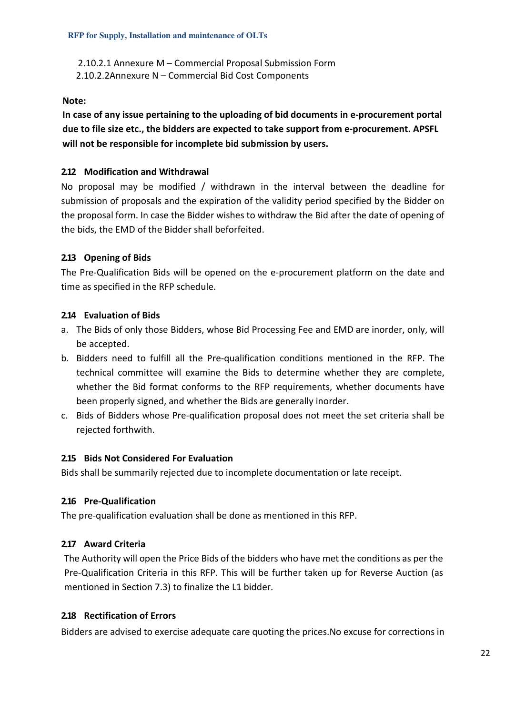2.10.2.1 Annexure M – Commercial Proposal Submission Form

2.10.2.2Annexure N – Commercial Bid Cost Components

#### **Note:**

**In case of any issue pertaining to the uploading of bid documents in e-procurement portal due to file size etc., the bidders are expected to take support from e-procurement. APSFL will not be responsible for incomplete bid submission by users.** 

#### **2.12 Modification and Withdrawal**

No proposal may be modified / withdrawn in the interval between the deadline for submission of proposals and the expiration of the validity period specified by the Bidder on the proposal form. In case the Bidder wishes to withdraw the Bid after the date of opening of the bids, the EMD of the Bidder shall beforfeited.

#### **2.13 Opening of Bids**

The Pre-Qualification Bids will be opened on the e-procurement platform on the date and time as specified in the RFP schedule.

#### **2.14 Evaluation of Bids**

- a. The Bids of only those Bidders, whose Bid Processing Fee and EMD are inorder, only, will be accepted.
- b. Bidders need to fulfill all the Pre-qualification conditions mentioned in the RFP. The technical committee will examine the Bids to determine whether they are complete, whether the Bid format conforms to the RFP requirements, whether documents have been properly signed, and whether the Bids are generally inorder.
- c. Bids of Bidders whose Pre-qualification proposal does not meet the set criteria shall be rejected forthwith.

#### **2.15 Bids Not Considered For Evaluation**

Bids shall be summarily rejected due to incomplete documentation or late receipt.

#### **2.16 Pre-Qualification**

The pre-qualification evaluation shall be done as mentioned in this RFP.

#### **2.17 Award Criteria**

The Authority will open the Price Bids of the bidders who have met the conditions as per the Pre-Qualification Criteria in this RFP. This will be further taken up for Reverse Auction (as mentioned in Section 7.3) to finalize the L1 bidder.

#### **2.18 Rectification of Errors**

Bidders are advised to exercise adequate care quoting the prices.No excuse for corrections in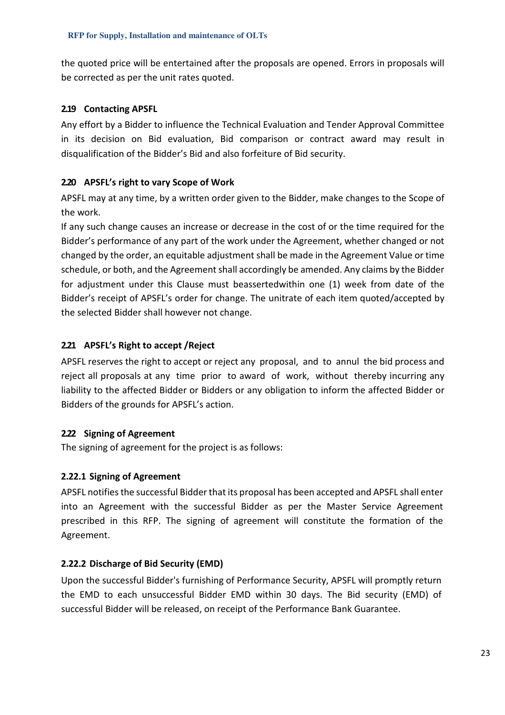the quoted price will be entertained after the proposals are opened. Errors in proposals will be corrected as per the unit rates quoted.

# **2.19 Contacting APSFL**

Any effort by a Bidder to influence the Technical Evaluation and Tender Approval Committee in its decision on Bid evaluation, Bid comparison or contract award may result in disqualification of the Bidder's Bid and also forfeiture of Bid security.

# **2.20 APSFL's right to vary Scope of Work**

APSFL may at any time, by a written order given to the Bidder, make changes to the Scope of the work.

If any such change causes an increase or decrease in the cost of or the time required for the Bidder's performance of any part of the work under the Agreement, whether changed or not changed by the order, an equitable adjustment shall be made in the Agreement Value or time schedule, or both, and the Agreement shall accordingly be amended. Any claims by the Bidder for adjustment under this Clause must beassertedwithin one (1) week from date of the Bidder's receipt of APSFL's order for change. The unitrate of each item quoted/accepted by the selected Bidder shall however not change.

# **2.21 APSFL's Right to accept /Reject**

APSFL reserves the right to accept or reject any proposal, and to annul the bid process and reject all proposals at any time prior to award of work, without thereby incurring any liability to the affected Bidder or Bidders or any obligation to inform the affected Bidder or Bidders of the grounds for APSFL's action.

# **2.22 Signing of Agreement**

The signing of agreement for the project is as follows:

# **2.22.1 Signing of Agreement**

APSFL notifies the successful Bidder that its proposal has been accepted and APSFL shall enter into an Agreement with the successful Bidder as per the Master Service Agreement prescribed in this RFP. The signing of agreement will constitute the formation of the Agreement.

# **2.22.2 Discharge of Bid Security (EMD)**

Upon the successful Bidder's furnishing of Performance Security, APSFL will promptly return the EMD to each unsuccessful Bidder EMD within 30 days. The Bid security (EMD) of successful Bidder will be released, on receipt of the Performance Bank Guarantee.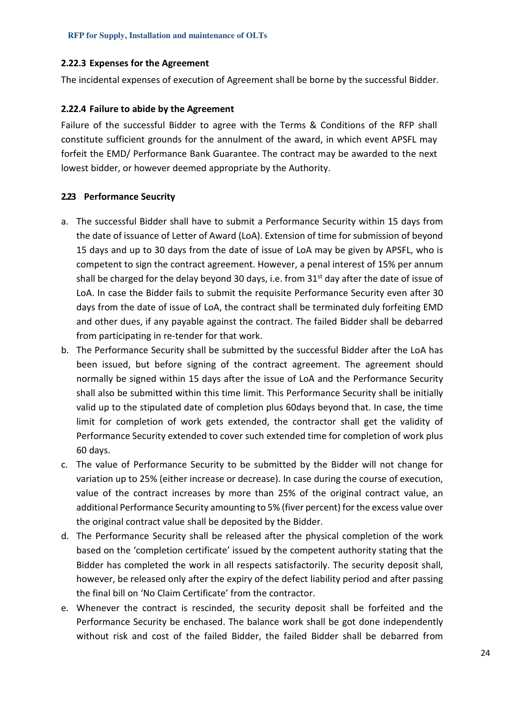#### **2.22.3 Expenses for the Agreement**

The incidental expenses of execution of Agreement shall be borne by the successful Bidder.

#### **2.22.4 Failure to abide by the Agreement**

Failure of the successful Bidder to agree with the Terms & Conditions of the RFP shall constitute sufficient grounds for the annulment of the award, in which event APSFL may forfeit the EMD/ Performance Bank Guarantee. The contract may be awarded to the next lowest bidder, or however deemed appropriate by the Authority.

#### **2.23 Performance Seucrity**

- a. The successful Bidder shall have to submit a Performance Security within 15 days from the date of issuance of Letter of Award (LoA). Extension of time for submission of beyond 15 days and up to 30 days from the date of issue of LoA may be given by APSFL, who is competent to sign the contract agreement. However, a penal interest of 15% per annum shall be charged for the delay beyond 30 days, i.e. from  $31<sup>st</sup>$  day after the date of issue of LoA. In case the Bidder fails to submit the requisite Performance Security even after 30 days from the date of issue of LoA, the contract shall be terminated duly forfeiting EMD and other dues, if any payable against the contract. The failed Bidder shall be debarred from participating in re-tender for that work.
- b. The Performance Security shall be submitted by the successful Bidder after the LoA has been issued, but before signing of the contract agreement. The agreement should normally be signed within 15 days after the issue of LoA and the Performance Security shall also be submitted within this time limit. This Performance Security shall be initially valid up to the stipulated date of completion plus 60days beyond that. In case, the time limit for completion of work gets extended, the contractor shall get the validity of Performance Security extended to cover such extended time for completion of work plus 60 days.
- c. The value of Performance Security to be submitted by the Bidder will not change for variation up to 25% (either increase or decrease). In case during the course of execution, value of the contract increases by more than 25% of the original contract value, an additional Performance Security amounting to 5% (fiver percent) for the excess value over the original contract value shall be deposited by the Bidder.
- d. The Performance Security shall be released after the physical completion of the work based on the 'completion certificate' issued by the competent authority stating that the Bidder has completed the work in all respects satisfactorily. The security deposit shall, however, be released only after the expiry of the defect liability period and after passing the final bill on 'No Claim Certificate' from the contractor.
- e. Whenever the contract is rescinded, the security deposit shall be forfeited and the Performance Security be enchased. The balance work shall be got done independently without risk and cost of the failed Bidder, the failed Bidder shall be debarred from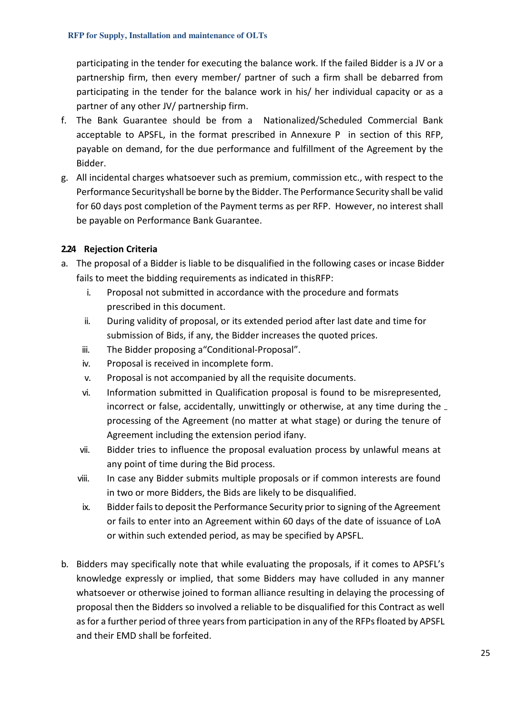participating in the tender for executing the balance work. If the failed Bidder is a JV or a partnership firm, then every member/ partner of such a firm shall be debarred from participating in the tender for the balance work in his/ her individual capacity or as a partner of any other JV/ partnership firm.

- f. The Bank Guarantee should be from a Nationalized/Scheduled Commercial Bank acceptable to APSFL, in the format prescribed in Annexure P in section of this RFP, payable on demand, for the due performance and fulfillment of the Agreement by the Bidder.
- g. All incidental charges whatsoever such as premium, commission etc., with respect to the Performance Securityshall be borne by the Bidder. The Performance Security shall be valid for 60 days post completion of the Payment terms as per RFP. However, no interest shall be payable on Performance Bank Guarantee.

# **2.24 Rejection Criteria**

- a. The proposal of a Bidder is liable to be disqualified in the following cases or incase Bidder fails to meet the bidding requirements as indicated in thisRFP:
	- i. Proposal not submitted in accordance with the procedure and formats prescribed in this document.
	- ii. During validity of proposal, or its extended period after last date and time for submission of Bids, if any, the Bidder increases the quoted prices.
	- iii. The Bidder proposing a "Conditional-Proposal".
	- iv. Proposal is received in incomplete form.
	- v. Proposal is not accompanied by all the requisite documents.
	- vi. Information submitted in Qualification proposal is found to be misrepresented, incorrect or false, accidentally, unwittingly or otherwise, at any time during the processing of the Agreement (no matter at what stage) or during the tenure of Agreement including the extension period ifany.
	- vii. Bidder tries to influence the proposal evaluation process by unlawful means at any point of time during the Bid process.
	- viii. In case any Bidder submits multiple proposals or if common interests are found in two or more Bidders, the Bids are likely to be disqualified.
	- ix. Bidder fails to deposit the Performance Security prior to signing of the Agreement or fails to enter into an Agreement within 60 days of the date of issuance of LoA or within such extended period, as may be specified by APSFL.
- b. Bidders may specifically note that while evaluating the proposals, if it comes to APSFL's knowledge expressly or implied, that some Bidders may have colluded in any manner whatsoever or otherwise joined to forman alliance resulting in delaying the processing of proposal then the Bidders so involved a reliable to be disqualified for this Contract as well as for a further period of three years from participation in any of the RFPs floated by APSFL and their EMD shall be forfeited.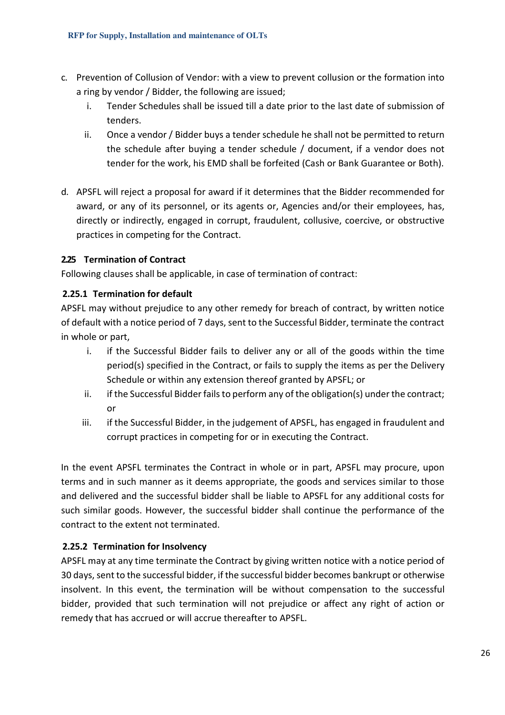- c. Prevention of Collusion of Vendor: with a view to prevent collusion or the formation into a ring by vendor / Bidder, the following are issued;
	- i. Tender Schedules shall be issued till a date prior to the last date of submission of tenders.
	- ii. Once a vendor / Bidder buys a tender schedule he shall not be permitted to return the schedule after buying a tender schedule / document, if a vendor does not tender for the work, his EMD shall be forfeited (Cash or Bank Guarantee or Both).
- d. APSFL will reject a proposal for award if it determines that the Bidder recommended for award, or any of its personnel, or its agents or, Agencies and/or their employees, has, directly or indirectly, engaged in corrupt, fraudulent, collusive, coercive, or obstructive practices in competing for the Contract.

# **2.25 Termination of Contract**

Following clauses shall be applicable, in case of termination of contract:

# **2.25.1 Termination for default**

APSFL may without prejudice to any other remedy for breach of contract, by written notice of default with a notice period of 7 days, sent to the Successful Bidder, terminate the contract in whole or part,

- i. if the Successful Bidder fails to deliver any or all of the goods within the time period(s) specified in the Contract, or fails to supply the items as per the Delivery Schedule or within any extension thereof granted by APSFL; or
- ii. if the Successful Bidder fails to perform any of the obligation(s) under the contract; or
- iii. if the Successful Bidder, in the judgement of APSFL, has engaged in fraudulent and corrupt practices in competing for or in executing the Contract.

In the event APSFL terminates the Contract in whole or in part, APSFL may procure, upon terms and in such manner as it deems appropriate, the goods and services similar to those and delivered and the successful bidder shall be liable to APSFL for any additional costs for such similar goods. However, the successful bidder shall continue the performance of the contract to the extent not terminated.

# **2.25.2 Termination for Insolvency**

APSFL may at any time terminate the Contract by giving written notice with a notice period of 30 days, sent to the successful bidder, if the successful bidder becomes bankrupt or otherwise insolvent. In this event, the termination will be without compensation to the successful bidder, provided that such termination will not prejudice or affect any right of action or remedy that has accrued or will accrue thereafter to APSFL.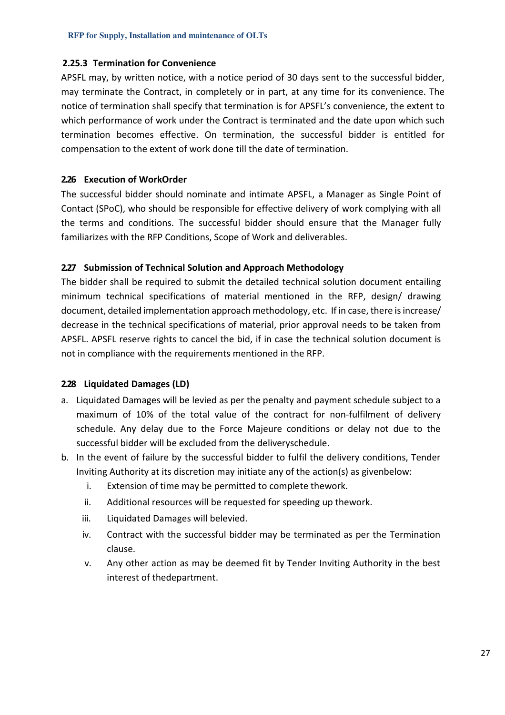#### **2.25.3 Termination for Convenience**

APSFL may, by written notice, with a notice period of 30 days sent to the successful bidder, may terminate the Contract, in completely or in part, at any time for its convenience. The notice of termination shall specify that termination is for APSFL's convenience, the extent to which performance of work under the Contract is terminated and the date upon which such termination becomes effective. On termination, the successful bidder is entitled for compensation to the extent of work done till the date of termination.

#### **2.26 Execution of WorkOrder**

The successful bidder should nominate and intimate APSFL, a Manager as Single Point of Contact (SPoC), who should be responsible for effective delivery of work complying with all the terms and conditions. The successful bidder should ensure that the Manager fully familiarizes with the RFP Conditions, Scope of Work and deliverables.

#### **2.27 Submission of Technical Solution and Approach Methodology**

The bidder shall be required to submit the detailed technical solution document entailing minimum technical specifications of material mentioned in the RFP, design/ drawing document, detailed implementation approach methodology, etc. If in case, there is increase/ decrease in the technical specifications of material, prior approval needs to be taken from APSFL. APSFL reserve rights to cancel the bid, if in case the technical solution document is not in compliance with the requirements mentioned in the RFP.

#### **2.28 Liquidated Damages (LD)**

- a. Liquidated Damages will be levied as per the penalty and payment schedule subject to a maximum of 10% of the total value of the contract for non-fulfilment of delivery schedule. Any delay due to the Force Majeure conditions or delay not due to the successful bidder will be excluded from the deliveryschedule.
- b. In the event of failure by the successful bidder to fulfil the delivery conditions, Tender Inviting Authority at its discretion may initiate any of the action(s) as givenbelow:
	- i. Extension of time may be permitted to complete thework.
	- ii. Additional resources will be requested for speeding up thework.
	- iii. Liquidated Damages will belevied.
	- iv. Contract with the successful bidder may be terminated as per the Termination clause.
	- v. Any other action as may be deemed fit by Tender Inviting Authority in the best interest of thedepartment.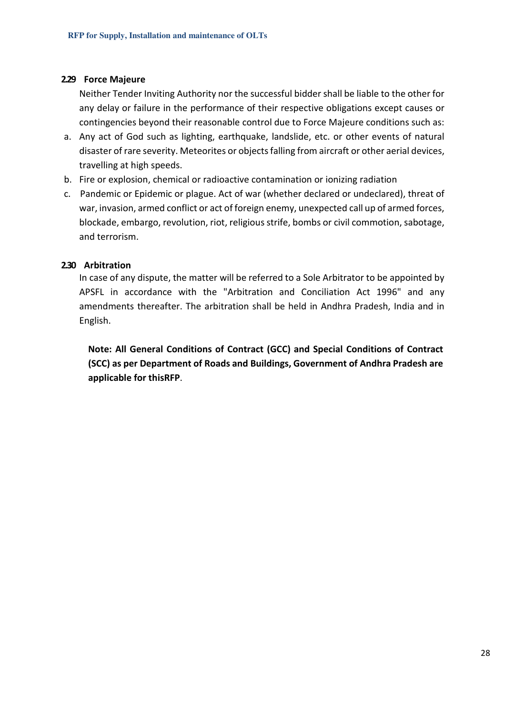#### **2.29 Force Majeure**

Neither Tender Inviting Authority nor the successful bidder shall be liable to the other for any delay or failure in the performance of their respective obligations except causes or contingencies beyond their reasonable control due to Force Majeure conditions such as:

- a. Any act of God such as lighting, earthquake, landslide, etc. or other events of natural disaster of rare severity. Meteorites or objects falling from aircraft or other aerial devices, travelling at high speeds.
- b. Fire or explosion, chemical or radioactive contamination or ionizing radiation
- c. Pandemic or Epidemic or plague. Act of war (whether declared or undeclared), threat of war, invasion, armed conflict or act of foreign enemy, unexpected call up of armed forces, blockade, embargo, revolution, riot, religious strife, bombs or civil commotion, sabotage, and terrorism.

#### **2.30 Arbitration**

In case of any dispute, the matter will be referred to a Sole Arbitrator to be appointed by APSFL in accordance with the "Arbitration and Conciliation Act 1996" and any amendments thereafter. The arbitration shall be held in Andhra Pradesh, India and in English.

# **Note: All General Conditions of Contract (GCC) and Special Conditions of Contract (SCC) as per Department of Roads and Buildings, Government of Andhra Pradesh are applicable for thisRFP**.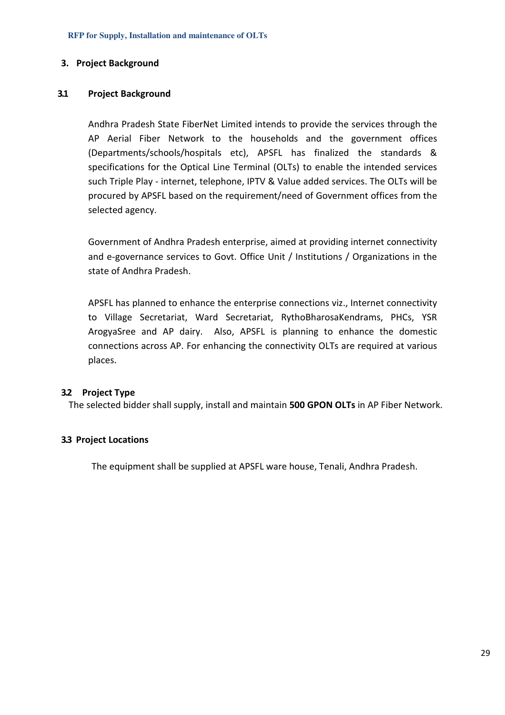#### **3. Project Background**

#### **3.1 Project Background**

Andhra Pradesh State FiberNet Limited intends to provide the services through the AP Aerial Fiber Network to the households and the government offices (Departments/schools/hospitals etc), APSFL has finalized the standards & specifications for the Optical Line Terminal (OLTs) to enable the intended services such Triple Play - internet, telephone, IPTV & Value added services. The OLTs will be procured by APSFL based on the requirement/need of Government offices from the selected agency.

Government of Andhra Pradesh enterprise, aimed at providing internet connectivity and e-governance services to Govt. Office Unit / Institutions / Organizations in the state of Andhra Pradesh.

APSFL has planned to enhance the enterprise connections viz., Internet connectivity to Village Secretariat, Ward Secretariat, RythoBharosaKendrams, PHCs, YSR ArogyaSree and AP dairy. Also, APSFL is planning to enhance the domestic connections across AP. For enhancing the connectivity OLTs are required at various places.

#### **3.2 Project Type**

The selected bidder shall supply, install and maintain **500 GPON OLTs** in AP Fiber Network.

#### **3.3 Project Locations**

The equipment shall be supplied at APSFL ware house, Tenali, Andhra Pradesh.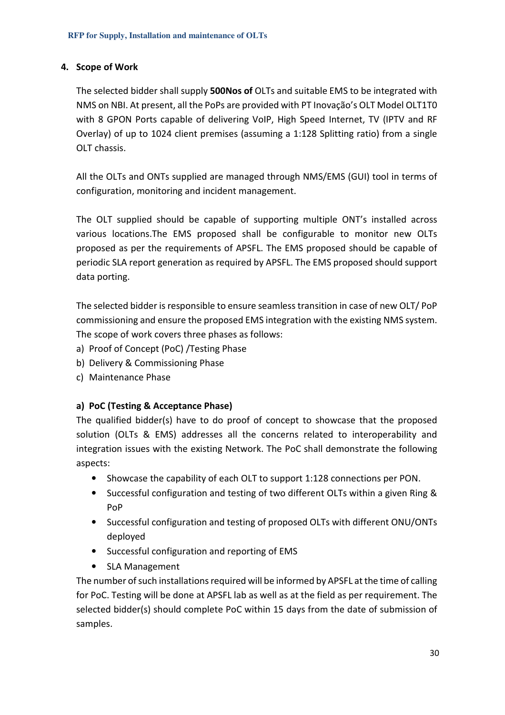# **4. Scope of Work**

The selected bidder shall supply **500Nos of** OLTs and suitable EMS to be integrated with NMS on NBI. At present, all the PoPs are provided with PT Inovação's OLT Model OLT1T0 with 8 GPON Ports capable of delivering VoIP, High Speed Internet, TV (IPTV and RF Overlay) of up to 1024 client premises (assuming a 1:128 Splitting ratio) from a single OLT chassis.

All the OLTs and ONTs supplied are managed through NMS/EMS (GUI) tool in terms of configuration, monitoring and incident management.

The OLT supplied should be capable of supporting multiple ONT's installed across various locations.The EMS proposed shall be configurable to monitor new OLTs proposed as per the requirements of APSFL. The EMS proposed should be capable of periodic SLA report generation as required by APSFL. The EMS proposed should support data porting.

The selected bidder is responsible to ensure seamless transition in case of new OLT/ PoP commissioning and ensure the proposed EMS integration with the existing NMS system. The scope of work covers three phases as follows:

- a) Proof of Concept (PoC) /Testing Phase
- b) Delivery & Commissioning Phase
- c) Maintenance Phase

# **a) PoC (Testing & Acceptance Phase)**

The qualified bidder(s) have to do proof of concept to showcase that the proposed solution (OLTs & EMS) addresses all the concerns related to interoperability and integration issues with the existing Network. The PoC shall demonstrate the following aspects:

- Showcase the capability of each OLT to support 1:128 connections per PON.
- Successful configuration and testing of two different OLTs within a given Ring & PoP
- Successful configuration and testing of proposed OLTs with different ONU/ONTs deployed
- Successful configuration and reporting of EMS
- SLA Management

The number of such installations required will be informed by APSFL at the time of calling for PoC. Testing will be done at APSFL lab as well as at the field as per requirement. The selected bidder(s) should complete PoC within 15 days from the date of submission of samples.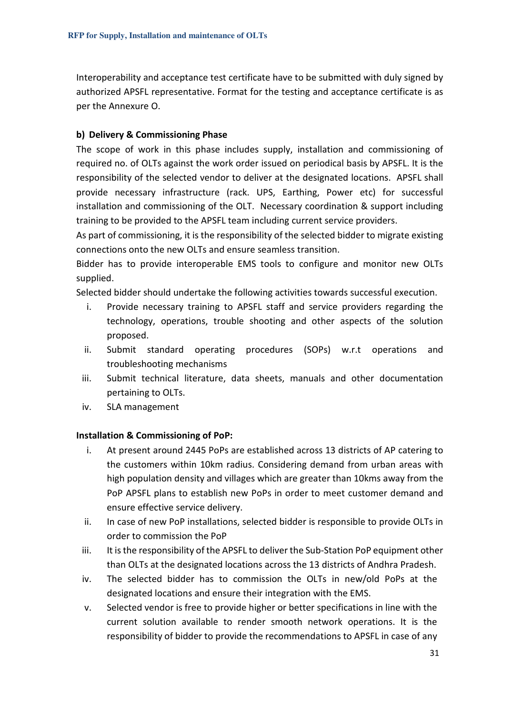Interoperability and acceptance test certificate have to be submitted with duly signed by authorized APSFL representative. Format for the testing and acceptance certificate is as per the Annexure O.

# **b) Delivery & Commissioning Phase**

The scope of work in this phase includes supply, installation and commissioning of required no. of OLTs against the work order issued on periodical basis by APSFL. It is the responsibility of the selected vendor to deliver at the designated locations. APSFL shall provide necessary infrastructure (rack. UPS, Earthing, Power etc) for successful installation and commissioning of the OLT. Necessary coordination & support including training to be provided to the APSFL team including current service providers.

As part of commissioning, it is the responsibility of the selected bidder to migrate existing connections onto the new OLTs and ensure seamless transition.

Bidder has to provide interoperable EMS tools to configure and monitor new OLTs supplied.

Selected bidder should undertake the following activities towards successful execution.

- i. Provide necessary training to APSFL staff and service providers regarding the technology, operations, trouble shooting and other aspects of the solution proposed.
- ii. Submit standard operating procedures (SOPs) w.r.t operations and troubleshooting mechanisms
- iii. Submit technical literature, data sheets, manuals and other documentation pertaining to OLTs.
- iv. SLA management

#### **Installation & Commissioning of PoP:**

- i. At present around 2445 PoPs are established across 13 districts of AP catering to the customers within 10km radius. Considering demand from urban areas with high population density and villages which are greater than 10kms away from the PoP APSFL plans to establish new PoPs in order to meet customer demand and ensure effective service delivery.
- ii. In case of new PoP installations, selected bidder is responsible to provide OLTs in order to commission the PoP
- iii. It is the responsibility of the APSFL to deliver the Sub-Station PoP equipment other than OLTs at the designated locations across the 13 districts of Andhra Pradesh.
- iv. The selected bidder has to commission the OLTs in new/old PoPs at the designated locations and ensure their integration with the EMS.
- v. Selected vendor is free to provide higher or better specifications in line with the current solution available to render smooth network operations. It is the responsibility of bidder to provide the recommendations to APSFL in case of any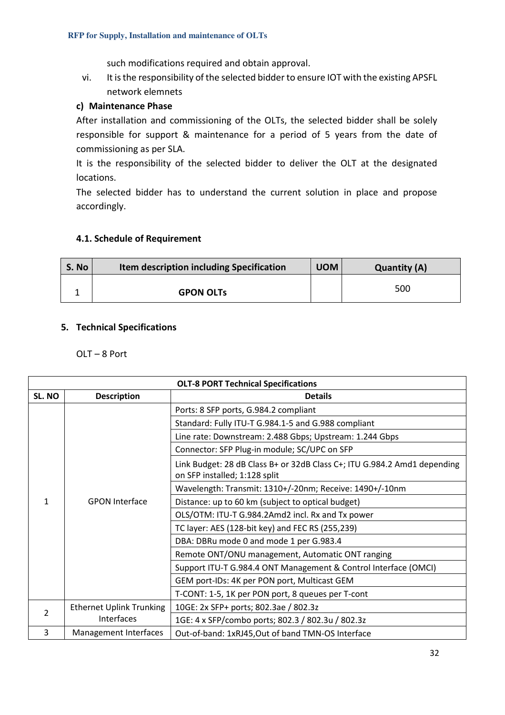such modifications required and obtain approval.

vi. It is the responsibility of the selected bidder to ensure IOT with the existing APSFL network elemnets

# **c) Maintenance Phase**

After installation and commissioning of the OLTs, the selected bidder shall be solely responsible for support & maintenance for a period of 5 years from the date of commissioning as per SLA.

It is the responsibility of the selected bidder to deliver the OLT at the designated locations.

The selected bidder has to understand the current solution in place and propose accordingly.

# **4.1. Schedule of Requirement**

| S. No | Item description including Specification | <b>UOM</b> | <b>Quantity (A)</b> |
|-------|------------------------------------------|------------|---------------------|
|       | <b>GPON OLTS</b>                         |            | 500                 |

# **5. Technical Specifications**

OLT – 8 Port

| <b>OLT-8 PORT Technical Specifications</b> |                                                                                                           |                                                                 |
|--------------------------------------------|-----------------------------------------------------------------------------------------------------------|-----------------------------------------------------------------|
| SL. NO                                     | <b>Description</b><br><b>Details</b>                                                                      |                                                                 |
|                                            |                                                                                                           | Ports: 8 SFP ports, G.984.2 compliant                           |
|                                            |                                                                                                           | Standard: Fully ITU-T G.984.1-5 and G.988 compliant             |
|                                            |                                                                                                           | Line rate: Downstream: 2.488 Gbps; Upstream: 1.244 Gbps         |
|                                            |                                                                                                           | Connector: SFP Plug-in module; SC/UPC on SFP                    |
|                                            | Link Budget: 28 dB Class B+ or 32dB Class C+; ITU G.984.2 Amd1 depending<br>on SFP installed; 1:128 split |                                                                 |
|                                            |                                                                                                           | Wavelength: Transmit: 1310+/-20nm; Receive: 1490+/-10nm         |
| <b>GPON Interface</b><br>1                 | Distance: up to 60 km (subject to optical budget)                                                         |                                                                 |
|                                            |                                                                                                           | OLS/OTM: ITU-T G.984.2Amd2 incl. Rx and Tx power                |
|                                            |                                                                                                           | TC layer: AES (128-bit key) and FEC RS (255,239)                |
|                                            |                                                                                                           | DBA: DBRu mode 0 and mode 1 per G.983.4                         |
|                                            |                                                                                                           | Remote ONT/ONU management, Automatic ONT ranging                |
|                                            |                                                                                                           | Support ITU-T G.984.4 ONT Management & Control Interface (OMCI) |
|                                            |                                                                                                           | GEM port-IDs: 4K per PON port, Multicast GEM                    |
|                                            |                                                                                                           | T-CONT: 1-5, 1K per PON port, 8 queues per T-cont               |
| $\overline{2}$                             | <b>Ethernet Uplink Trunking</b><br>Interfaces                                                             | 10GE: 2x SFP+ ports; 802.3ae / 802.3z                           |
|                                            |                                                                                                           | 1GE: 4 x SFP/combo ports; 802.3 / 802.3u / 802.3z               |
| 3                                          | Management Interfaces                                                                                     | Out-of-band: 1xRJ45, Out of band TMN-OS Interface               |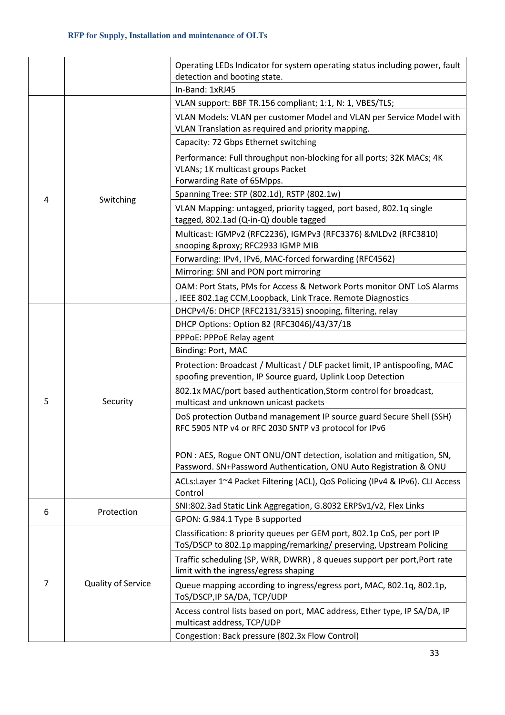|   |                    | Operating LEDs Indicator for system operating status including power, fault<br>detection and booting state.                                    |
|---|--------------------|------------------------------------------------------------------------------------------------------------------------------------------------|
|   |                    | In-Band: 1xRJ45                                                                                                                                |
|   |                    | VLAN support: BBF TR.156 compliant; 1:1, N: 1, VBES/TLS;                                                                                       |
|   |                    | VLAN Models: VLAN per customer Model and VLAN per Service Model with<br>VLAN Translation as required and priority mapping.                     |
|   |                    | Capacity: 72 Gbps Ethernet switching                                                                                                           |
| 4 | Switching          | Performance: Full throughput non-blocking for all ports; 32K MACs; 4K<br>VLANs; 1K multicast groups Packet<br>Forwarding Rate of 65Mpps.       |
|   |                    | Spanning Tree: STP (802.1d), RSTP (802.1w)                                                                                                     |
|   |                    | VLAN Mapping: untagged, priority tagged, port based, 802.1q single<br>tagged, 802.1ad (Q-in-Q) double tagged                                   |
|   |                    | Multicast: IGMPv2 (RFC2236), IGMPv3 (RFC3376) &MLDv2 (RFC3810)<br>snooping &proxy RFC2933 IGMP MIB                                             |
|   |                    | Forwarding: IPv4, IPv6, MAC-forced forwarding (RFC4562)                                                                                        |
|   |                    | Mirroring: SNI and PON port mirroring                                                                                                          |
|   |                    | OAM: Port Stats, PMs for Access & Network Ports monitor ONT LoS Alarms<br>, IEEE 802.1ag CCM, Loopback, Link Trace. Remote Diagnostics         |
|   |                    | DHCPv4/6: DHCP (RFC2131/3315) snooping, filtering, relay                                                                                       |
|   |                    | DHCP Options: Option 82 (RFC3046)/43/37/18                                                                                                     |
|   |                    | PPPOE: PPPOE Relay agent                                                                                                                       |
|   | Security           | Binding: Port, MAC                                                                                                                             |
| 5 |                    | Protection: Broadcast / Multicast / DLF packet limit, IP antispoofing, MAC<br>spoofing prevention, IP Source guard, Uplink Loop Detection      |
|   |                    | 802.1x MAC/port based authentication, Storm control for broadcast,<br>multicast and unknown unicast packets                                    |
|   |                    | DoS protection Outband management IP source guard Secure Shell (SSH)<br>RFC 5905 NTP v4 or RFC 2030 SNTP v3 protocol for IPv6                  |
|   |                    |                                                                                                                                                |
|   |                    | PON : AES, Rogue ONT ONU/ONT detection, isolation and mitigation, SN,<br>Password. SN+Password Authentication, ONU Auto Registration & ONU     |
|   |                    | ACLs:Layer 1~4 Packet Filtering (ACL), QoS Policing (IPv4 & IPv6). CLI Access<br>Control                                                       |
| 6 | Protection         | SNI:802.3ad Static Link Aggregation, G.8032 ERPSv1/v2, Flex Links                                                                              |
|   |                    | GPON: G.984.1 Type B supported                                                                                                                 |
| 7 | Quality of Service | Classification: 8 priority queues per GEM port, 802.1p CoS, per port IP<br>ToS/DSCP to 802.1p mapping/remarking/ preserving, Upstream Policing |
|   |                    | Traffic scheduling (SP, WRR, DWRR), 8 queues support per port, Port rate<br>limit with the ingress/egress shaping                              |
|   |                    | Queue mapping according to ingress/egress port, MAC, 802.1q, 802.1p,<br>ToS/DSCP, IP SA/DA, TCP/UDP                                            |
|   |                    | Access control lists based on port, MAC address, Ether type, IP SA/DA, IP<br>multicast address, TCP/UDP                                        |
|   |                    | Congestion: Back pressure (802.3x Flow Control)                                                                                                |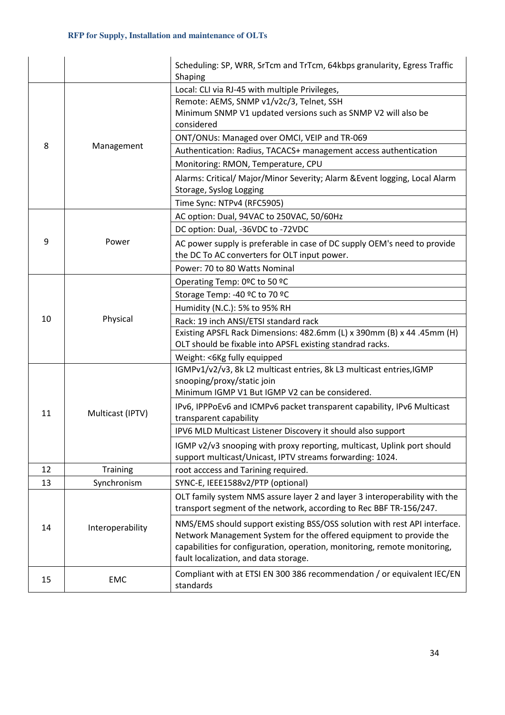|    |                  | Scheduling: SP, WRR, SrTcm and TrTcm, 64kbps granularity, Egress Traffic<br>Shaping                                                              |
|----|------------------|--------------------------------------------------------------------------------------------------------------------------------------------------|
|    | Management       | Local: CLI via RJ-45 with multiple Privileges,                                                                                                   |
|    |                  | Remote: AEMS, SNMP v1/v2c/3, Telnet, SSH<br>Minimum SNMP V1 updated versions such as SNMP V2 will also be                                        |
|    |                  | considered                                                                                                                                       |
|    |                  | ONT/ONUs: Managed over OMCI, VEIP and TR-069                                                                                                     |
| 8  |                  | Authentication: Radius, TACACS+ management access authentication                                                                                 |
|    |                  | Monitoring: RMON, Temperature, CPU                                                                                                               |
|    |                  | Alarms: Critical/ Major/Minor Severity; Alarm & Event logging, Local Alarm<br>Storage, Syslog Logging                                            |
|    |                  | Time Sync: NTPv4 (RFC5905)                                                                                                                       |
|    |                  | AC option: Dual, 94VAC to 250VAC, 50/60Hz                                                                                                        |
|    |                  | DC option: Dual, -36VDC to -72VDC                                                                                                                |
| 9  | Power            | AC power supply is preferable in case of DC supply OEM's need to provide                                                                         |
|    |                  | the DC To AC converters for OLT input power.                                                                                                     |
|    |                  | Power: 70 to 80 Watts Nominal                                                                                                                    |
|    |                  | Operating Temp: 0ºC to 50 °C                                                                                                                     |
|    | Physical         | Storage Temp: -40 °C to 70 °C                                                                                                                    |
|    |                  | Humidity (N.C.): 5% to 95% RH                                                                                                                    |
| 10 |                  | Rack: 19 inch ANSI/ETSI standard rack                                                                                                            |
|    |                  | Existing APSFL Rack Dimensions: 482.6mm (L) x 390mm (B) x 44 .45mm (H)                                                                           |
|    |                  | OLT should be fixable into APSFL existing standrad racks.                                                                                        |
|    |                  | Weight: <6Kg fully equipped                                                                                                                      |
|    |                  | IGMPv1/v2/v3, 8k L2 multicast entries, 8k L3 multicast entries, IGMP                                                                             |
|    | Multicast (IPTV) | snooping/proxy/static join<br>Minimum IGMP V1 But IGMP V2 can be considered.                                                                     |
|    |                  | IPv6, IPPPoEv6 and ICMPv6 packet transparent capability, IPv6 Multicast                                                                          |
| 11 |                  | transparent capability                                                                                                                           |
|    |                  | IPV6 MLD Multicast Listener Discovery it should also support                                                                                     |
|    |                  | IGMP v2/v3 snooping with proxy reporting, multicast, Uplink port should                                                                          |
|    |                  | support multicast/Unicast, IPTV streams forwarding: 1024.                                                                                        |
| 12 | <b>Training</b>  | root acccess and Tarining required.                                                                                                              |
| 13 | Synchronism      | SYNC-E, IEEE1588v2/PTP (optional)                                                                                                                |
| 14 | Interoperability | OLT family system NMS assure layer 2 and layer 3 interoperability with the<br>transport segment of the network, according to Rec BBF TR-156/247. |
|    |                  | NMS/EMS should support existing BSS/OSS solution with rest API interface.                                                                        |
|    |                  | Network Management System for the offered equipment to provide the                                                                               |
|    |                  | capabilities for configuration, operation, monitoring, remote monitoring,                                                                        |
|    |                  | fault localization, and data storage.                                                                                                            |
| 15 | EMC              | Compliant with at ETSI EN 300 386 recommendation / or equivalent IEC/EN<br>standards                                                             |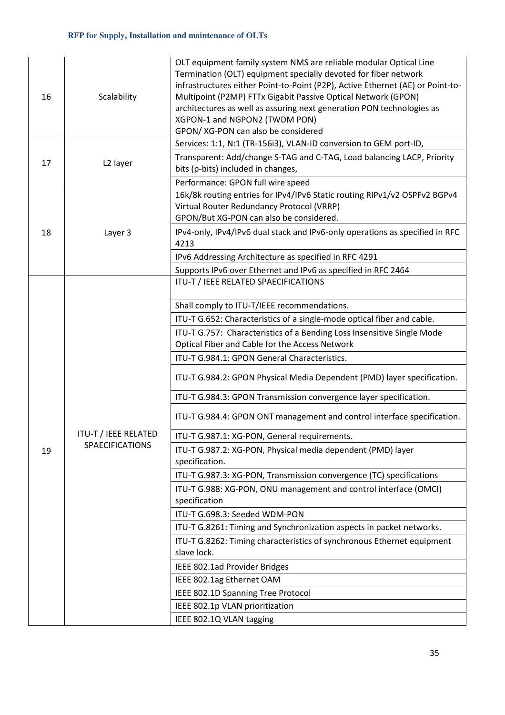| 16 | Scalability                             | OLT equipment family system NMS are reliable modular Optical Line<br>Termination (OLT) equipment specially devoted for fiber network<br>infrastructures either Point-to-Point (P2P), Active Ethernet (AE) or Point-to-<br>Multipoint (P2MP) FTTx Gigabit Passive Optical Network (GPON)<br>architectures as well as assuring next generation PON technologies as<br>XGPON-1 and NGPON2 (TWDM PON)<br>GPON/XG-PON can also be considered |
|----|-----------------------------------------|-----------------------------------------------------------------------------------------------------------------------------------------------------------------------------------------------------------------------------------------------------------------------------------------------------------------------------------------------------------------------------------------------------------------------------------------|
| 17 | L <sub>2</sub> layer                    | Services: 1:1, N:1 (TR-156i3), VLAN-ID conversion to GEM port-ID,                                                                                                                                                                                                                                                                                                                                                                       |
|    |                                         | Transparent: Add/change S-TAG and C-TAG, Load balancing LACP, Priority<br>bits (p-bits) included in changes,                                                                                                                                                                                                                                                                                                                            |
|    |                                         | Performance: GPON full wire speed                                                                                                                                                                                                                                                                                                                                                                                                       |
| 18 | Layer 3                                 | 16k/8k routing entries for IPv4/IPv6 Static routing RIPv1/v2 OSPFv2 BGPv4<br>Virtual Router Redundancy Protocol (VRRP)<br>GPON/But XG-PON can also be considered.                                                                                                                                                                                                                                                                       |
|    |                                         | IPv4-only, IPv4/IPv6 dual stack and IPv6-only operations as specified in RFC<br>4213                                                                                                                                                                                                                                                                                                                                                    |
|    |                                         | IPv6 Addressing Architecture as specified in RFC 4291                                                                                                                                                                                                                                                                                                                                                                                   |
|    |                                         | Supports IPv6 over Ethernet and IPv6 as specified in RFC 2464                                                                                                                                                                                                                                                                                                                                                                           |
|    |                                         | ITU-T / IEEE RELATED SPAECIFICATIONS                                                                                                                                                                                                                                                                                                                                                                                                    |
|    |                                         | Shall comply to ITU-T/IEEE recommendations.                                                                                                                                                                                                                                                                                                                                                                                             |
|    |                                         | ITU-T G.652: Characteristics of a single-mode optical fiber and cable.                                                                                                                                                                                                                                                                                                                                                                  |
|    |                                         | ITU-T G.757: Characteristics of a Bending Loss Insensitive Single Mode                                                                                                                                                                                                                                                                                                                                                                  |
|    |                                         | Optical Fiber and Cable for the Access Network                                                                                                                                                                                                                                                                                                                                                                                          |
|    |                                         | ITU-T G.984.1: GPON General Characteristics.                                                                                                                                                                                                                                                                                                                                                                                            |
|    |                                         | ITU-T G.984.2: GPON Physical Media Dependent (PMD) layer specification.                                                                                                                                                                                                                                                                                                                                                                 |
|    |                                         | ITU-T G.984.3: GPON Transmission convergence layer specification.                                                                                                                                                                                                                                                                                                                                                                       |
|    | ITU-T / IEEE RELATED<br>SPAECIFICATIONS | ITU-T G.984.4: GPON ONT management and control interface specification.                                                                                                                                                                                                                                                                                                                                                                 |
|    |                                         | ITU-T G.987.1: XG-PON, General requirements.                                                                                                                                                                                                                                                                                                                                                                                            |
| 19 |                                         | ITU-T G.987.2: XG-PON, Physical media dependent (PMD) layer<br>specification.                                                                                                                                                                                                                                                                                                                                                           |
|    |                                         | ITU-T G.987.3: XG-PON, Transmission convergence (TC) specifications                                                                                                                                                                                                                                                                                                                                                                     |
|    |                                         | ITU-T G.988: XG-PON, ONU management and control interface (OMCI)<br>specification                                                                                                                                                                                                                                                                                                                                                       |
|    |                                         | ITU-T G.698.3: Seeded WDM-PON                                                                                                                                                                                                                                                                                                                                                                                                           |
|    |                                         | ITU-T G.8261: Timing and Synchronization aspects in packet networks.                                                                                                                                                                                                                                                                                                                                                                    |
|    |                                         | ITU-T G.8262: Timing characteristics of synchronous Ethernet equipment<br>slave lock.                                                                                                                                                                                                                                                                                                                                                   |
|    |                                         | IEEE 802.1ad Provider Bridges                                                                                                                                                                                                                                                                                                                                                                                                           |
|    |                                         | IEEE 802.1ag Ethernet OAM                                                                                                                                                                                                                                                                                                                                                                                                               |
|    |                                         | IEEE 802.1D Spanning Tree Protocol                                                                                                                                                                                                                                                                                                                                                                                                      |
|    |                                         | IEEE 802.1p VLAN prioritization                                                                                                                                                                                                                                                                                                                                                                                                         |
|    |                                         | IEEE 802.1Q VLAN tagging                                                                                                                                                                                                                                                                                                                                                                                                                |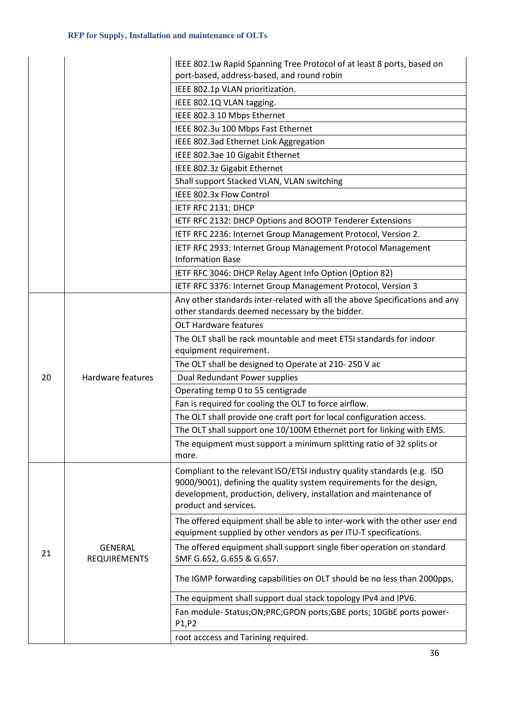|    |                                       | IEEE 802.1w Rapid Spanning Tree Protocol of at least 8 ports, based on<br>port-based, address-based, and round robin                                                                                                                           |
|----|---------------------------------------|------------------------------------------------------------------------------------------------------------------------------------------------------------------------------------------------------------------------------------------------|
|    |                                       | IEEE 802.1p VLAN prioritization.                                                                                                                                                                                                               |
|    |                                       | IEEE 802.1Q VLAN tagging.                                                                                                                                                                                                                      |
|    |                                       | IEEE 802.3 10 Mbps Ethernet                                                                                                                                                                                                                    |
|    |                                       | IEEE 802.3u 100 Mbps Fast Ethernet                                                                                                                                                                                                             |
|    |                                       | IEEE 802.3ad Ethernet Link Aggregation                                                                                                                                                                                                         |
|    |                                       | IEEE 802.3ae 10 Gigabit Ethernet                                                                                                                                                                                                               |
|    |                                       | IEEE 802.3z Gigabit Ethernet                                                                                                                                                                                                                   |
|    |                                       | Shall support Stacked VLAN, VLAN switching                                                                                                                                                                                                     |
|    |                                       | IEEE 802.3x Flow Control                                                                                                                                                                                                                       |
|    |                                       | IETF RFC 2131: DHCP                                                                                                                                                                                                                            |
|    |                                       | IETF RFC 2132: DHCP Options and BOOTP Tenderer Extensions                                                                                                                                                                                      |
|    |                                       | IETF RFC 2236: Internet Group Management Protocol, Version 2.                                                                                                                                                                                  |
|    |                                       | IETF RFC 2933: Internet Group Management Protocol Management                                                                                                                                                                                   |
|    |                                       | <b>Information Base</b>                                                                                                                                                                                                                        |
|    |                                       | IETF RFC 3046: DHCP Relay Agent Info Option (Option 82)                                                                                                                                                                                        |
|    |                                       | IETF RFC 3376: Internet Group Management Protocol, Version 3                                                                                                                                                                                   |
|    |                                       | Any other standards inter-related with all the above Specifications and any                                                                                                                                                                    |
|    |                                       | other standards deemed necessary by the bidder.                                                                                                                                                                                                |
|    | Hardware features                     | <b>OLT Hardware features</b>                                                                                                                                                                                                                   |
|    |                                       | The OLT shall be rack mountable and meet ETSI standards for indoor<br>equipment requirement.                                                                                                                                                   |
|    |                                       | The OLT shall be designed to Operate at 210-250 V ac                                                                                                                                                                                           |
| 20 |                                       | Dual Redundant Power supplies                                                                                                                                                                                                                  |
|    |                                       | Operating temp 0 to 55 centigrade                                                                                                                                                                                                              |
|    |                                       | Fan is required for cooling the OLT to force airflow.                                                                                                                                                                                          |
|    |                                       | The OLT shall provide one craft port for local configuration access.                                                                                                                                                                           |
|    |                                       | The OLT shall support one 10/100M Ethernet port for linking with EMS.                                                                                                                                                                          |
|    |                                       | The equipment must support a minimum splitting ratio of 32 splits or<br>more.                                                                                                                                                                  |
| 21 | <b>GENERAL</b><br><b>REQUIREMENTS</b> | Compliant to the relevant ISO/ETSI industry quality standards (e.g. ISO<br>9000/9001), defining the quality system requirements for the design,<br>development, production, delivery, installation and maintenance of<br>product and services. |
|    |                                       | The offered equipment shall be able to inter-work with the other user end<br>equipment supplied by other vendors as per ITU-T specifications.                                                                                                  |
|    |                                       | The offered equipment shall support single fiber operation on standard<br>SMF G.652, G.655 & G.657.                                                                                                                                            |
|    |                                       | The IGMP forwarding capabilities on OLT should be no less than 2000pps,                                                                                                                                                                        |
|    |                                       | The equipment shall support dual stack topology IPv4 and IPV6.                                                                                                                                                                                 |
|    |                                       | Fan module-Status; ON; PRC; GPON ports; GBE ports; 10GbE ports power-<br>P1,P2                                                                                                                                                                 |
|    |                                       | root acccess and Tarining required.                                                                                                                                                                                                            |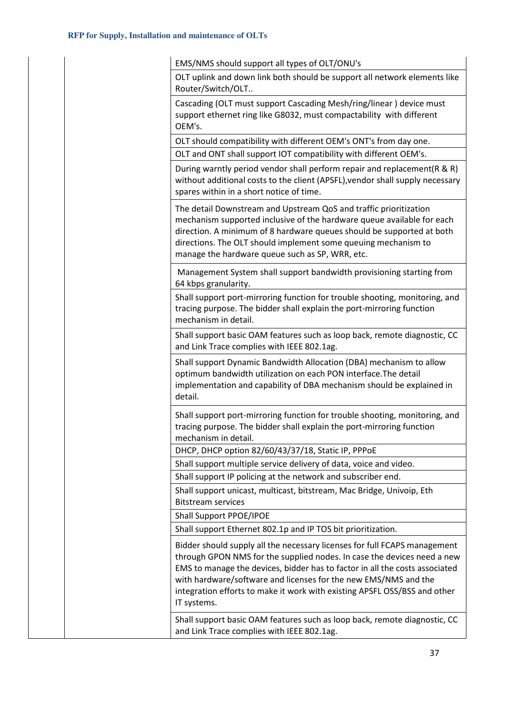| EMS/NMS should support all types of OLT/ONU's                                                                                                                                                                                                                                                                                                                                                      |
|----------------------------------------------------------------------------------------------------------------------------------------------------------------------------------------------------------------------------------------------------------------------------------------------------------------------------------------------------------------------------------------------------|
| OLT uplink and down link both should be support all network elements like<br>Router/Switch/OLT                                                                                                                                                                                                                                                                                                     |
| Cascading (OLT must support Cascading Mesh/ring/linear) device must<br>support ethernet ring like G8032, must compactability with different<br>OEM's.                                                                                                                                                                                                                                              |
| OLT should compatibility with different OEM's ONT's from day one.                                                                                                                                                                                                                                                                                                                                  |
| OLT and ONT shall support IOT compatibility with different OEM's.                                                                                                                                                                                                                                                                                                                                  |
| During warntly period vendor shall perform repair and replacement(R & R)<br>without additional costs to the client (APSFL), vendor shall supply necessary<br>spares within in a short notice of time.                                                                                                                                                                                              |
| The detail Downstream and Upstream QoS and traffic prioritization<br>mechanism supported inclusive of the hardware queue available for each<br>direction. A minimum of 8 hardware queues should be supported at both<br>directions. The OLT should implement some queuing mechanism to<br>manage the hardware queue such as SP, WRR, etc.                                                          |
| Management System shall support bandwidth provisioning starting from<br>64 kbps granularity.                                                                                                                                                                                                                                                                                                       |
| Shall support port-mirroring function for trouble shooting, monitoring, and<br>tracing purpose. The bidder shall explain the port-mirroring function<br>mechanism in detail.                                                                                                                                                                                                                       |
| Shall support basic OAM features such as loop back, remote diagnostic, CC<br>and Link Trace complies with IEEE 802.1ag.                                                                                                                                                                                                                                                                            |
| Shall support Dynamic Bandwidth Allocation (DBA) mechanism to allow<br>optimum bandwidth utilization on each PON interface. The detail<br>implementation and capability of DBA mechanism should be explained in<br>detail.                                                                                                                                                                         |
| Shall support port-mirroring function for trouble shooting, monitoring, and<br>tracing purpose. The bidder shall explain the port-mirroring function<br>mechanism in detail.                                                                                                                                                                                                                       |
| DHCP, DHCP option 82/60/43/37/18, Static IP, PPPoE                                                                                                                                                                                                                                                                                                                                                 |
| Shall support multiple service delivery of data, voice and video.                                                                                                                                                                                                                                                                                                                                  |
| Shall support IP policing at the network and subscriber end.                                                                                                                                                                                                                                                                                                                                       |
| Shall support unicast, multicast, bitstream, Mac Bridge, Univoip, Eth<br><b>Bitstream services</b>                                                                                                                                                                                                                                                                                                 |
| Shall Support PPOE/IPOE                                                                                                                                                                                                                                                                                                                                                                            |
| Shall support Ethernet 802.1p and IP TOS bit prioritization.                                                                                                                                                                                                                                                                                                                                       |
| Bidder should supply all the necessary licenses for full FCAPS management<br>through GPON NMS for the supplied nodes. In case the devices need a new<br>EMS to manage the devices, bidder has to factor in all the costs associated<br>with hardware/software and licenses for the new EMS/NMS and the<br>integration efforts to make it work with existing APSFL OSS/BSS and other<br>IT systems. |
| Shall support basic OAM features such as loop back, remote diagnostic, CC<br>and Link Trace complies with IEEE 802.1ag.                                                                                                                                                                                                                                                                            |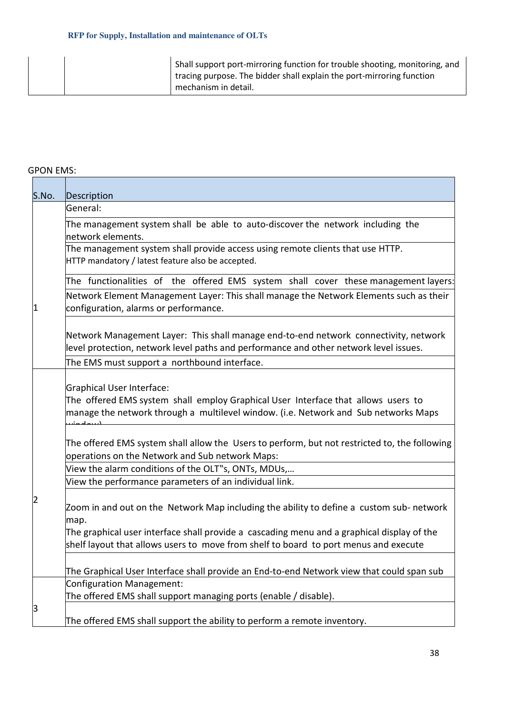|  | Shall support port-mirroring function for trouble shooting, monitoring, and |
|--|-----------------------------------------------------------------------------|
|  | tracing purpose. The bidder shall explain the port-mirroring function       |
|  | mechanism in detail.                                                        |

### GPON EMS:

| S.No. | Description                                                                                                                                                                                           |
|-------|-------------------------------------------------------------------------------------------------------------------------------------------------------------------------------------------------------|
|       | General:                                                                                                                                                                                              |
|       | The management system shall be able to auto-discover the network including the<br>network elements.                                                                                                   |
|       | The management system shall provide access using remote clients that use HTTP.<br>HTTP mandatory / latest feature also be accepted.                                                                   |
|       | The functionalities of the offered EMS system shall cover these management layers:                                                                                                                    |
| 11    | Network Element Management Layer: This shall manage the Network Elements such as their<br>configuration, alarms or performance.                                                                       |
|       | Network Management Layer: This shall manage end-to-end network connectivity, network<br>level protection, network level paths and performance and other network level issues.                         |
|       | The EMS must support a northbound interface.                                                                                                                                                          |
|       | Graphical User Interface:<br>The offered EMS system shall employ Graphical User Interface that allows users to<br>manage the network through a multilevel window. (i.e. Network and Sub networks Maps |
|       | The offered EMS system shall allow the Users to perform, but not restricted to, the following<br>operations on the Network and Sub network Maps:                                                      |
|       | View the alarm conditions of the OLT"s, ONTs, MDUs,                                                                                                                                                   |
|       | View the performance parameters of an individual link.                                                                                                                                                |
| 12    | Zoom in and out on the Network Map including the ability to define a custom sub-network<br>map.                                                                                                       |
|       | The graphical user interface shall provide a cascading menu and a graphical display of the<br>shelf layout that allows users to move from shelf to board to port menus and execute                    |
|       | The Graphical User Interface shall provide an End-to-end Network view that could span sub                                                                                                             |
|       | Configuration Management:                                                                                                                                                                             |
| β     | The offered EMS shall support managing ports (enable / disable).                                                                                                                                      |
|       | The offered EMS shall support the ability to perform a remote inventory.                                                                                                                              |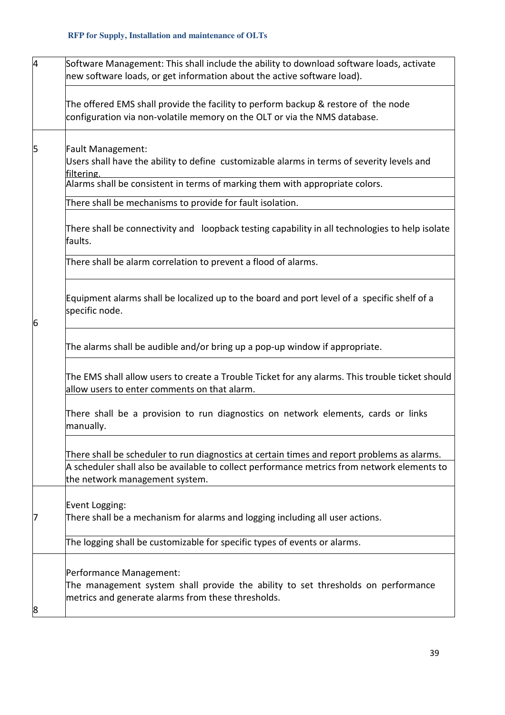| 4 | Software Management: This shall include the ability to download software loads, activate<br>new software loads, or get information about the active software load).                                                          |  |  |
|---|------------------------------------------------------------------------------------------------------------------------------------------------------------------------------------------------------------------------------|--|--|
|   | The offered EMS shall provide the facility to perform backup & restore of the node<br>configuration via non-volatile memory on the OLT or via the NMS database.                                                              |  |  |
| 5 | Fault Management:<br>Users shall have the ability to define customizable alarms in terms of severity levels and<br>filtering.<br>Alarms shall be consistent in terms of marking them with appropriate colors.                |  |  |
|   | There shall be mechanisms to provide for fault isolation.                                                                                                                                                                    |  |  |
|   | There shall be connectivity and loopback testing capability in all technologies to help isolate<br>faults.                                                                                                                   |  |  |
|   | There shall be alarm correlation to prevent a flood of alarms.                                                                                                                                                               |  |  |
| 6 | Equipment alarms shall be localized up to the board and port level of a specific shelf of a<br>specific node.                                                                                                                |  |  |
|   | The alarms shall be audible and/or bring up a pop-up window if appropriate.                                                                                                                                                  |  |  |
|   | The EMS shall allow users to create a Trouble Ticket for any alarms. This trouble ticket should<br>allow users to enter comments on that alarm.                                                                              |  |  |
|   | There shall be a provision to run diagnostics on network elements, cards or links<br>manually.                                                                                                                               |  |  |
|   | There shall be scheduler to run diagnostics at certain times and report problems as alarms.<br>A scheduler shall also be available to collect performance metrics from network elements to<br>the network management system. |  |  |
|   | Event Logging:<br>There shall be a mechanism for alarms and logging including all user actions.                                                                                                                              |  |  |
|   | The logging shall be customizable for specific types of events or alarms.                                                                                                                                                    |  |  |
| 8 | Performance Management:<br>The management system shall provide the ability to set thresholds on performance<br>metrics and generate alarms from these thresholds.                                                            |  |  |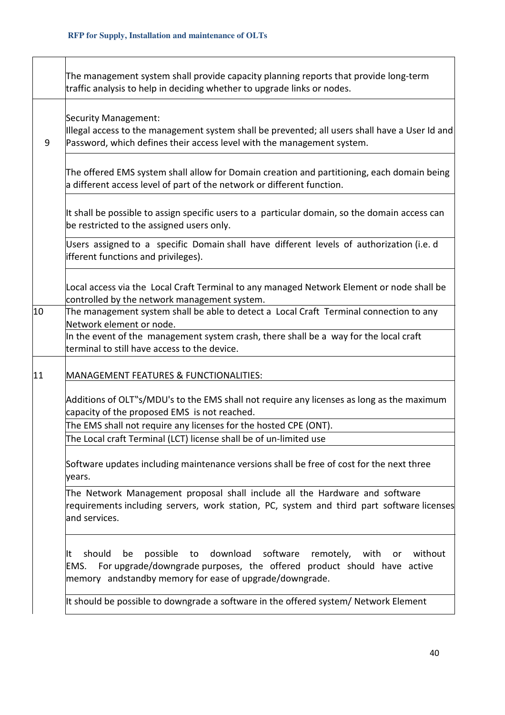|    | The management system shall provide capacity planning reports that provide long-term<br>traffic analysis to help in deciding whether to upgrade links or nodes.                                                                              |
|----|----------------------------------------------------------------------------------------------------------------------------------------------------------------------------------------------------------------------------------------------|
| 9  | Security Management:<br>lillegal access to the management system shall be prevented; all users shall have a User Id and<br>Password, which defines their access level with the management system.                                            |
|    | The offered EMS system shall allow for Domain creation and partitioning, each domain being<br>a different access level of part of the network or different function.                                                                         |
|    | It shall be possible to assign specific users to a particular domain, so the domain access can<br>be restricted to the assigned users only.                                                                                                  |
|    | Users assigned to a specific Domain shall have different levels of authorization (i.e. d<br>ifferent functions and privileges).                                                                                                              |
|    | Local access via the Local Craft Terminal to any managed Network Element or node shall be<br>controlled by the network management system.                                                                                                    |
| 10 | The management system shall be able to detect a Local Craft Terminal connection to any<br>Network element or node.                                                                                                                           |
|    | In the event of the management system crash, there shall be a way for the local craft<br>terminal to still have access to the device.                                                                                                        |
| 11 | MANAGEMENT FEATURES & FUNCTIONALITIES:                                                                                                                                                                                                       |
|    | Additions of OLT"s/MDU's to the EMS shall not require any licenses as long as the maximum<br>capacity of the proposed EMS is not reached.                                                                                                    |
|    | The EMS shall not require any licenses for the hosted CPE (ONT).<br>The Local craft Terminal (LCT) license shall be of un-limited use                                                                                                        |
|    | Software updates including maintenance versions shall be free of cost for the next three<br>years.                                                                                                                                           |
|    | The Network Management proposal shall include all the Hardware and software<br>requirements including servers, work station, PC, system and third part software licenses<br>and services.                                                    |
|    | download<br>software remotely,<br>should<br>possible<br>without<br>be<br>to<br>with<br>It<br>or<br>For upgrade/downgrade purposes, the offered product should have active<br>EMS.<br>memory andstandby memory for ease of upgrade/downgrade. |
|    | It should be possible to downgrade a software in the offered system/ Network Element                                                                                                                                                         |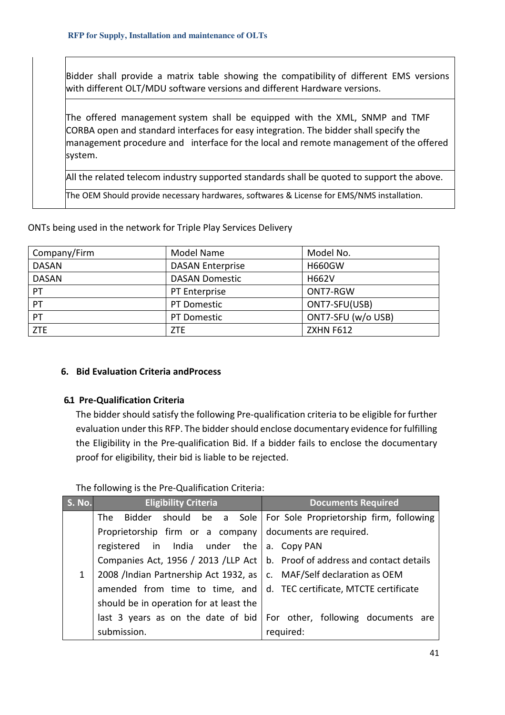Bidder shall provide a matrix table showing the compatibility of different EMS versions with different OLT/MDU software versions and different Hardware versions.

The offered management system shall be equipped with the XML, SNMP and TMF CORBA open and standard interfaces for easy integration. The bidder shall specify the management procedure and interface for the local and remote management of the offered system.

All the related telecom industry supported standards shall be quoted to support the above.

The OEM Should provide necessary hardwares, softwares & License for EMS/NMS installation.

ONTs being used in the network for Triple Play Services Delivery

| Company/Firm | Model Name              | Model No.          |
|--------------|-------------------------|--------------------|
| <b>DASAN</b> | <b>DASAN Enterprise</b> | <b>H660GW</b>      |
| <b>DASAN</b> | <b>DASAN Domestic</b>   | <b>H662V</b>       |
| PT           | PT Enterprise           | ONT7-RGW           |
| PT           | PT Domestic             | ONT7-SFU(USB)      |
| PT           | <b>PT Domestic</b>      | ONT7-SFU (w/o USB) |
| <b>ZTE</b>   | <b>ZTE</b>              | ZXHN F612          |

### **6. Bid Evaluation Criteria andProcess**

### **6.1 Pre-Qualification Criteria**

The bidder should satisfy the following Pre-qualification criteria to be eligible for further evaluation under this RFP. The bidder should enclose documentary evidence for fulfilling the Eligibility in the Pre-qualification Bid. If a bidder fails to enclose the documentary proof for eligibility, their bid is liable to be rejected.

### The following is the Pre-Qualification Criteria:

| <b>S. No.</b> | <b>Eligibility Criteria</b>                                                  | <b>Documents Required</b>                                                     |  |
|---------------|------------------------------------------------------------------------------|-------------------------------------------------------------------------------|--|
|               |                                                                              | The Bidder should be a Sole For Sole Proprietorship firm, following           |  |
|               | Proprietorship firm or a company documents are required.                     |                                                                               |  |
|               | registered in India under the $a$ . Copy PAN                                 |                                                                               |  |
|               |                                                                              | Companies Act, 1956 / 2013 /LLP Act   b. Proof of address and contact details |  |
| 1             | 2008 /Indian Partnership Act 1932, as   c. MAF/Self declaration as OEM       |                                                                               |  |
|               | amended from time to time, and $\vert$ d. TEC certificate, MTCTE certificate |                                                                               |  |
|               | should be in operation for at least the                                      |                                                                               |  |
|               |                                                                              | last 3 years as on the date of bid   For other, following documents are       |  |
|               | submission.                                                                  | required:                                                                     |  |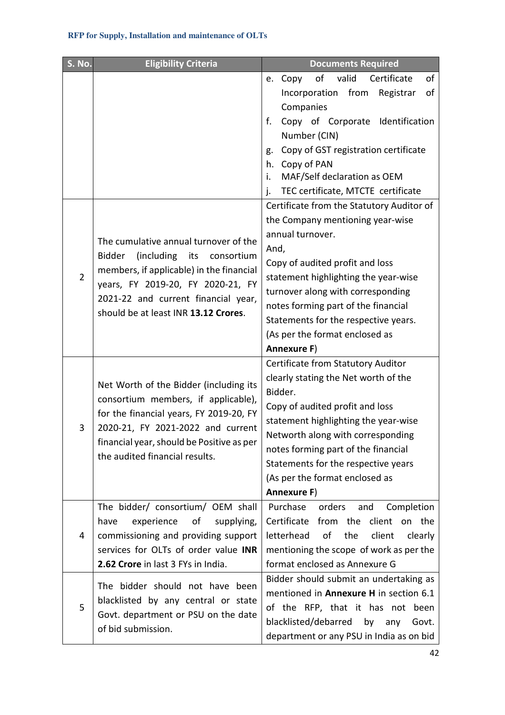| S. No.         | <b>Eligibility Criteria</b>                                                                                                                                                                                                                  | <b>Documents Required</b>                     |  |
|----------------|----------------------------------------------------------------------------------------------------------------------------------------------------------------------------------------------------------------------------------------------|-----------------------------------------------|--|
|                |                                                                                                                                                                                                                                              | valid<br>Certificate<br>оf<br>of<br>e. Copy   |  |
|                |                                                                                                                                                                                                                                              | Incorporation<br>from<br>Registrar<br>of      |  |
|                |                                                                                                                                                                                                                                              | Companies                                     |  |
|                |                                                                                                                                                                                                                                              | f.<br>Copy of Corporate Identification        |  |
|                |                                                                                                                                                                                                                                              | Number (CIN)                                  |  |
|                |                                                                                                                                                                                                                                              | Copy of GST registration certificate<br>g.    |  |
|                |                                                                                                                                                                                                                                              | Copy of PAN<br>h.                             |  |
|                |                                                                                                                                                                                                                                              | MAF/Self declaration as OEM<br>i.             |  |
|                |                                                                                                                                                                                                                                              | TEC certificate, MTCTE certificate<br>j.      |  |
|                |                                                                                                                                                                                                                                              | Certificate from the Statutory Auditor of     |  |
|                |                                                                                                                                                                                                                                              | the Company mentioning year-wise              |  |
|                | The cumulative annual turnover of the                                                                                                                                                                                                        | annual turnover.                              |  |
|                | (including)<br><b>Bidder</b><br>its<br>consortium                                                                                                                                                                                            | And,                                          |  |
|                | members, if applicable) in the financial                                                                                                                                                                                                     | Copy of audited profit and loss               |  |
| $\overline{2}$ | years, FY 2019-20, FY 2020-21, FY                                                                                                                                                                                                            | statement highlighting the year-wise          |  |
|                | 2021-22 and current financial year,                                                                                                                                                                                                          | turnover along with corresponding             |  |
|                | should be at least INR 13.12 Crores.                                                                                                                                                                                                         | notes forming part of the financial           |  |
|                |                                                                                                                                                                                                                                              | Statements for the respective years.          |  |
|                |                                                                                                                                                                                                                                              | (As per the format enclosed as                |  |
|                |                                                                                                                                                                                                                                              | Annexure F)                                   |  |
|                |                                                                                                                                                                                                                                              | Certificate from Statutory Auditor            |  |
|                | Net Worth of the Bidder (including its<br>consortium members, if applicable),<br>for the financial years, FY 2019-20, FY<br>2020-21, FY 2021-2022 and current<br>financial year, should be Positive as per<br>the audited financial results. | clearly stating the Net worth of the          |  |
|                |                                                                                                                                                                                                                                              | Bidder.                                       |  |
|                |                                                                                                                                                                                                                                              | Copy of audited profit and loss               |  |
| 3              |                                                                                                                                                                                                                                              | statement highlighting the year-wise          |  |
|                |                                                                                                                                                                                                                                              | Networth along with corresponding             |  |
|                |                                                                                                                                                                                                                                              | notes forming part of the financial           |  |
|                |                                                                                                                                                                                                                                              | Statements for the respective years           |  |
|                |                                                                                                                                                                                                                                              | (As per the format enclosed as                |  |
|                |                                                                                                                                                                                                                                              | Annexure F)                                   |  |
|                | The bidder/ consortium/ OEM shall                                                                                                                                                                                                            | Purchase<br>orders<br>and<br>Completion       |  |
|                | experience<br>of<br>have<br>supplying,                                                                                                                                                                                                       | from the<br>client on the<br>Certificate      |  |
| 4              | commissioning and providing support                                                                                                                                                                                                          | letterhead<br>the<br>client<br>of<br>clearly  |  |
|                | services for OLTs of order value INR                                                                                                                                                                                                         | mentioning the scope of work as per the       |  |
|                | 2.62 Crore in last 3 FYs in India.                                                                                                                                                                                                           | format enclosed as Annexure G                 |  |
| 5              | The bidder should not have been                                                                                                                                                                                                              | Bidder should submit an undertaking as        |  |
|                | blacklisted by any central or state                                                                                                                                                                                                          | mentioned in <b>Annexure H</b> in section 6.1 |  |
|                | Govt. department or PSU on the date                                                                                                                                                                                                          | of the RFP, that it has not been              |  |
|                | of bid submission.                                                                                                                                                                                                                           | blacklisted/debarred<br>by any<br>Govt.       |  |
|                |                                                                                                                                                                                                                                              | department or any PSU in India as on bid      |  |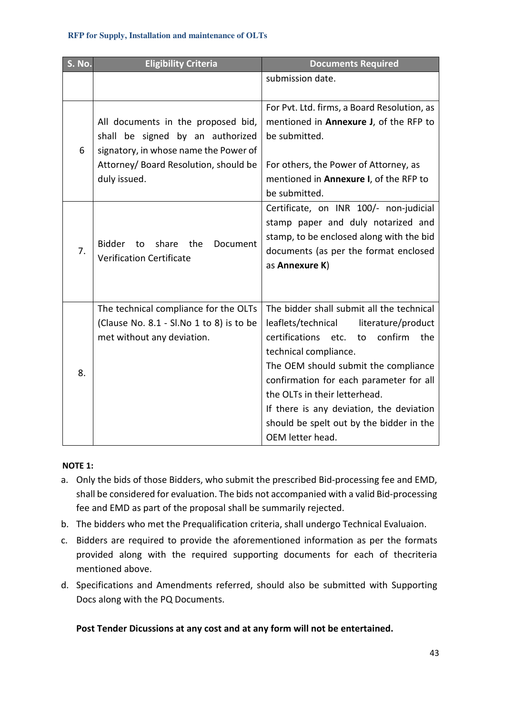### **RFP for Supply, Installation and maintenance of OLTs**

| <b>S. No.</b> | <b>Eligibility Criteria</b>                     | <b>Documents Required</b>                      |
|---------------|-------------------------------------------------|------------------------------------------------|
|               |                                                 | submission date.                               |
|               |                                                 |                                                |
|               |                                                 | For Pvt. Ltd. firms, a Board Resolution, as    |
|               | All documents in the proposed bid,              | mentioned in Annexure J, of the RFP to         |
|               | shall be signed by an authorized                | be submitted.                                  |
| 6             | signatory, in whose name the Power of           |                                                |
|               | Attorney/ Board Resolution, should be           | For others, the Power of Attorney, as          |
|               | duly issued.                                    | mentioned in Annexure I, of the RFP to         |
|               |                                                 | be submitted.                                  |
|               |                                                 | Certificate, on INR 100/- non-judicial         |
|               |                                                 | stamp paper and duly notarized and             |
|               | <b>Bidder</b><br>the<br>Document<br>share<br>to | stamp, to be enclosed along with the bid       |
| 7.            | <b>Verification Certificate</b>                 | documents (as per the format enclosed          |
|               |                                                 | as Annexure K)                                 |
|               |                                                 |                                                |
|               |                                                 |                                                |
|               | The technical compliance for the OLTs           | The bidder shall submit all the technical      |
|               | (Clause No. 8.1 - Sl. No 1 to 8) is to be       | leaflets/technical<br>literature/product       |
|               | met without any deviation.                      | certifications<br>confirm<br>the<br>etc.<br>to |
|               |                                                 | technical compliance.                          |
| 8.            |                                                 | The OEM should submit the compliance           |
|               |                                                 | confirmation for each parameter for all        |
|               |                                                 | the OLTs in their letterhead.                  |
|               |                                                 | If there is any deviation, the deviation       |
|               |                                                 | should be spelt out by the bidder in the       |
|               |                                                 | OEM letter head.                               |

### **NOTE 1:**

- a. Only the bids of those Bidders, who submit the prescribed Bid-processing fee and EMD, shall be considered for evaluation. The bids not accompanied with a valid Bid-processing fee and EMD as part of the proposal shall be summarily rejected.
- b. The bidders who met the Prequalification criteria, shall undergo Technical Evaluaion.
- c. Bidders are required to provide the aforementioned information as per the formats provided along with the required supporting documents for each of thecriteria mentioned above.
- d. Specifications and Amendments referred, should also be submitted with Supporting Docs along with the PQ Documents.

**Post Tender Dicussions at any cost and at any form will not be entertained.**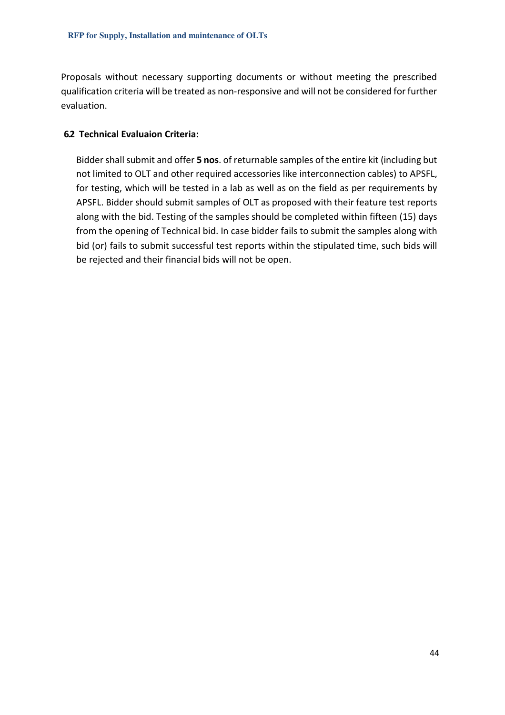Proposals without necessary supporting documents or without meeting the prescribed qualification criteria will be treated as non-responsive and will not be considered for further evaluation.

## **6.2 Technical Evaluaion Criteria:**

Bidder shall submit and offer **5 nos**. of returnable samples of the entire kit (including but not limited to OLT and other required accessories like interconnection cables) to APSFL, for testing, which will be tested in a lab as well as on the field as per requirements by APSFL. Bidder should submit samples of OLT as proposed with their feature test reports along with the bid. Testing of the samples should be completed within fifteen (15) days from the opening of Technical bid. In case bidder fails to submit the samples along with bid (or) fails to submit successful test reports within the stipulated time, such bids will be rejected and their financial bids will not be open.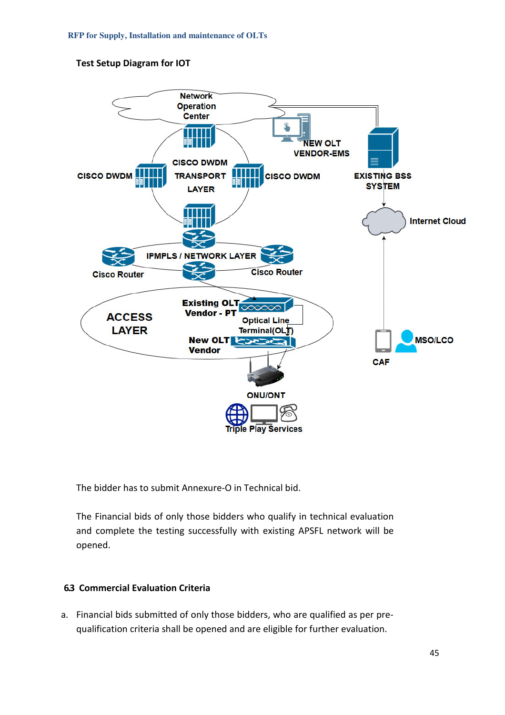### **Test Setup Diagram for IOT**



The bidder has to submit Annexure-O in Technical bid.

The Financial bids of only those bidders who qualify in technical evaluation and complete the testing successfully with existing APSFL network will be opened.

### **6.3 Commercial Evaluation Criteria**

a. Financial bids submitted of only those bidders, who are qualified as per prequalification criteria shall be opened and are eligible for further evaluation.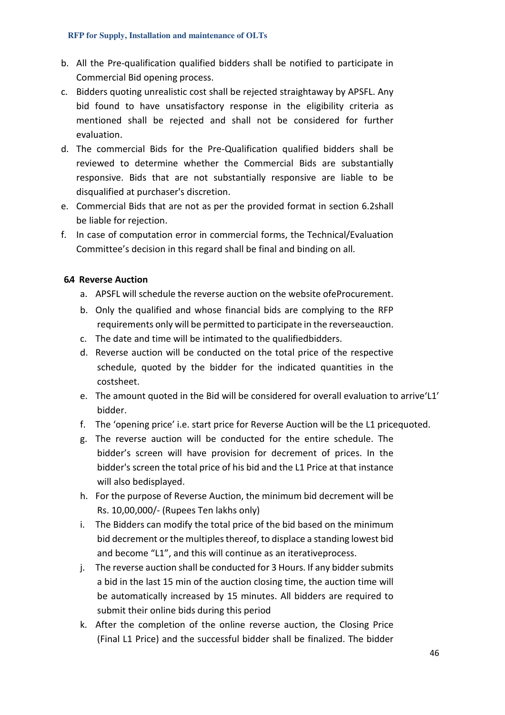- b. All the Pre-qualification qualified bidders shall be notified to participate in Commercial Bid opening process.
- c. Bidders quoting unrealistic cost shall be rejected straightaway by APSFL. Any bid found to have unsatisfactory response in the eligibility criteria as mentioned shall be rejected and shall not be considered for further evaluation.
- d. The commercial Bids for the Pre-Qualification qualified bidders shall be reviewed to determine whether the Commercial Bids are substantially responsive. Bids that are not substantially responsive are liable to be disqualified at purchaser's discretion.
- e. Commercial Bids that are not as per the provided format in section 6.2shall be liable for rejection.
- f. In case of computation error in commercial forms, the Technical/Evaluation Committee's decision in this regard shall be final and binding on all.

### **6.4 Reverse Auction**

- a. APSFL will schedule the reverse auction on the website ofeProcurement.
- b. Only the qualified and whose financial bids are complying to the RFP requirements only will be permitted to participate in the reverseauction.
- c. The date and time will be intimated to the qualifiedbidders.
- d. Reverse auction will be conducted on the total price of the respective schedule, quoted by the bidder for the indicated quantities in the costsheet.
- e. The amount quoted in the Bid will be considered for overall evaluation to arrive'L1' bidder.
- f. The 'opening price' i.e. start price for Reverse Auction will be the L1 pricequoted.
- g. The reverse auction will be conducted for the entire schedule. The bidder's screen will have provision for decrement of prices. In the bidder's screen the total price of his bid and the L1 Price at that instance will also bedisplayed.
- h. For the purpose of Reverse Auction, the minimum bid decrement will be Rs. 10,00,000/- (Rupees Ten lakhs only)
- i. The Bidders can modify the total price of the bid based on the minimum bid decrement or the multiples thereof, to displace a standing lowest bid and become "L1", and this will continue as an iterativeprocess.
- j. The reverse auction shall be conducted for 3 Hours. If any bidder submits a bid in the last 15 min of the auction closing time, the auction time will be automatically increased by 15 minutes. All bidders are required to submit their online bids during this period
- k. After the completion of the online reverse auction, the Closing Price (Final L1 Price) and the successful bidder shall be finalized. The bidder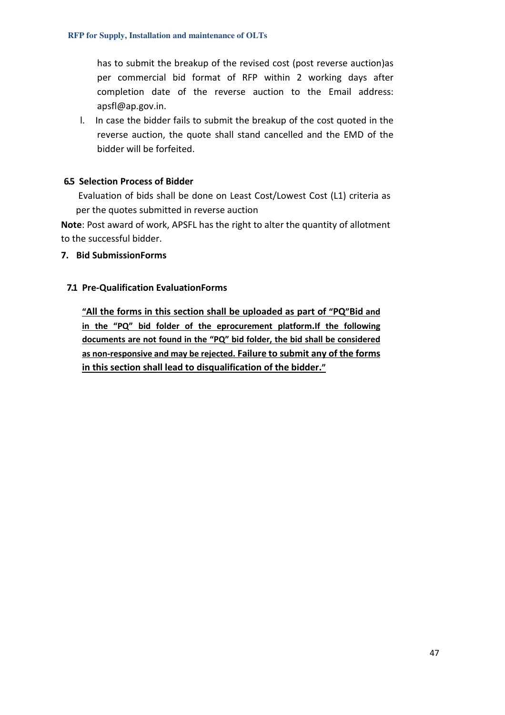has to submit the breakup of the revised cost (post reverse auction)as per commercial bid format of RFP within 2 working days after completion date of the reverse auction to the Email address: apsfl@ap.gov.in.

l. In case the bidder fails to submit the breakup of the cost quoted in the reverse auction, the quote shall stand cancelled and the EMD of the bidder will be forfeited.

### **6.5 Selection Process of Bidder**

 Evaluation of bids shall be done on Least Cost/Lowest Cost (L1) criteria as per the quotes submitted in reverse auction

**Note**: Post award of work, APSFL has the right to alter the quantity of allotment to the successful bidder.

### **7. Bid SubmissionForms**

### **7.1 Pre-Qualification EvaluationForms**

**"All the forms in this section shall be uploaded as part of "PQ"Bid and in the "PQ" bid folder of the eprocurement platform.If the following documents are not found in the "PQ" bid folder, the bid shall be considered as non-responsive and may be rejected. Failure to submit any of the forms in this section shall lead to disqualification of the bidder."**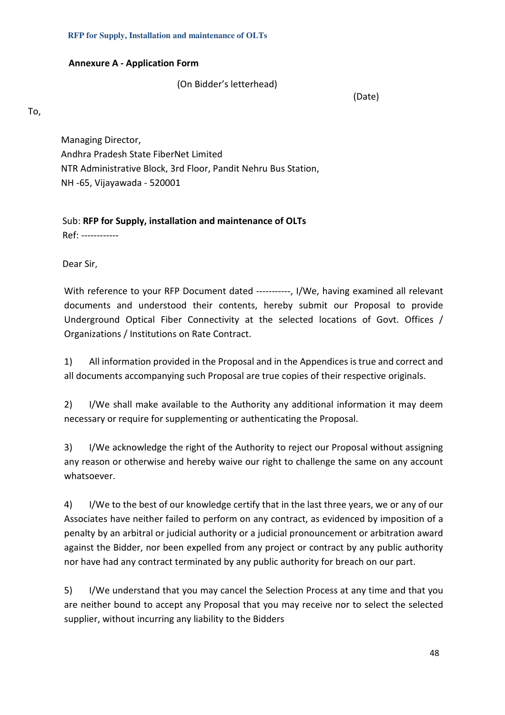### **Annexure A - Application Form**

(On Bidder's letterhead)

(Date)

To,

Managing Director, Andhra Pradesh State FiberNet Limited NTR Administrative Block, 3rd Floor, Pandit Nehru Bus Station, NH -65, Vijayawada - 520001

 Sub: **RFP for Supply, installation and maintenance of OLTs**  Ref: ------------

Dear Sir,

With reference to your RFP Document dated ----------, I/We, having examined all relevant documents and understood their contents, hereby submit our Proposal to provide Underground Optical Fiber Connectivity at the selected locations of Govt. Offices / Organizations / Institutions on Rate Contract.

1) All information provided in the Proposal and in the Appendices is true and correct and all documents accompanying such Proposal are true copies of their respective originals.

2) I/We shall make available to the Authority any additional information it may deem necessary or require for supplementing or authenticating the Proposal.

3) I/We acknowledge the right of the Authority to reject our Proposal without assigning any reason or otherwise and hereby waive our right to challenge the same on any account whatsoever.

4) I/We to the best of our knowledge certify that in the last three years, we or any of our Associates have neither failed to perform on any contract, as evidenced by imposition of a penalty by an arbitral or judicial authority or a judicial pronouncement or arbitration award against the Bidder, nor been expelled from any project or contract by any public authority nor have had any contract terminated by any public authority for breach on our part.

5) I/We understand that you may cancel the Selection Process at any time and that you are neither bound to accept any Proposal that you may receive nor to select the selected supplier, without incurring any liability to the Bidders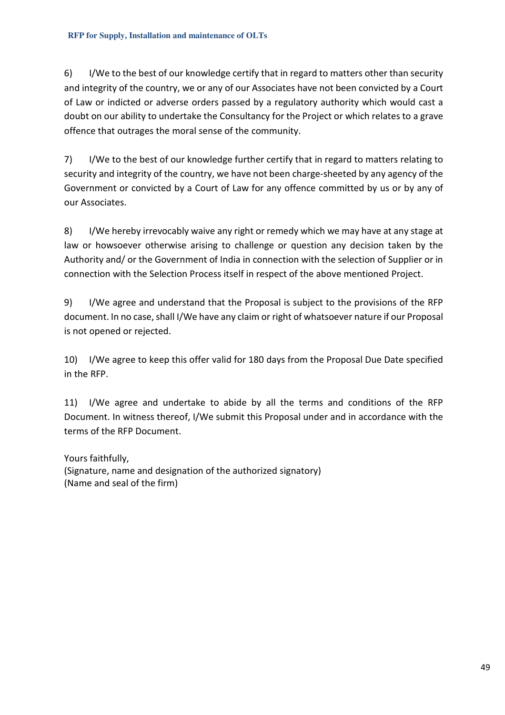6) I/We to the best of our knowledge certify that in regard to matters other than security and integrity of the country, we or any of our Associates have not been convicted by a Court of Law or indicted or adverse orders passed by a regulatory authority which would cast a doubt on our ability to undertake the Consultancy for the Project or which relates to a grave offence that outrages the moral sense of the community.

7) I/We to the best of our knowledge further certify that in regard to matters relating to security and integrity of the country, we have not been charge-sheeted by any agency of the Government or convicted by a Court of Law for any offence committed by us or by any of our Associates.

8) I/We hereby irrevocably waive any right or remedy which we may have at any stage at law or howsoever otherwise arising to challenge or question any decision taken by the Authority and/ or the Government of India in connection with the selection of Supplier or in connection with the Selection Process itself in respect of the above mentioned Project.

9) I/We agree and understand that the Proposal is subject to the provisions of the RFP document. In no case, shall I/We have any claim or right of whatsoever nature if our Proposal is not opened or rejected.

10) I/We agree to keep this offer valid for 180 days from the Proposal Due Date specified in the RFP.

11) I/We agree and undertake to abide by all the terms and conditions of the RFP Document. In witness thereof, I/We submit this Proposal under and in accordance with the terms of the RFP Document.

Yours faithfully, (Signature, name and designation of the authorized signatory) (Name and seal of the firm)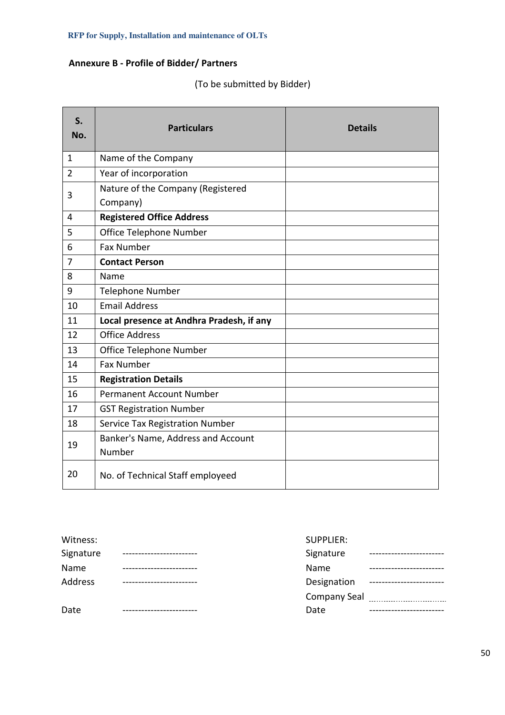# **Annexure B - Profile of Bidder/ Partners**

# (To be submitted by Bidder)

| $S_{1}$<br>No. | <b>Particulars</b>                            | <b>Details</b> |
|----------------|-----------------------------------------------|----------------|
| $\mathbf{1}$   | Name of the Company                           |                |
| $\overline{2}$ | Year of incorporation                         |                |
| 3              | Nature of the Company (Registered<br>Company) |                |
| 4              | <b>Registered Office Address</b>              |                |
| 5              | Office Telephone Number                       |                |
| 6              | <b>Fax Number</b>                             |                |
| $\overline{7}$ | <b>Contact Person</b>                         |                |
| 8              | Name                                          |                |
| 9              | <b>Telephone Number</b>                       |                |
| 10             | <b>Email Address</b>                          |                |
| 11             | Local presence at Andhra Pradesh, if any      |                |
| 12             | <b>Office Address</b>                         |                |
| 13             | Office Telephone Number                       |                |
| 14             | <b>Fax Number</b>                             |                |
| 15             | <b>Registration Details</b>                   |                |
| 16             | <b>Permanent Account Number</b>               |                |
| 17             | <b>GST Registration Number</b>                |                |
| 18             | Service Tax Registration Number               |                |
| 19             | Banker's Name, Address and Account<br>Number  |                |
| 20             | No. of Technical Staff employeed              |                |

| Witness:  |                        | <b>SUPPLIER:</b> |                           |
|-----------|------------------------|------------------|---------------------------|
| Signature |                        | Signature        |                           |
| Name      |                        | Name             | .                         |
| Address   | ---------------------- | Designation      | ------------------------- |
|           |                        | Company Seal     |                           |
| Date      |                        | Date             |                           |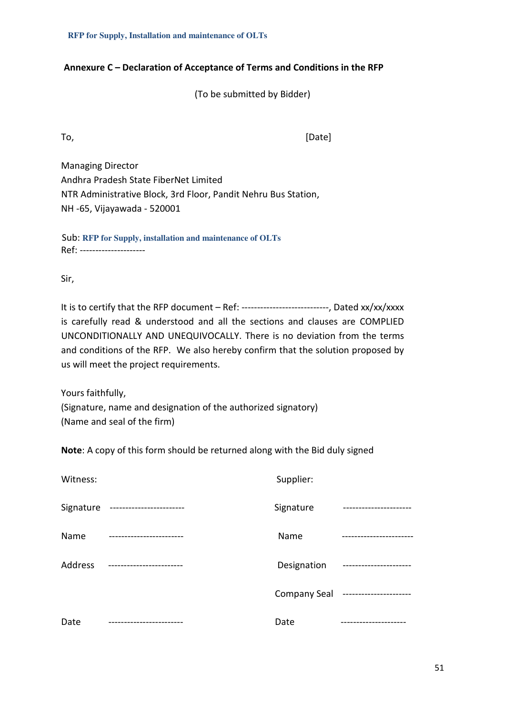## **Annexure C – Declaration of Acceptance of Terms and Conditions in the RFP**

(To be submitted by Bidder)

To, Estate and the contract of the contract of the contract of  $[Date]$ 

Managing Director Andhra Pradesh State FiberNet Limited NTR Administrative Block, 3rd Floor, Pandit Nehru Bus Station, NH -65, Vijayawada - 520001

Sub: **RFP for Supply, installation and maintenance of OLTs**  Ref: ---------------------

Sir,

It is to certify that the RFP document - Ref: ----------------------------, Dated xx/xx/xxxx is carefully read & understood and all the sections and clauses are COMPLIED UNCONDITIONALLY AND UNEQUIVOCALLY. There is no deviation from the terms and conditions of the RFP. We also hereby confirm that the solution proposed by us will meet the project requirements.

Yours faithfully, (Signature, name and designation of the authorized signatory) (Name and seal of the firm)

**Note**: A copy of this form should be returned along with the Bid duly signed

| Witness:  |                          | Supplier:           |                        |
|-----------|--------------------------|---------------------|------------------------|
| Signature | ------------------------ | Signature           |                        |
| Name      |                          | Name                |                        |
| Address   | ------------------------ | Designation         | ---------------------- |
|           |                          | <b>Company Seal</b> | ---------------------- |
| Date      |                          | Date                |                        |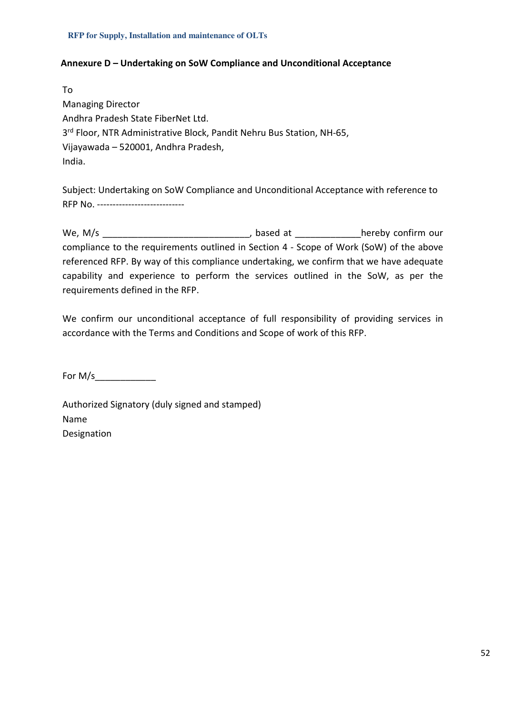### **Annexure D – Undertaking on SoW Compliance and Unconditional Acceptance**

To Managing Director Andhra Pradesh State FiberNet Ltd. 3<sup>rd</sup> Floor, NTR Administrative Block, Pandit Nehru Bus Station, NH-65, Vijayawada – 520001, Andhra Pradesh, India.

Subject: Undertaking on SoW Compliance and Unconditional Acceptance with reference to RFP No. ----------------------------

We, M/s \_\_\_\_\_\_\_\_\_\_\_\_\_\_\_\_\_\_\_\_\_\_\_\_\_\_\_\_\_\_\_\_\_\_, based at \_\_\_\_\_\_\_\_\_\_\_\_\_\_hereby confirm our compliance to the requirements outlined in Section 4 - Scope of Work (SoW) of the above referenced RFP. By way of this compliance undertaking, we confirm that we have adequate capability and experience to perform the services outlined in the SoW, as per the requirements defined in the RFP.

We confirm our unconditional acceptance of full responsibility of providing services in accordance with the Terms and Conditions and Scope of work of this RFP.

For M/s\_\_\_\_\_\_\_\_\_\_\_\_

Authorized Signatory (duly signed and stamped) Name Designation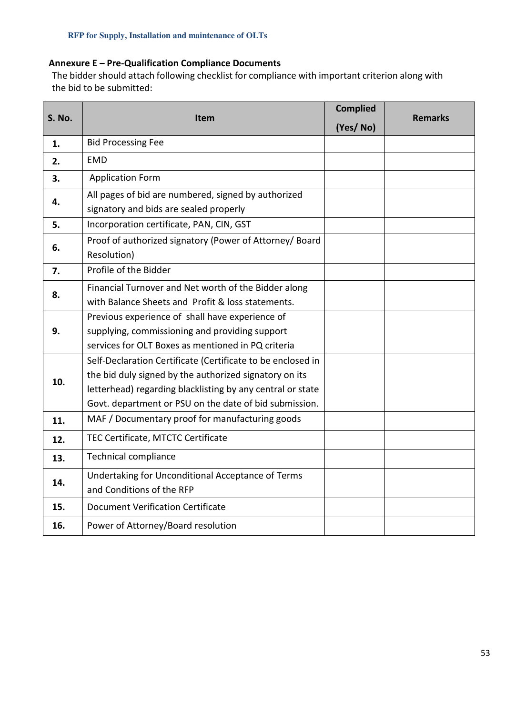# **Annexure E – Pre-Qualification Compliance Documents**

The bidder should attach following checklist for compliance with important criterion along with the bid to be submitted:

| S. No. |                                                                                                                                                                                                                                               | <b>Complied</b> | <b>Remarks</b> |
|--------|-----------------------------------------------------------------------------------------------------------------------------------------------------------------------------------------------------------------------------------------------|-----------------|----------------|
|        | <b>Item</b>                                                                                                                                                                                                                                   | (Yes/No)        |                |
| 1.     | <b>Bid Processing Fee</b>                                                                                                                                                                                                                     |                 |                |
| 2.     | <b>EMD</b>                                                                                                                                                                                                                                    |                 |                |
| 3.     | <b>Application Form</b>                                                                                                                                                                                                                       |                 |                |
| 4.     | All pages of bid are numbered, signed by authorized<br>signatory and bids are sealed properly                                                                                                                                                 |                 |                |
| 5.     | Incorporation certificate, PAN, CIN, GST                                                                                                                                                                                                      |                 |                |
| 6.     | Proof of authorized signatory (Power of Attorney/ Board<br>Resolution)                                                                                                                                                                        |                 |                |
| 7.     | Profile of the Bidder                                                                                                                                                                                                                         |                 |                |
| 8.     | Financial Turnover and Net worth of the Bidder along<br>with Balance Sheets and Profit & loss statements.                                                                                                                                     |                 |                |
| 9.     | Previous experience of shall have experience of<br>supplying, commissioning and providing support<br>services for OLT Boxes as mentioned in PQ criteria                                                                                       |                 |                |
| 10.    | Self-Declaration Certificate (Certificate to be enclosed in<br>the bid duly signed by the authorized signatory on its<br>letterhead) regarding blacklisting by any central or state<br>Govt. department or PSU on the date of bid submission. |                 |                |
| 11.    | MAF / Documentary proof for manufacturing goods                                                                                                                                                                                               |                 |                |
| 12.    | TEC Certificate, MTCTC Certificate                                                                                                                                                                                                            |                 |                |
| 13.    | <b>Technical compliance</b>                                                                                                                                                                                                                   |                 |                |
| 14.    | Undertaking for Unconditional Acceptance of Terms<br>and Conditions of the RFP                                                                                                                                                                |                 |                |
| 15.    | <b>Document Verification Certificate</b>                                                                                                                                                                                                      |                 |                |
| 16.    | Power of Attorney/Board resolution                                                                                                                                                                                                            |                 |                |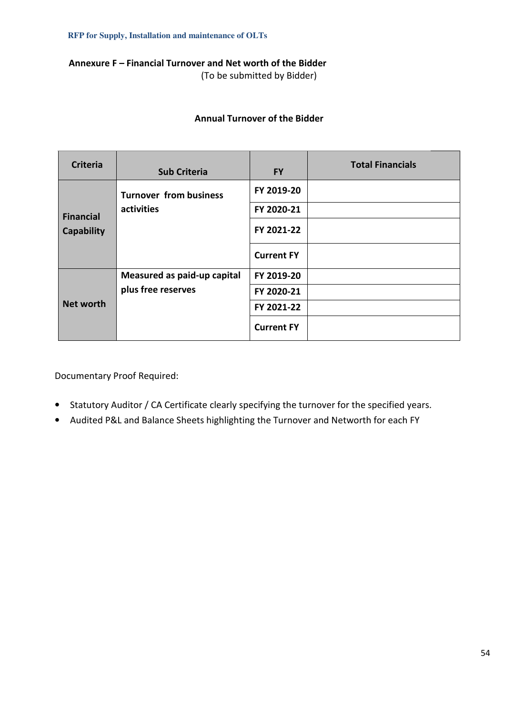## **Annexure F – Financial Turnover and Net worth of the Bidder**  (To be submitted by Bidder)

### **Annual Turnover of the Bidder**

| <b>Criteria</b>   | <b>Sub Criteria</b>           | <b>FY</b>         | <b>Total Financials</b> |
|-------------------|-------------------------------|-------------------|-------------------------|
|                   | <b>Turnover from business</b> | FY 2019-20        |                         |
| <b>Financial</b>  | activities                    | FY 2020-21        |                         |
| <b>Capability</b> |                               | FY 2021-22        |                         |
|                   |                               | <b>Current FY</b> |                         |
|                   | Measured as paid-up capital   | FY 2019-20        |                         |
|                   | plus free reserves            | FY 2020-21        |                         |
| <b>Net worth</b>  |                               | FY 2021-22        |                         |
|                   |                               | <b>Current FY</b> |                         |

Documentary Proof Required:

- Statutory Auditor / CA Certificate clearly specifying the turnover for the specified years.
- Audited P&L and Balance Sheets highlighting the Turnover and Networth for each FY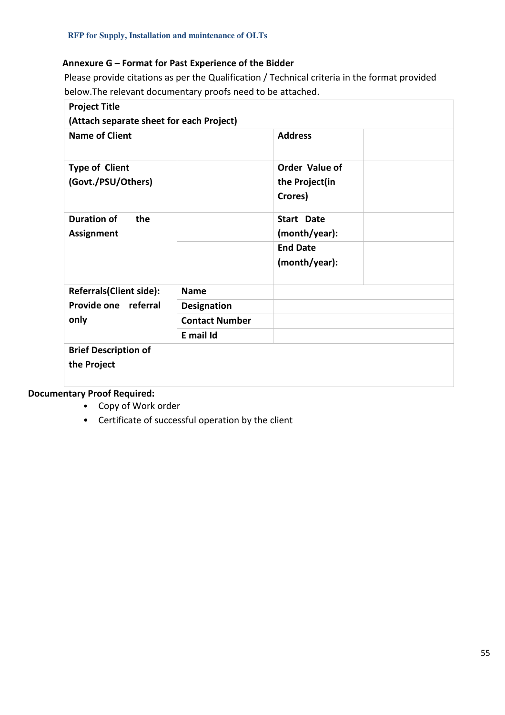# **Annexure G – Format for Past Experience of the Bidder**

Please provide citations as per the Qualification / Technical criteria in the format provided below.The relevant documentary proofs need to be attached.

| <b>Project Title</b>                     |                       |                 |  |  |
|------------------------------------------|-----------------------|-----------------|--|--|
| (Attach separate sheet for each Project) |                       |                 |  |  |
| <b>Name of Client</b>                    |                       | <b>Address</b>  |  |  |
| <b>Type of Client</b>                    |                       | Order Value of  |  |  |
| (Govt./PSU/Others)                       |                       | the Project(in  |  |  |
|                                          |                       | Crores)         |  |  |
| <b>Duration of</b><br>the                |                       | Start Date      |  |  |
| <b>Assignment</b>                        |                       | (month/year):   |  |  |
|                                          |                       | <b>End Date</b> |  |  |
|                                          |                       | (month/year):   |  |  |
| <b>Referrals(Client side):</b>           | <b>Name</b>           |                 |  |  |
| Provide one referral                     | <b>Designation</b>    |                 |  |  |
| only                                     | <b>Contact Number</b> |                 |  |  |
|                                          |                       |                 |  |  |
| E mail Id                                |                       |                 |  |  |
| <b>Brief Description of</b>              |                       |                 |  |  |
| the Project                              |                       |                 |  |  |

# **Documentary Proof Required:**

- Copy of Work order
- Certificate of successful operation by the client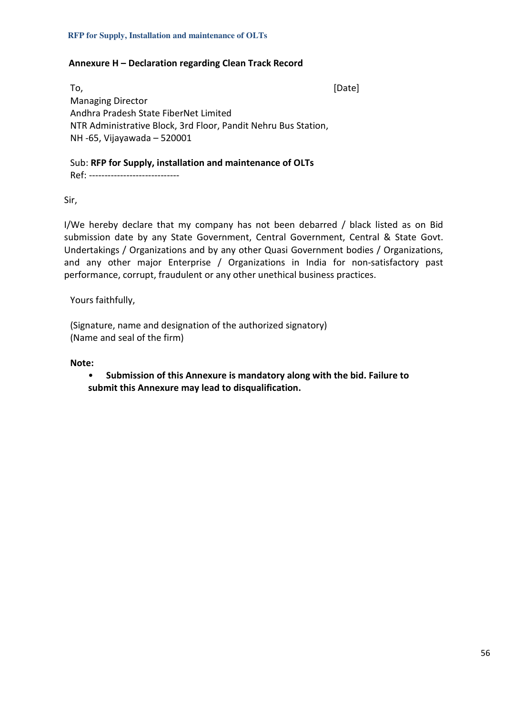### **Annexure H – Declaration regarding Clean Track Record**

To, [Date] Managing Director Andhra Pradesh State FiberNet Limited NTR Administrative Block, 3rd Floor, Pandit Nehru Bus Station, NH -65, Vijayawada – 520001

Sub: **RFP for Supply, installation and maintenance of OLTs**  Ref: -----------------------------

Sir,

I/We hereby declare that my company has not been debarred / black listed as on Bid submission date by any State Government, Central Government, Central & State Govt. Undertakings / Organizations and by any other Quasi Government bodies / Organizations, and any other major Enterprise / Organizations in India for non-satisfactory past performance, corrupt, fraudulent or any other unethical business practices.

Yours faithfully,

(Signature, name and designation of the authorized signatory) (Name and seal of the firm)

**Note:** 

• **Submission of this Annexure is mandatory along with the bid. Failure to submit this Annexure may lead to disqualification.**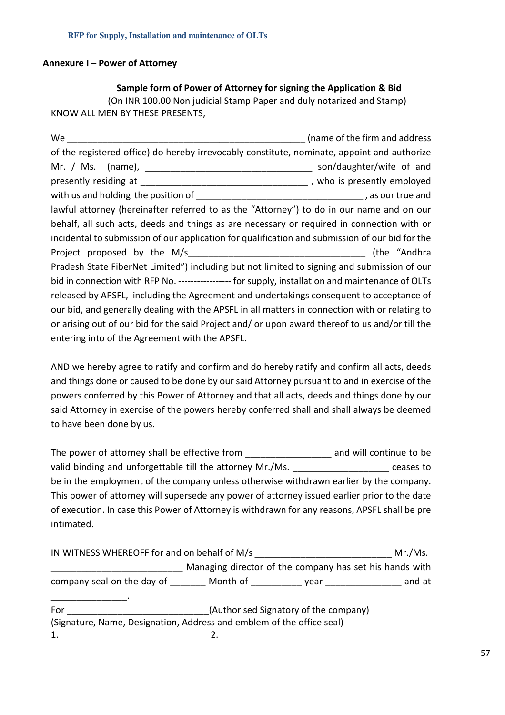### **Annexure I – Power of Attorney**

### **Sample form of Power of Attorney for signing the Application & Bid**

(On INR 100.00 Non judicial Stamp Paper and duly notarized and Stamp) KNOW ALL MEN BY THESE PRESENTS,

| We                                                                                                | (name of the firm and address |  |
|---------------------------------------------------------------------------------------------------|-------------------------------|--|
| of the registered office) do hereby irrevocably constitute, nominate, appoint and authorize       |                               |  |
|                                                                                                   | son/daughter/wife of and      |  |
|                                                                                                   |                               |  |
|                                                                                                   |                               |  |
| lawful attorney (hereinafter referred to as the "Attorney") to do in our name and on our          |                               |  |
| behalf, all such acts, deeds and things as are necessary or required in connection with or        |                               |  |
| incidental to submission of our application for qualification and submission of our bid for the   |                               |  |
|                                                                                                   | (the "Andhra                  |  |
| Pradesh State FiberNet Limited") including but not limited to signing and submission of our       |                               |  |
| bid in connection with RFP No. ----------------- for supply, installation and maintenance of OLTs |                               |  |
| released by APSFL, including the Agreement and undertakings consequent to acceptance of           |                               |  |
| our bid, and generally dealing with the APSFL in all matters in connection with or relating to    |                               |  |
| or arising out of our bid for the said Project and/ or upon award thereof to us and/or till the   |                               |  |
| entering into of the Agreement with the APSFL.                                                    |                               |  |

AND we hereby agree to ratify and confirm and do hereby ratify and confirm all acts, deeds and things done or caused to be done by our said Attorney pursuant to and in exercise of the powers conferred by this Power of Attorney and that all acts, deeds and things done by our said Attorney in exercise of the powers hereby conferred shall and shall always be deemed to have been done by us.

The power of attorney shall be effective from \_\_\_\_\_\_\_\_\_\_\_\_\_\_\_\_\_ and will continue to be valid binding and unforgettable till the attorney Mr./Ms. \_\_\_\_\_\_\_\_\_\_\_\_\_\_\_\_\_\_\_ ceases to be in the employment of the company unless otherwise withdrawn earlier by the company. This power of attorney will supersede any power of attorney issued earlier prior to the date of execution. In case this Power of Attorney is withdrawn for any reasons, APSFL shall be pre intimated.

IN WITNESS WHEREOFF for and on behalf of M/s Theorem 2011 Control of Mr./Ms. \_\_\_\_\_\_\_\_\_\_\_\_\_\_\_\_\_\_\_\_\_\_\_\_\_\_ Managing director of the company has set his hands with company seal on the day of The Month of The Year The Sand at  $\mathcal{L}$ 

For **For Example 2** (Authorised Signatory of the company) (Signature, Name, Designation, Address and emblem of the office seal)  $1.$  2.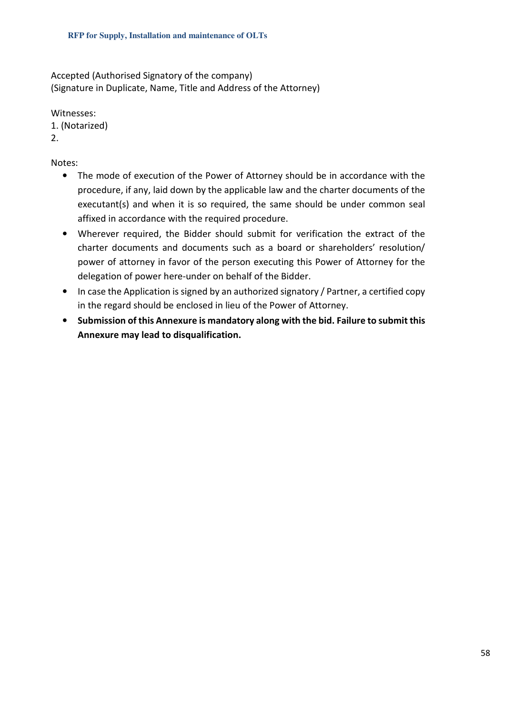Accepted (Authorised Signatory of the company) (Signature in Duplicate, Name, Title and Address of the Attorney)

Witnesses:

1. (Notarized)

2.

Notes:

- The mode of execution of the Power of Attorney should be in accordance with the procedure, if any, laid down by the applicable law and the charter documents of the executant(s) and when it is so required, the same should be under common seal affixed in accordance with the required procedure.
- Wherever required, the Bidder should submit for verification the extract of the charter documents and documents such as a board or shareholders' resolution/ power of attorney in favor of the person executing this Power of Attorney for the delegation of power here-under on behalf of the Bidder.
- In case the Application is signed by an authorized signatory / Partner, a certified copy in the regard should be enclosed in lieu of the Power of Attorney.
- **Submission of this Annexure is mandatory along with the bid. Failure to submit this Annexure may lead to disqualification.**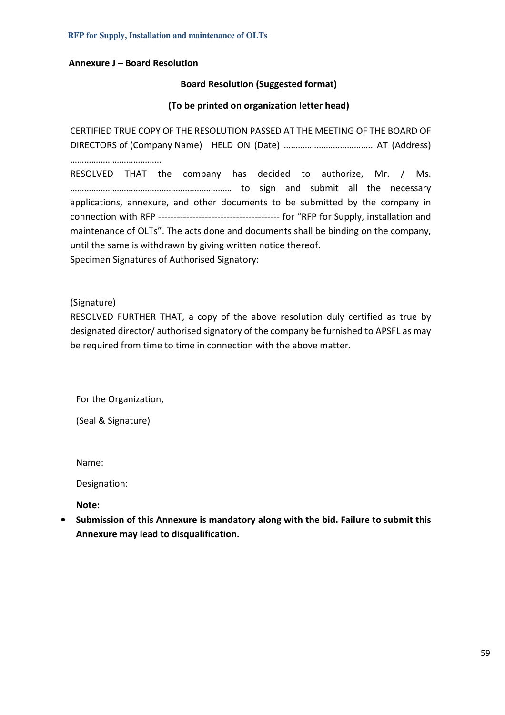### **Annexure J – Board Resolution**

### **Board Resolution (Suggested format)**

### **(To be printed on organization letter head)**

CERTIFIED TRUE COPY OF THE RESOLUTION PASSED AT THE MEETING OF THE BOARD OF DIRECTORS of (Company Name) HELD ON (Date) ……………………………….. AT (Address) …………………………………

RESOLVED THAT the company has decided to authorize, Mr. / Ms. …………………………………………………………… to sign and submit all the necessary applications, annexure, and other documents to be submitted by the company in connection with RFP --------------------------------------- for "RFP for Supply, installation and maintenance of OLTs". The acts done and documents shall be binding on the company, until the same is withdrawn by giving written notice thereof. Specimen Signatures of Authorised Signatory:

(Signature)

RESOLVED FURTHER THAT, a copy of the above resolution duly certified as true by designated director/ authorised signatory of the company be furnished to APSFL as may be required from time to time in connection with the above matter.

For the Organization,

(Seal & Signature)

Name:

Designation:

**Note:** 

• **Submission of this Annexure is mandatory along with the bid. Failure to submit this Annexure may lead to disqualification.**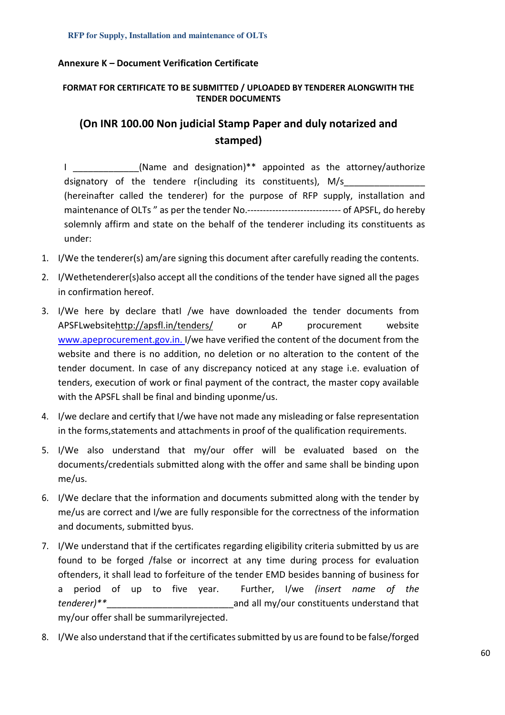## **Annexure K – Document Verification Certificate**

## **FORMAT FOR CERTIFICATE TO BE SUBMITTED / UPLOADED BY TENDERER ALONGWITH THE TENDER DOCUMENTS**

# **(On INR 100.00 Non judicial Stamp Paper and duly notarized and stamped)**

I constant (Name and designation)\*\* appointed as the attorney/authorize dsignatory of the tendere r(including its constituents),  $M/s$ (hereinafter called the tenderer) for the purpose of RFP supply, installation and maintenance of OLTs" as per the tender No.------------------------------- of APSFL, do hereby solemnly affirm and state on the behalf of the tenderer including its constituents as under:

- 1. I/We the tenderer(s) am/are signing this document after carefully reading the contents.
- 2. I/Wethetenderer(s)also accept all the conditions of the tender have signed all the pages in confirmation hereof.
- 3. I/We here by declare thatI /we have downloaded the tender documents from APSFLwebsitehttp://apsfl.in/tenders/ or AP procurement website www.apeprocurement.gov.in. I/we have verified the content of the document from the website and there is no addition, no deletion or no alteration to the content of the tender document. In case of any discrepancy noticed at any stage i.e. evaluation of tenders, execution of work or final payment of the contract, the master copy available with the APSFL shall be final and binding uponme/us.
- 4. I/we declare and certify that I/we have not made any misleading or false representation in the forms,statements and attachments in proof of the qualification requirements.
- 5. I/We also understand that my/our offer will be evaluated based on the documents/credentials submitted along with the offer and same shall be binding upon me/us.
- 6. I/We declare that the information and documents submitted along with the tender by me/us are correct and I/we are fully responsible for the correctness of the information and documents, submitted byus.
- 7. I/We understand that if the certificates regarding eligibility criteria submitted by us are found to be forged /false or incorrect at any time during process for evaluation oftenders, it shall lead to forfeiture of the tender EMD besides banning of business for a period of up to five year. Further, I/we *(insert name of the tenderer)*\*\* **tenderer** and all my/our constituents understand that my/our offer shall be summarilyrejected.
- 8. I/We also understand that if the certificates submitted by us are found to be false/forged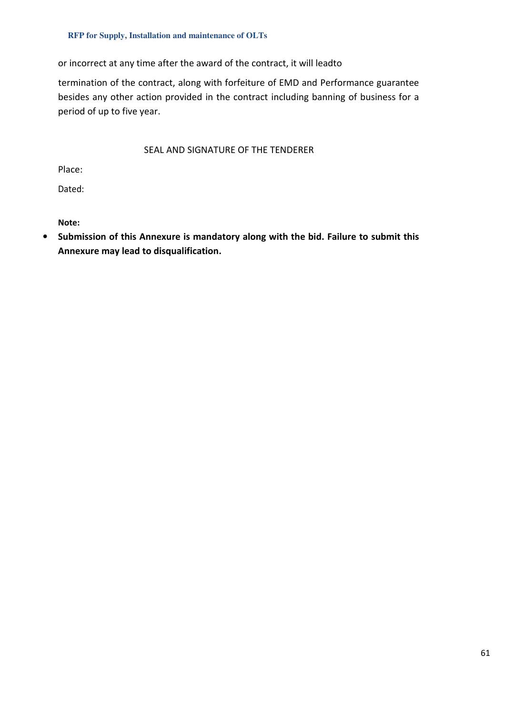or incorrect at any time after the award of the contract, it will leadto

termination of the contract, along with forfeiture of EMD and Performance guarantee besides any other action provided in the contract including banning of business for a period of up to five year.

## SEAL AND SIGNATURE OF THE TENDERER

Place:

Dated:

**Note:** 

• **Submission of this Annexure is mandatory along with the bid. Failure to submit this Annexure may lead to disqualification.**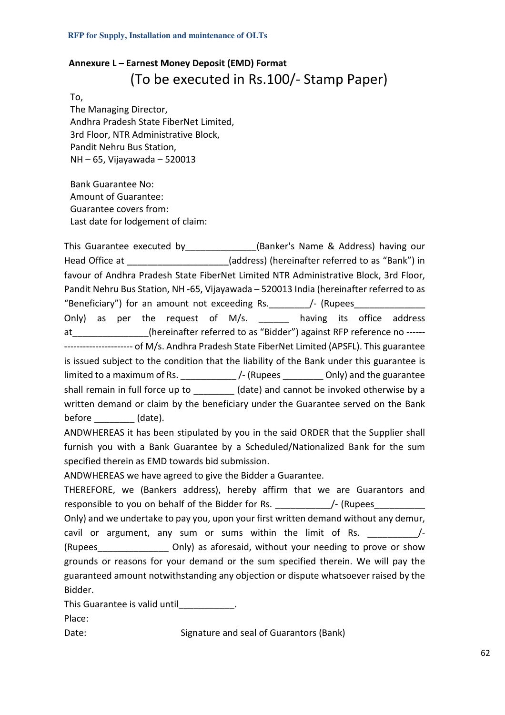# **Annexure L – Earnest Money Deposit (EMD) Format**  (To be executed in Rs.100/- Stamp Paper)

To,

The Managing Director, Andhra Pradesh State FiberNet Limited, 3rd Floor, NTR Administrative Block, Pandit Nehru Bus Station, NH – 65, Vijayawada – 520013

Bank Guarantee No: Amount of Guarantee: Guarantee covers from: Last date for lodgement of claim:

| This Guarantee executed by______________(Banker's Name & Address) having our                 |  |  |  |
|----------------------------------------------------------------------------------------------|--|--|--|
| Head Office at _____________________(address) (hereinafter referred to as "Bank") in         |  |  |  |
| favour of Andhra Pradesh State FiberNet Limited NTR Administrative Block, 3rd Floor,         |  |  |  |
| Pandit Nehru Bus Station, NH-65, Vijayawada - 520013 India (hereinafter referred to as       |  |  |  |
| "Beneficiary") for an amount not exceeding Rs. _______/- (Rupees_______________              |  |  |  |
| Only) as per the request of M/s. ______ having its office address                            |  |  |  |
| at_______________(hereinafter referred to as "Bidder") against RFP reference no ------       |  |  |  |
| ---------------------- of M/s. Andhra Pradesh State FiberNet Limited (APSFL). This guarantee |  |  |  |
| is issued subject to the condition that the liability of the Bank under this guarantee is    |  |  |  |
| limited to a maximum of Rs. _____________/- (Rupees __________ Only) and the guarantee       |  |  |  |
| shall remain in full force up to ________ (date) and cannot be invoked otherwise by a        |  |  |  |
| written demand or claim by the beneficiary under the Guarantee served on the Bank            |  |  |  |
| $before$ (date).                                                                             |  |  |  |
| ANDWHEREAS it has been stipulated by you in the said ORDER that the Supplier shall           |  |  |  |
| furnish you with a Bank Guarantee by a Scheduled/Nationalized Bank for the sum               |  |  |  |
| specified therein as EMD towards bid submission.                                             |  |  |  |
| ANDWHEREAS we have agreed to give the Bidder a Guarantee.                                    |  |  |  |
| THEREFORE, we (Bankers address), hereby affirm that we are Guarantors and                    |  |  |  |
| responsible to you on behalf of the Bidder for Rs. ________________/- (Rupees__________      |  |  |  |
| Only) and we undertake to pay you, upon your first written demand without any demur,         |  |  |  |
| cavil or argument, any sum or sums within the limit of Rs. $\sqrt{2}$                        |  |  |  |
| (Rupees___________________ Only) as aforesaid, without your needing to prove or show         |  |  |  |
| grounds or reasons for your demand or the sum specified therein. We will pay the             |  |  |  |
| guaranteed amount notwithstanding any objection or dispute whatsoever raised by the          |  |  |  |
| Bidder.                                                                                      |  |  |  |
| This Guarantee is valid until____________.                                                   |  |  |  |
| Place:                                                                                       |  |  |  |

Date: Signature and seal of Guarantors (Bank)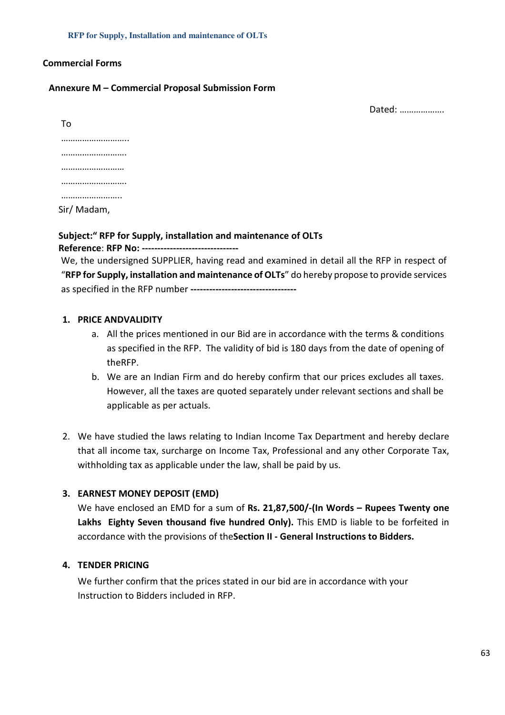### **Commercial Forms**

### **Annexure M – Commercial Proposal Submission Form**

Dated: ……………….

| Т٥          |
|-------------|
|             |
|             |
|             |
|             |
|             |
| Sir/ Madam, |

### **Subject:" RFP for Supply, installation and maintenance of OLTs Reference**: **RFP No: -------------------------------**

We, the undersigned SUPPLIER, having read and examined in detail all the RFP in respect of "**RFP for Supply, installation and maintenance of OLTs**" do hereby propose to provide services as specified in the RFP number **----------------------------------** 

### **1. PRICE ANDVALIDITY**

- a. All the prices mentioned in our Bid are in accordance with the terms & conditions as specified in the RFP. The validity of bid is 180 days from the date of opening of theRFP.
- b. We are an Indian Firm and do hereby confirm that our prices excludes all taxes. However, all the taxes are quoted separately under relevant sections and shall be applicable as per actuals.
- 2. We have studied the laws relating to Indian Income Tax Department and hereby declare that all income tax, surcharge on Income Tax, Professional and any other Corporate Tax, withholding tax as applicable under the law, shall be paid by us.

### **3. EARNEST MONEY DEPOSIT (EMD)**

We have enclosed an EMD for a sum of **Rs. 21,87,500/-(In Words – Rupees Twenty one Lakhs Eighty Seven thousand five hundred Only).** This EMD is liable to be forfeited in accordance with the provisions of the**Section II - General Instructions to Bidders.** 

### **4. TENDER PRICING**

We further confirm that the prices stated in our bid are in accordance with your Instruction to Bidders included in RFP.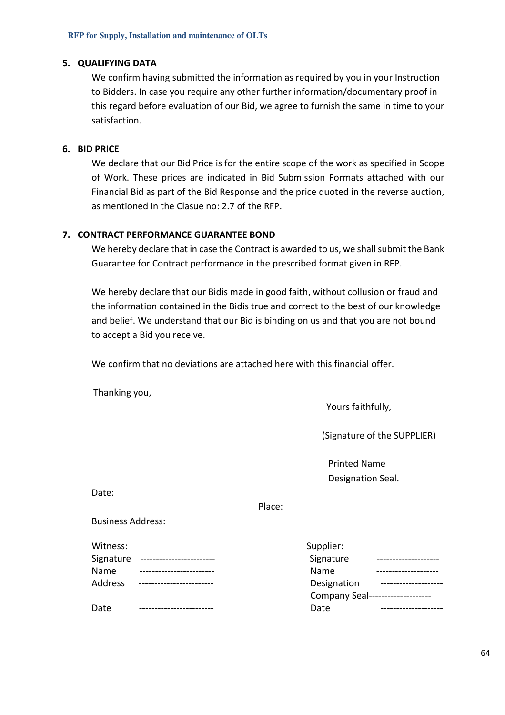### **5. QUALIFYING DATA**

We confirm having submitted the information as required by you in your Instruction to Bidders. In case you require any other further information/documentary proof in this regard before evaluation of our Bid, we agree to furnish the same in time to your satisfaction.

### **6. BID PRICE**

We declare that our Bid Price is for the entire scope of the work as specified in Scope of Work. These prices are indicated in Bid Submission Formats attached with our Financial Bid as part of the Bid Response and the price quoted in the reverse auction, as mentioned in the Clasue no: 2.7 of the RFP.

### **7. CONTRACT PERFORMANCE GUARANTEE BOND**

We hereby declare that in case the Contract is awarded to us, we shall submit the Bank Guarantee for Contract performance in the prescribed format given in RFP.

We hereby declare that our Bidis made in good faith, without collusion or fraud and the information contained in the Bidis true and correct to the best of our knowledge and belief. We understand that our Bid is binding on us and that you are not bound to accept a Bid you receive.

We confirm that no deviations are attached here with this financial offer.

Yours faithfully,

(Signature of the SUPPLIER)

Printed Name Designation Seal.

Date:

Place:

Business Address:

Thanking you,

| Witness:  |  |
|-----------|--|
| Signature |  |
| Name      |  |
| Address   |  |
|           |  |
| $D - L$   |  |

Supplier: Signature --------------------Name ------------------------ Name -------------------- Designation -------------------Company Seal-------------------- Date ------------------------ Date --------------------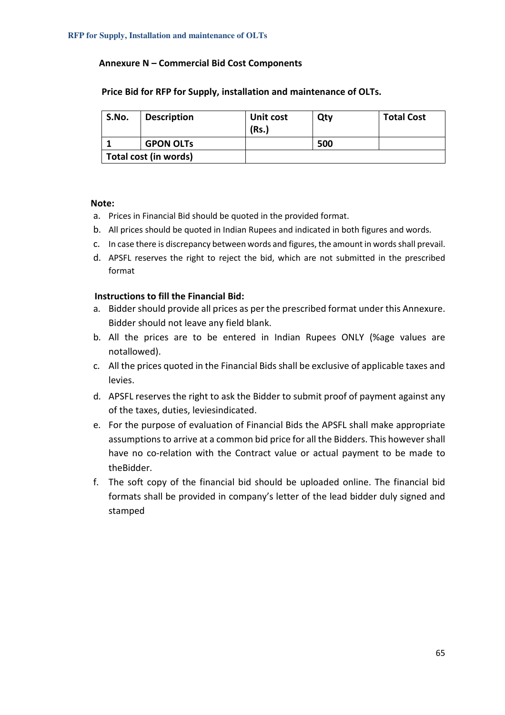### **Annexure N – Commercial Bid Cost Components**

### **Price Bid for RFP for Supply, installation and maintenance of OLTs.**

| S.No.                 | <b>Description</b> | Unit cost<br>(Rs.) | Qty | <b>Total Cost</b> |
|-----------------------|--------------------|--------------------|-----|-------------------|
|                       | <b>GPON OLTs</b>   |                    | 500 |                   |
| Total cost (in words) |                    |                    |     |                   |

### **Note:**

- a. Prices in Financial Bid should be quoted in the provided format.
- b. All prices should be quoted in Indian Rupees and indicated in both figures and words.
- c. In case there is discrepancy between words and figures, the amount in words shall prevail.
- d. APSFL reserves the right to reject the bid, which are not submitted in the prescribed format

### **Instructions to fill the Financial Bid:**

- a. Bidder should provide all prices as per the prescribed format under this Annexure. Bidder should not leave any field blank.
- b. All the prices are to be entered in Indian Rupees ONLY (%age values are notallowed).
- c. All the prices quoted in the Financial Bids shall be exclusive of applicable taxes and levies.
- d. APSFL reserves the right to ask the Bidder to submit proof of payment against any of the taxes, duties, leviesindicated.
- e. For the purpose of evaluation of Financial Bids the APSFL shall make appropriate assumptions to arrive at a common bid price for all the Bidders. This however shall have no co-relation with the Contract value or actual payment to be made to theBidder.
- f. The soft copy of the financial bid should be uploaded online. The financial bid formats shall be provided in company's letter of the lead bidder duly signed and stamped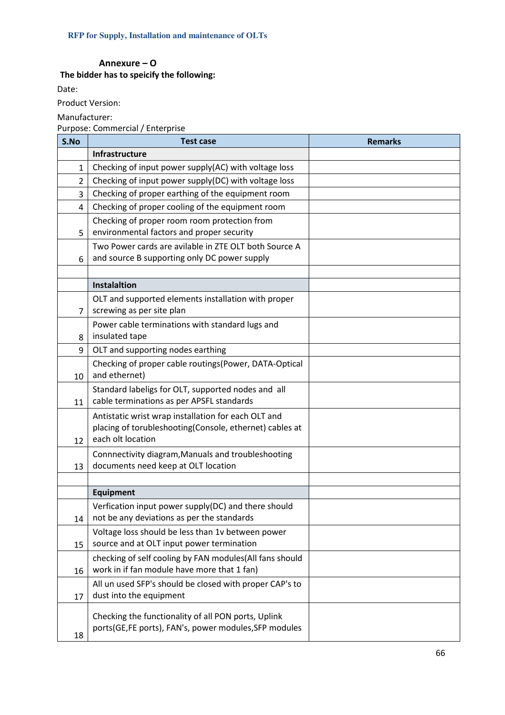# **Annexure – O**

## **The bidder has to speicify the following:**

Date:

Product Version:

Manufacturer:

Purpose: Commercial / Enterprise

| S.No           | <b>Test case</b>                                                                                                                    | <b>Remarks</b> |
|----------------|-------------------------------------------------------------------------------------------------------------------------------------|----------------|
|                | Infrastructure                                                                                                                      |                |
| 1              | Checking of input power supply(AC) with voltage loss                                                                                |                |
| 2              | Checking of input power supply(DC) with voltage loss                                                                                |                |
| 3              | Checking of proper earthing of the equipment room                                                                                   |                |
| 4              | Checking of proper cooling of the equipment room                                                                                    |                |
| 5              | Checking of proper room room protection from<br>environmental factors and proper security                                           |                |
| 6              | Two Power cards are avilable in ZTE OLT both Source A<br>and source B supporting only DC power supply                               |                |
|                |                                                                                                                                     |                |
|                | <b>Instalaltion</b>                                                                                                                 |                |
| $\overline{7}$ | OLT and supported elements installation with proper<br>screwing as per site plan                                                    |                |
| 8              | Power cable terminations with standard lugs and<br>insulated tape                                                                   |                |
| 9              | OLT and supporting nodes earthing                                                                                                   |                |
| 10             | Checking of proper cable routings(Power, DATA-Optical<br>and ethernet)                                                              |                |
| 11             | Standard labeligs for OLT, supported nodes and all<br>cable terminations as per APSFL standards                                     |                |
| 12             | Antistatic wrist wrap installation for each OLT and<br>placing of torubleshooting(Console, ethernet) cables at<br>each olt location |                |
| 13             | Connnectivity diagram, Manuals and troubleshooting<br>documents need keep at OLT location                                           |                |
|                |                                                                                                                                     |                |
|                | <b>Equipment</b>                                                                                                                    |                |
| 14             | Verfication input power supply(DC) and there should<br>not be any deviations as per the standards                                   |                |
| 15             | Voltage loss should be less than 1v between power<br>source and at OLT input power termination                                      |                |
| 16             | checking of self cooling by FAN modules(All fans should<br>work in if fan module have more that 1 fan)                              |                |
| 17             | All un used SFP's should be closed with proper CAP's to<br>dust into the equipment                                                  |                |
| 18             | Checking the functionality of all PON ports, Uplink<br>ports(GE,FE ports), FAN's, power modules, SFP modules                        |                |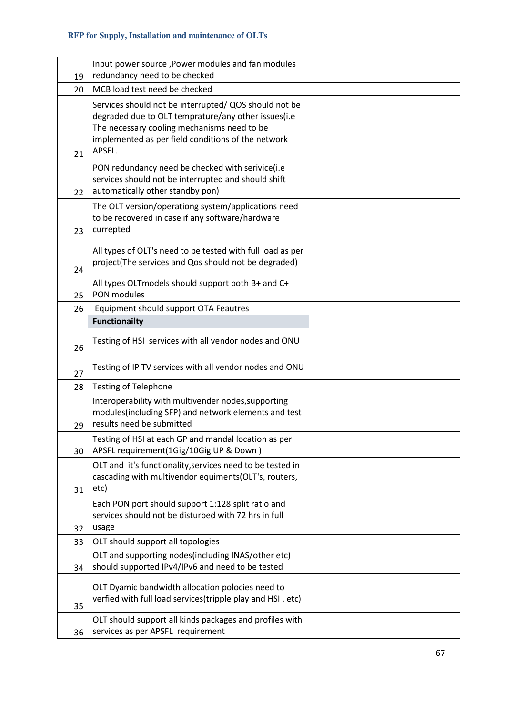|    | Input power source, Power modules and fan modules                                                          |  |
|----|------------------------------------------------------------------------------------------------------------|--|
| 19 | redundancy need to be checked                                                                              |  |
| 20 | MCB load test need be checked                                                                              |  |
|    | Services should not be interrupted/ QOS should not be                                                      |  |
|    | degraded due to OLT temprature/any other issues(i.e                                                        |  |
|    | The necessary cooling mechanisms need to be<br>implemented as per field conditions of the network          |  |
| 21 | APSFL.                                                                                                     |  |
|    | PON redundancy need be checked with serivice(i.e                                                           |  |
|    | services should not be interrupted and should shift                                                        |  |
| 22 | automatically other standby pon)                                                                           |  |
|    | The OLT version/operationg system/applications need                                                        |  |
|    | to be recovered in case if any software/hardware<br>currepted                                              |  |
| 23 |                                                                                                            |  |
|    | All types of OLT's need to be tested with full load as per                                                 |  |
| 24 | project(The services and Qos should not be degraded)                                                       |  |
|    | All types OLTmodels should support both B+ and C+                                                          |  |
| 25 | PON modules                                                                                                |  |
| 26 | Equipment should support OTA Feautres                                                                      |  |
|    | <b>Functionailty</b>                                                                                       |  |
| 26 | Testing of HSI services with all vendor nodes and ONU                                                      |  |
| 27 | Testing of IP TV services with all vendor nodes and ONU                                                    |  |
| 28 | <b>Testing of Telephone</b>                                                                                |  |
|    | Interoperability with multivender nodes, supporting                                                        |  |
|    | modules(including SFP) and network elements and test                                                       |  |
| 29 | results need be submitted                                                                                  |  |
| 30 | Testing of HSI at each GP and mandal location as per<br>APSFL requirement(1Gig/10Gig UP & Down)            |  |
|    | OLT and it's functionality, services need to be tested in                                                  |  |
|    | cascading with multivendor equiments (OLT's, routers,<br>etc)                                              |  |
| 31 |                                                                                                            |  |
|    | Each PON port should support 1:128 split ratio and<br>services should not be disturbed with 72 hrs in full |  |
| 32 | usage                                                                                                      |  |
| 33 | OLT should support all topologies                                                                          |  |
|    | OLT and supporting nodes(including INAS/other etc)                                                         |  |
| 34 | should supported IPv4/IPv6 and need to be tested                                                           |  |
|    | OLT Dyamic bandwidth allocation polocies need to                                                           |  |
|    | verfied with full load services(tripple play and HSI, etc)                                                 |  |
| 35 |                                                                                                            |  |
| 36 | OLT should support all kinds packages and profiles with<br>services as per APSFL requirement               |  |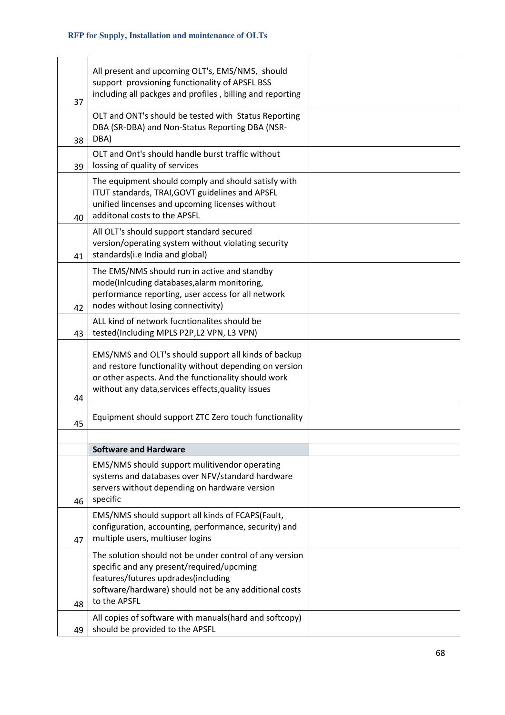| 37 | All present and upcoming OLT's, EMS/NMS, should<br>support provsioning functionality of APSFL BSS<br>including all packges and profiles, billing and reporting                                                              |  |
|----|-----------------------------------------------------------------------------------------------------------------------------------------------------------------------------------------------------------------------------|--|
| 38 | OLT and ONT's should be tested with Status Reporting<br>DBA (SR-DBA) and Non-Status Reporting DBA (NSR-<br>DBA)                                                                                                             |  |
|    | OLT and Ont's should handle burst traffic without                                                                                                                                                                           |  |
| 39 | lossing of quality of services                                                                                                                                                                                              |  |
| 40 | The equipment should comply and should satisfy with<br>ITUT standards, TRAI, GOVT guidelines and APSFL<br>unified lincenses and upcoming licenses without<br>additonal costs to the APSFL                                   |  |
| 41 | All OLT's should support standard secured<br>version/operating system without violating security<br>standards(i.e India and global)                                                                                         |  |
| 42 | The EMS/NMS should run in active and standby<br>mode(Inlcuding databases, alarm monitoring,<br>performance reporting, user access for all network<br>nodes without losing connectivity)                                     |  |
| 43 | ALL kind of network fucntionalites should be<br>tested(Including MPLS P2P,L2 VPN, L3 VPN)                                                                                                                                   |  |
| 44 | EMS/NMS and OLT's should support all kinds of backup<br>and restore functionality without depending on version<br>or other aspects. And the functionality should work<br>without any data, services effects, quality issues |  |
| 45 | Equipment should support ZTC Zero touch functionality                                                                                                                                                                       |  |
|    |                                                                                                                                                                                                                             |  |
|    | <b>Software and Hardware</b>                                                                                                                                                                                                |  |
| 46 | EMS/NMS should support mulitivendor operating<br>systems and databases over NFV/standard hardware<br>servers without depending on hardware version<br>specific                                                              |  |
| 47 | EMS/NMS should support all kinds of FCAPS(Fault,<br>configuration, accounting, performance, security) and<br>multiple users, multiuser logins                                                                               |  |
| 48 | The solution should not be under control of any version<br>specific and any present/required/upcming<br>features/futures updrades(including<br>software/hardware) should not be any additional costs<br>to the APSFL        |  |
|    | All copies of software with manuals (hard and softcopy)                                                                                                                                                                     |  |
| 49 | should be provided to the APSFL                                                                                                                                                                                             |  |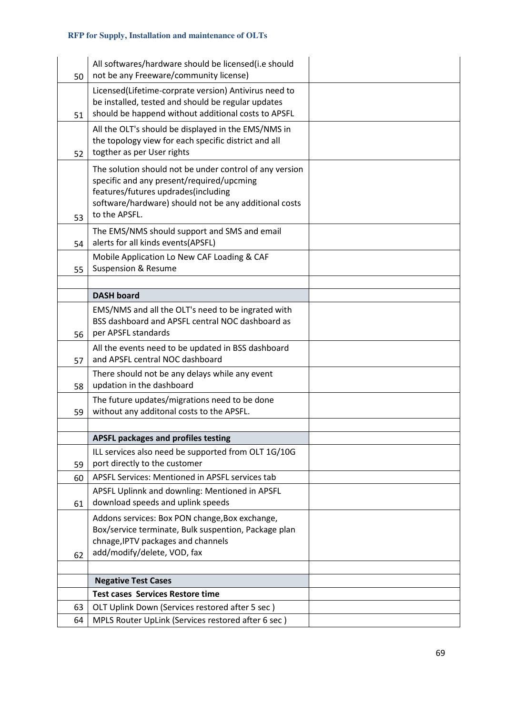## **RFP for Supply, Installation and maintenance of OLTs**

| 50 | All softwares/hardware should be licensed(i.e should<br>not be any Freeware/community license)                                                                                                                        |  |
|----|-----------------------------------------------------------------------------------------------------------------------------------------------------------------------------------------------------------------------|--|
| 51 | Licensed(Lifetime-corprate version) Antivirus need to<br>be installed, tested and should be regular updates<br>should be happend without additional costs to APSFL                                                    |  |
| 52 | All the OLT's should be displayed in the EMS/NMS in<br>the topology view for each specific district and all<br>togther as per User rights                                                                             |  |
| 53 | The solution should not be under control of any version<br>specific and any present/required/upcming<br>features/futures updrades(including<br>software/hardware) should not be any additional costs<br>to the APSFL. |  |
| 54 | The EMS/NMS should support and SMS and email<br>alerts for all kinds events(APSFL)                                                                                                                                    |  |
| 55 | Mobile Application Lo New CAF Loading & CAF<br><b>Suspension &amp; Resume</b>                                                                                                                                         |  |
|    |                                                                                                                                                                                                                       |  |
|    | <b>DASH board</b>                                                                                                                                                                                                     |  |
| 56 | EMS/NMS and all the OLT's need to be ingrated with<br>BSS dashboard and APSFL central NOC dashboard as<br>per APSFL standards                                                                                         |  |
| 57 | All the events need to be updated in BSS dashboard<br>and APSFL central NOC dashboard                                                                                                                                 |  |
| 58 | There should not be any delays while any event<br>updation in the dashboard                                                                                                                                           |  |
| 59 | The future updates/migrations need to be done<br>without any additonal costs to the APSFL.                                                                                                                            |  |
|    |                                                                                                                                                                                                                       |  |
|    | <b>APSFL packages and profiles testing</b>                                                                                                                                                                            |  |
| 59 | ILL services also need be supported from OLT 1G/10G<br>port directly to the customer                                                                                                                                  |  |
| 60 | APSFL Services: Mentioned in APSFL services tab                                                                                                                                                                       |  |
| 61 | APSFL Uplinnk and downling: Mentioned in APSFL<br>download speeds and uplink speeds                                                                                                                                   |  |
| 62 | Addons services: Box PON change, Box exchange,<br>Box/service terminate, Bulk suspention, Package plan<br>chnage, IPTV packages and channels<br>add/modify/delete, VOD, fax                                           |  |
|    |                                                                                                                                                                                                                       |  |
|    | <b>Negative Test Cases</b>                                                                                                                                                                                            |  |
|    | <b>Test cases Services Restore time</b>                                                                                                                                                                               |  |
| 63 | OLT Uplink Down (Services restored after 5 sec)                                                                                                                                                                       |  |
| 64 | MPLS Router UpLink (Services restored after 6 sec)                                                                                                                                                                    |  |
|    |                                                                                                                                                                                                                       |  |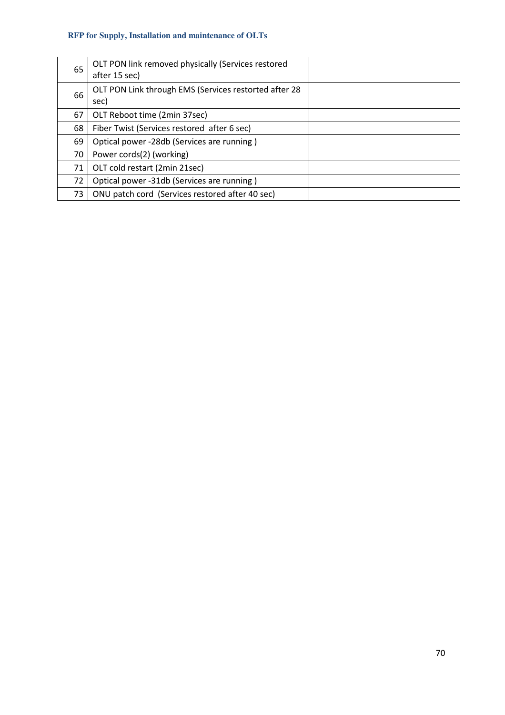## **RFP for Supply, Installation and maintenance of OLTs**

| 65 | OLT PON link removed physically (Services restored<br>after 15 sec) |  |
|----|---------------------------------------------------------------------|--|
| 66 | OLT PON Link through EMS (Services restorted after 28<br>sec)       |  |
| 67 | OLT Reboot time (2min 37sec)                                        |  |
| 68 | Fiber Twist (Services restored after 6 sec)                         |  |
| 69 | Optical power -28db (Services are running)                          |  |
| 70 | Power cords(2) (working)                                            |  |
| 71 | OLT cold restart (2min 21sec)                                       |  |
| 72 | Optical power -31db (Services are running)                          |  |
| 73 | ONU patch cord (Services restored after 40 sec)                     |  |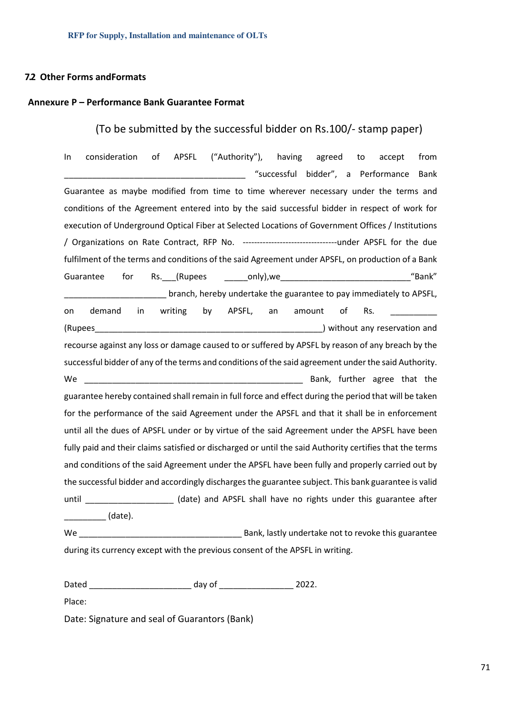### **7.2 Other Forms andFormats**

### **Annexure P – Performance Bank Guarantee Format**

### (To be submitted by the successful bidder on Rs.100/- stamp paper)

In consideration of APSFL ("Authority"), having agreed to accept from \_\_\_\_\_\_\_\_\_\_\_\_\_\_\_\_\_\_\_\_\_\_\_\_\_\_\_\_\_\_\_\_\_\_\_\_\_\_\_ "successful bidder", a Performance Bank Guarantee as maybe modified from time to time wherever necessary under the terms and conditions of the Agreement entered into by the said successful bidder in respect of work for execution of Underground Optical Fiber at Selected Locations of Government Offices / Institutions / Organizations on Rate Contract, RFP No. ---------------------------------under APSFL for the due fulfilment of the terms and conditions of the said Agreement under APSFL, on production of a Bank Guarantee for Rs.\_\_\_(Rupees \_\_\_\_\_only),we\_\_\_\_\_\_\_\_\_\_\_\_\_\_\_\_\_\_\_\_\_\_\_\_\_\_\_\_"Bank" branch, hereby undertake the guarantee to pay immediately to APSFL, on demand in writing by APSFL, an amount of Rs. \_\_\_\_\_\_\_\_\_ (Rupees\_\_\_\_\_\_\_\_\_\_\_\_\_\_\_\_\_\_\_\_\_\_\_\_\_\_\_\_\_\_\_\_\_\_\_\_\_\_\_\_\_\_\_\_\_\_\_\_\_) without any reservation and recourse against any loss or damage caused to or suffered by APSFL by reason of any breach by the successful bidder of any of the terms and conditions of the said agreement under the said Authority. We are all the set of the set of the set of the Bank, further agree that the set of the set of the set of the set of the set of the set of the set of the set of the set of the set of the set of the set of the set of the se guarantee hereby contained shall remain in full force and effect during the period that will be taken for the performance of the said Agreement under the APSFL and that it shall be in enforcement until all the dues of APSFL under or by virtue of the said Agreement under the APSFL have been fully paid and their claims satisfied or discharged or until the said Authority certifies that the terms and conditions of the said Agreement under the APSFL have been fully and properly carried out by the successful bidder and accordingly discharges the guarantee subject. This bank guarantee is valid until \_\_\_\_\_\_\_\_\_\_\_\_\_\_\_\_\_\_\_ (date) and APSFL shall have no rights under this guarantee after \_\_\_\_\_\_\_\_\_ (date).

We **Example 20 All 20 All 20 All 20 All 20 All 20 All 20 All 20 All 20 All 20 All 20 All 20 All 20 All 20 All 20 All 20 All 20 All 20 All 20 All 20 All 20 All 20 All 20 All 20 All 20 All 20 All 20 All 20 All 20 All 20 All** during its currency except with the previous consent of the APSFL in writing.

Dated \_\_\_\_\_\_\_\_\_\_\_\_\_\_\_\_\_\_\_\_\_\_ day of \_\_\_\_\_\_\_\_\_\_\_\_\_\_\_\_ 2022.

Place:

Date: Signature and seal of Guarantors (Bank)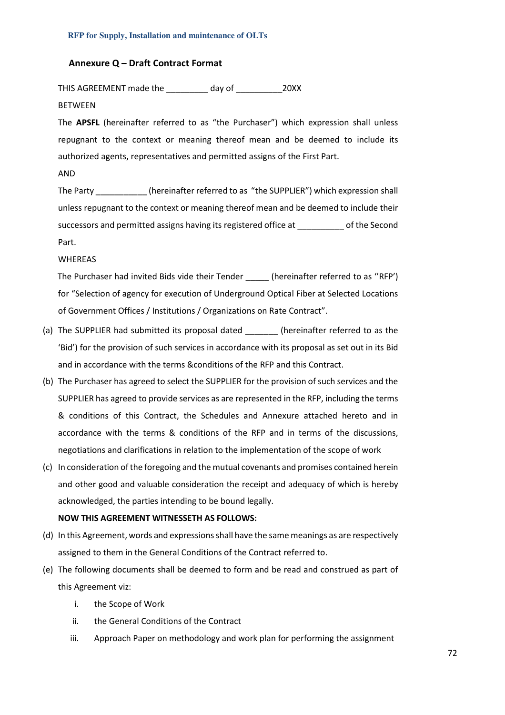#### **Annexure Q – Draft Contract Format**

THIS AGREEMENT made the \_\_\_\_\_\_\_\_\_ day of \_\_\_\_\_\_\_\_\_\_20XX

### BETWEEN

The **APSFL** (hereinafter referred to as "the Purchaser") which expression shall unless repugnant to the context or meaning thereof mean and be deemed to include its authorized agents, representatives and permitted assigns of the First Part.

AND

The Party \_\_\_\_\_\_\_\_\_\_\_ (hereinafter referred to as "the SUPPLIER") which expression shall unless repugnant to the context or meaning thereof mean and be deemed to include their successors and permitted assigns having its registered office at \_\_\_\_\_\_\_\_\_\_ of the Second Part.

#### WHEREAS

The Purchaser had invited Bids vide their Tender (hereinafter referred to as "RFP') for "Selection of agency for execution of Underground Optical Fiber at Selected Locations of Government Offices / Institutions / Organizations on Rate Contract".

- (a) The SUPPLIER had submitted its proposal dated \_\_\_\_\_\_\_\_ (hereinafter referred to as the 'Bid') for the provision of such services in accordance with its proposal as set out in its Bid and in accordance with the terms &conditions of the RFP and this Contract.
- (b) The Purchaser has agreed to select the SUPPLIER for the provision of such services and the SUPPLIER has agreed to provide services as are represented in the RFP, including the terms & conditions of this Contract, the Schedules and Annexure attached hereto and in accordance with the terms & conditions of the RFP and in terms of the discussions, negotiations and clarifications in relation to the implementation of the scope of work
- (c) In consideration of the foregoing and the mutual covenants and promises contained herein and other good and valuable consideration the receipt and adequacy of which is hereby acknowledged, the parties intending to be bound legally.

#### **NOW THIS AGREEMENT WITNESSETH AS FOLLOWS:**

- (d) In this Agreement, words and expressions shall have the same meanings as are respectively assigned to them in the General Conditions of the Contract referred to.
- (e) The following documents shall be deemed to form and be read and construed as part of this Agreement viz:
	- i. the Scope of Work
	- ii. the General Conditions of the Contract
	- iii. Approach Paper on methodology and work plan for performing the assignment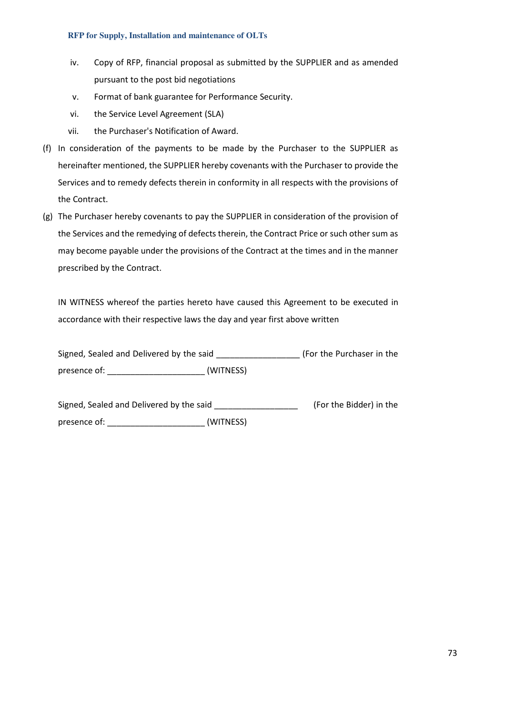#### **RFP for Supply, Installation and maintenance of OLTs**

- iv. Copy of RFP, financial proposal as submitted by the SUPPLIER and as amended pursuant to the post bid negotiations
- v. Format of bank guarantee for Performance Security.
- vi. the Service Level Agreement (SLA)
- vii. the Purchaser's Notification of Award.
- (f) In consideration of the payments to be made by the Purchaser to the SUPPLIER as hereinafter mentioned, the SUPPLIER hereby covenants with the Purchaser to provide the Services and to remedy defects therein in conformity in all respects with the provisions of the Contract.
- (g) The Purchaser hereby covenants to pay the SUPPLIER in consideration of the provision of the Services and the remedying of defects therein, the Contract Price or such other sum as may become payable under the provisions of the Contract at the times and in the manner prescribed by the Contract.

IN WITNESS whereof the parties hereto have caused this Agreement to be executed in accordance with their respective laws the day and year first above written

| Signed, Sealed and Delivered by the said |           | (For the Purchaser in the |
|------------------------------------------|-----------|---------------------------|
| presence of:                             | (WITNESS) |                           |

Signed, Sealed and Delivered by the said \_\_\_\_\_\_\_\_\_\_\_\_\_\_\_\_\_\_\_\_\_\_\_\_\_\_\_\_ (For the Bidder) in the presence of: \_\_\_\_\_\_\_\_\_\_\_\_\_\_\_\_\_\_\_\_\_ (WITNESS)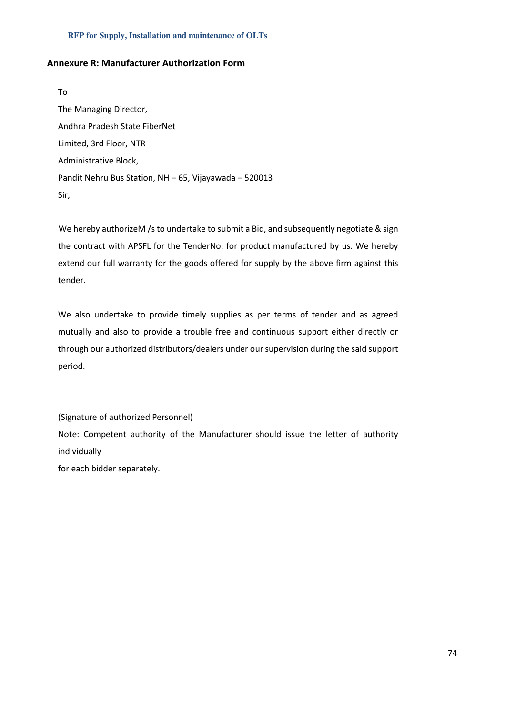#### **Annexure R: Manufacturer Authorization Form**

To

The Managing Director, Andhra Pradesh State FiberNet Limited, 3rd Floor, NTR Administrative Block, Pandit Nehru Bus Station, NH – 65, Vijayawada – 520013 Sir,

We hereby authorizeM /s to undertake to submit a Bid, and subsequently negotiate & sign the contract with APSFL for the TenderNo: for product manufactured by us. We hereby extend our full warranty for the goods offered for supply by the above firm against this tender.

We also undertake to provide timely supplies as per terms of tender and as agreed mutually and also to provide a trouble free and continuous support either directly or through our authorized distributors/dealers under our supervision during the said support period.

(Signature of authorized Personnel)

Note: Competent authority of the Manufacturer should issue the letter of authority individually

for each bidder separately.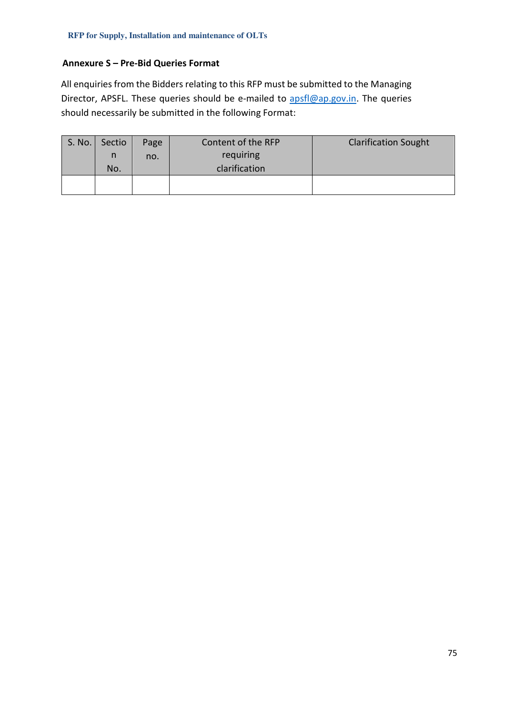### **Annexure S – Pre-Bid Queries Format**

All enquiries from the Bidders relating to this RFP must be submitted to the Managing Director, APSFL. These queries should be e-mailed to apsfl@ap.gov.in. The queries should necessarily be submitted in the following Format:

| S. No. | Sectio | Page | Content of the RFP | <b>Clarification Sought</b> |
|--------|--------|------|--------------------|-----------------------------|
|        |        | no.  | requiring          |                             |
|        | No.    |      | clarification      |                             |
|        |        |      |                    |                             |
|        |        |      |                    |                             |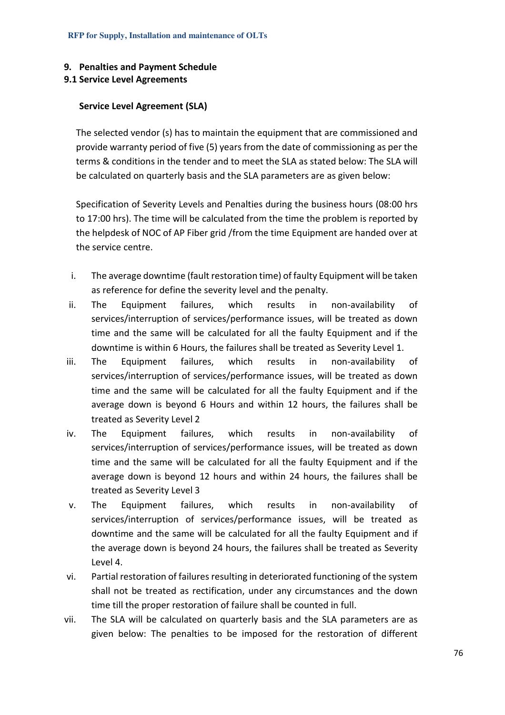#### **9. Penalties and Payment Schedule**

### **9.1 Service Level Agreements**

# **Service Level Agreement (SLA)**

The selected vendor (s) has to maintain the equipment that are commissioned and provide warranty period of five (5) years from the date of commissioning as per the terms & conditions in the tender and to meet the SLA as stated below: The SLA will be calculated on quarterly basis and the SLA parameters are as given below:

Specification of Severity Levels and Penalties during the business hours (08:00 hrs to 17:00 hrs). The time will be calculated from the time the problem is reported by the helpdesk of NOC of AP Fiber grid /from the time Equipment are handed over at the service centre.

- i. The average downtime (fault restoration time) of faulty Equipment will be taken as reference for define the severity level and the penalty.
- ii. The Equipment failures, which results in non-availability of services/interruption of services/performance issues, will be treated as down time and the same will be calculated for all the faulty Equipment and if the downtime is within 6 Hours, the failures shall be treated as Severity Level 1.
- iii. The Equipment failures, which results in non-availability of services/interruption of services/performance issues, will be treated as down time and the same will be calculated for all the faulty Equipment and if the average down is beyond 6 Hours and within 12 hours, the failures shall be treated as Severity Level 2
- iv. The Equipment failures, which results in non-availability of services/interruption of services/performance issues, will be treated as down time and the same will be calculated for all the faulty Equipment and if the average down is beyond 12 hours and within 24 hours, the failures shall be treated as Severity Level 3
- v. The Equipment failures, which results in non-availability of services/interruption of services/performance issues, will be treated as downtime and the same will be calculated for all the faulty Equipment and if the average down is beyond 24 hours, the failures shall be treated as Severity Level 4.
- vi. Partial restoration of failures resulting in deteriorated functioning of the system shall not be treated as rectification, under any circumstances and the down time till the proper restoration of failure shall be counted in full.
- vii. The SLA will be calculated on quarterly basis and the SLA parameters are as given below: The penalties to be imposed for the restoration of different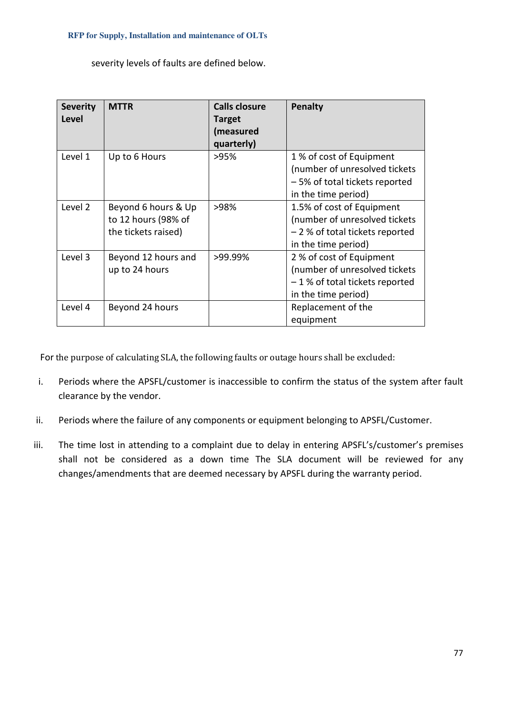severity levels of faults are defined below.

| <b>Severity</b><br><b>Level</b> | <b>MTTR</b>                                                       | <b>Calls closure</b><br><b>Target</b><br>(measured<br>quarterly) | <b>Penalty</b>                                                                                                       |
|---------------------------------|-------------------------------------------------------------------|------------------------------------------------------------------|----------------------------------------------------------------------------------------------------------------------|
| Level 1                         | Up to 6 Hours                                                     | >95%                                                             | 1 % of cost of Equipment<br>(number of unresolved tickets<br>-5% of total tickets reported<br>in the time period)    |
| Level 2                         | Beyond 6 hours & Up<br>to 12 hours (98% of<br>the tickets raised) | >98%                                                             | 1.5% of cost of Equipment<br>(number of unresolved tickets<br>-2 % of total tickets reported<br>in the time period)  |
| Level 3                         | Beyond 12 hours and<br>up to 24 hours                             | >99.99%                                                          | 2 % of cost of Equipment<br>(number of unresolved tickets<br>$-1$ % of total tickets reported<br>in the time period) |
| Level 4                         | Beyond 24 hours                                                   |                                                                  | Replacement of the<br>equipment                                                                                      |

For the purpose of calculating SLA, the following faults or outage hours shall be excluded:

- i. Periods where the APSFL/customer is inaccessible to confirm the status of the system after fault clearance by the vendor.
- ii. Periods where the failure of any components or equipment belonging to APSFL/Customer.
- iii. The time lost in attending to a complaint due to delay in entering APSFL's/customer's premises shall not be considered as a down time The SLA document will be reviewed for any changes/amendments that are deemed necessary by APSFL during the warranty period.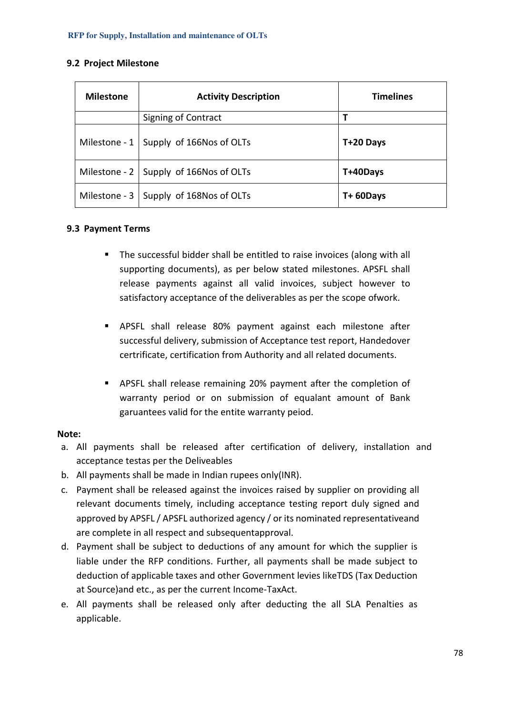# **9.2 Project Milestone**

| <b>Milestone</b> | <b>Activity Description</b>                | <b>Timelines</b> |
|------------------|--------------------------------------------|------------------|
|                  | <b>Signing of Contract</b>                 |                  |
|                  | Milestone - $1$   Supply of 166Nos of OLTs | T+20 Days        |
|                  | Milestone - 2   Supply of 166Nos of OLTs   | T+40Days         |
|                  | Milestone - 3   Supply of 168Nos of OLTs   | T+60Days         |

# **9.3 Payment Terms**

- The successful bidder shall be entitled to raise invoices (along with all supporting documents), as per below stated milestones. APSFL shall release payments against all valid invoices, subject however to satisfactory acceptance of the deliverables as per the scope ofwork.
- APSFL shall release 80% payment against each milestone after successful delivery, submission of Acceptance test report, Handedover certrificate, certification from Authority and all related documents.
- APSFL shall release remaining 20% payment after the completion of warranty period or on submission of equalant amount of Bank garuantees valid for the entite warranty peiod.

# **Note:**

- a. All payments shall be released after certification of delivery, installation and acceptance testas per the Deliveables
- b. All payments shall be made in Indian rupees only(INR).
- c. Payment shall be released against the invoices raised by supplier on providing all relevant documents timely, including acceptance testing report duly signed and approved by APSFL / APSFL authorized agency / or its nominated representativeand are complete in all respect and subsequentapproval.
- d. Payment shall be subject to deductions of any amount for which the supplier is liable under the RFP conditions. Further, all payments shall be made subject to deduction of applicable taxes and other Government levies likeTDS (Tax Deduction at Source)and etc., as per the current Income-TaxAct.
- e. All payments shall be released only after deducting the all SLA Penalties as applicable.